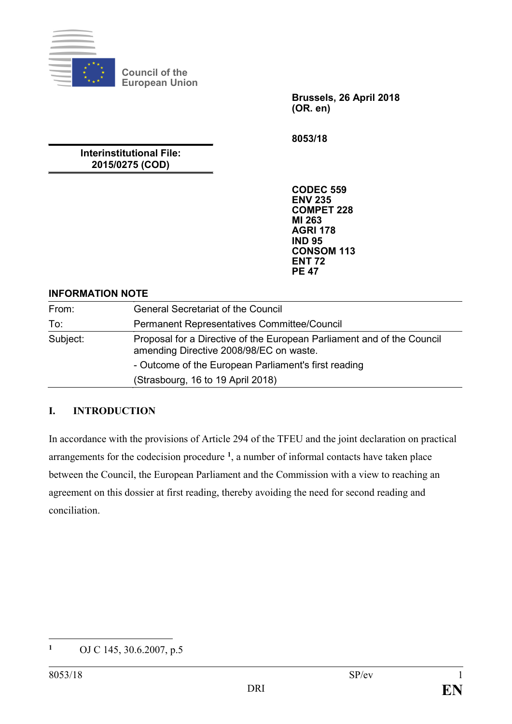

**Council of the European Union**

> **Brussels, 26 April 2018 (OR. en)**

**8053/18**

**Interinstitutional File: 2015/0275 (COD)**

> **CODEC 559 ENV 235 COMPET 228 MI 263 AGRI 178 IND 95 CONSOM 113 ENT 72 PE 47**

#### **INFORMATION NOTE**

| From:    | <b>General Secretariat of the Council</b>                                                                         |
|----------|-------------------------------------------------------------------------------------------------------------------|
| To:      | <b>Permanent Representatives Committee/Council</b>                                                                |
| Subject: | Proposal for a Directive of the European Parliament and of the Council<br>amending Directive 2008/98/EC on waste. |
|          | - Outcome of the European Parliament's first reading                                                              |
|          | (Strasbourg, 16 to 19 April 2018)                                                                                 |

# **I. INTRODUCTION**

In accordance with the provisions of Article 294 of the TFEU and the joint declaration on practical arrangements for the codecision procedure **[1](#page-0-0)** , a number of informal contacts have taken place between the Council, the European Parliament and the Commission with a view to reaching an agreement on this dossier at first reading, thereby avoiding the need for second reading and conciliation.

<span id="page-0-0"></span> $\mathbf{1}$ **<sup>1</sup>** OJ C 145, 30.6.2007, p.5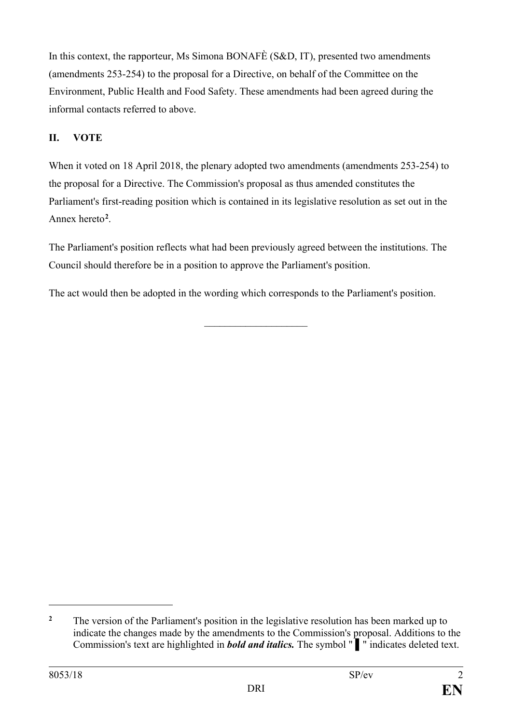In this context, the rapporteur, Ms Simona BONAFÈ (S&D, IT), presented two amendments (amendments 253-254) to the proposal for a Directive, on behalf of the Committee on the Environment, Public Health and Food Safety. These amendments had been agreed during the informal contacts referred to above.

# **II. VOTE**

When it voted on 18 April 2018, the plenary adopted two amendments (amendments 253-254) to the proposal for a Directive. The Commission's proposal as thus amended constitutes the Parliament's first-reading position which is contained in its legislative resolution as set out in the Annex hereto**[2](#page-1-0)**.

The Parliament's position reflects what had been previously agreed between the institutions. The Council should therefore be in a position to approve the Parliament's position.

The act would then be adopted in the wording which corresponds to the Parliament's position.

 $\overline{\phantom{a}}$  , and the set of the set of the set of the set of the set of the set of the set of the set of the set of the set of the set of the set of the set of the set of the set of the set of the set of the set of the s

 $\overline{a}$ 

<span id="page-1-0"></span><sup>&</sup>lt;sup>2</sup> The version of the Parliament's position in the legislative resolution has been marked up to indicate the changes made by the amendments to the Commission's proposal. Additions to the Commission's text are highlighted in *bold and italics.* The symbol " ▌" indicates deleted text.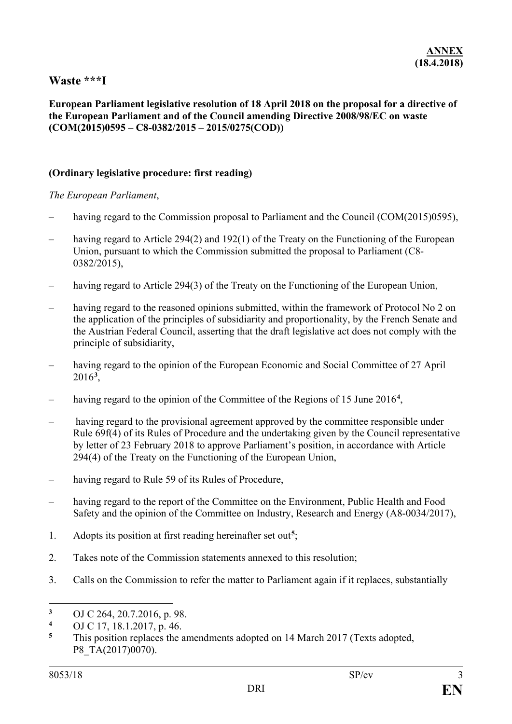# **Waste \*\*\*I**

#### **European Parliament legislative resolution of 18 April 2018 on the proposal for a directive of the European Parliament and of the Council amending Directive 2008/98/EC on waste (COM(2015)0595 – C8-0382/2015 – 2015/0275(COD))**

### **(Ordinary legislative procedure: first reading)**

*The European Parliament*,

- having regard to the Commission proposal to Parliament and the Council (COM(2015)0595),
- having regard to Article 294(2) and 192(1) of the Treaty on the Functioning of the European Union, pursuant to which the Commission submitted the proposal to Parliament (C8- 0382/2015),
- having regard to Article 294(3) of the Treaty on the Functioning of the European Union,
- having regard to the reasoned opinions submitted, within the framework of Protocol No 2 on the application of the principles of subsidiarity and proportionality, by the French Senate and the Austrian Federal Council, asserting that the draft legislative act does not comply with the principle of subsidiarity,
- having regard to the opinion of the European Economic and Social Committee of 27 April 2016**[3](#page-2-0)** ,
- having regard to the opinion of the Committee of the Regions of 15 June 2016<sup>[4](#page-2-1)</sup>,
- having regard to the provisional agreement approved by the committee responsible under Rule 69f(4) of its Rules of Procedure and the undertaking given by the Council representative by letter of 23 February 2018 to approve Parliament's position, in accordance with Article 294(4) of the Treaty on the Functioning of the European Union,
- having regard to Rule 59 of its Rules of Procedure,
- having regard to the report of the Committee on the Environment, Public Health and Food Safety and the opinion of the Committee on Industry, Research and Energy (A8-0034/2017),
- 1. Adopts its position at first reading hereinafter set out**[5](#page-2-2)**;
- 2. Takes note of the Commission statements annexed to this resolution;
- 3. Calls on the Commission to refer the matter to Parliament again if it replaces, substantially

<span id="page-2-0"></span> $\overline{a}$ <sup>3</sup> OJ C 264, 20.7.2016, p. 98.

<span id="page-2-1"></span>**<sup>4</sup>** OJ C 17, 18.1.2017, p. 46.

<span id="page-2-2"></span>This position replaces the amendments adopted on 14 March 2017 (Texts adopted, P8\_TA(2017)0070).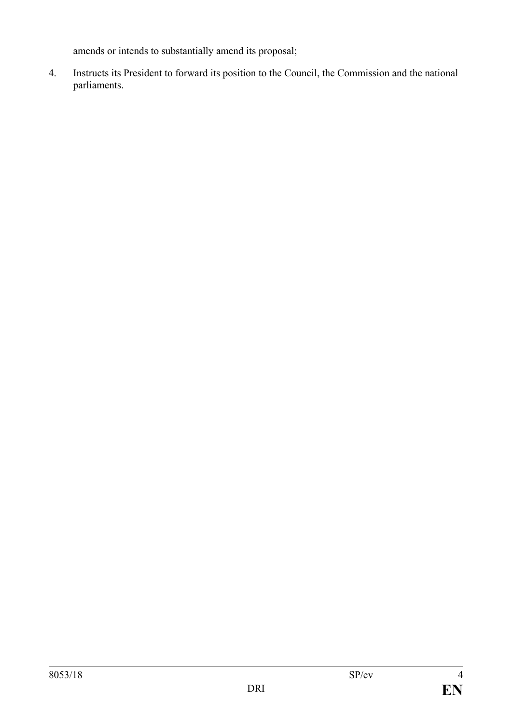amends or intends to substantially amend its proposal;

4. Instructs its President to forward its position to the Council, the Commission and the national parliaments.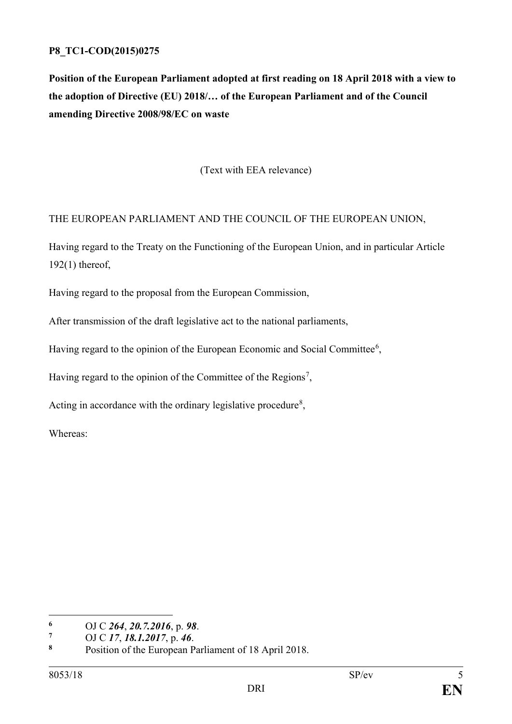# **P8\_TC1-COD(2015)0275**

**Position of the European Parliament adopted at first reading on 18 April 2018 with a view to the adoption of Directive (EU) 2018/… of the European Parliament and of the Council amending Directive 2008/98/EC on waste** 

(Text with EEA relevance)

# THE EUROPEAN PARLIAMENT AND THE COUNCIL OF THE EUROPEAN UNION,

Having regard to the Treaty on the Functioning of the European Union, and in particular Article 192(1) thereof,

Having regard to the proposal from the European Commission,

After transmission of the draft legislative act to the national parliaments,

Having regard to the opinion of the European Economic and Social Committee<sup>[6](#page-4-0)</sup>,

Having regard to the opinion of the Committee of the Regions<sup>[7](#page-4-1)</sup>,

Acting in accordance with the ordinary legislative procedure<sup>[8](#page-4-2)</sup>,

Whereas:

<span id="page-4-0"></span> $\overline{a}$ **<sup>6</sup>** OJ C *264*, *20.7.2016*, p. *98*.

<span id="page-4-1"></span>**<sup>7</sup>** OJ C *17*, *18.1.2017*, p. *46*.

<span id="page-4-2"></span>**<sup>8</sup>** Position of the European Parliament of 18 April 2018.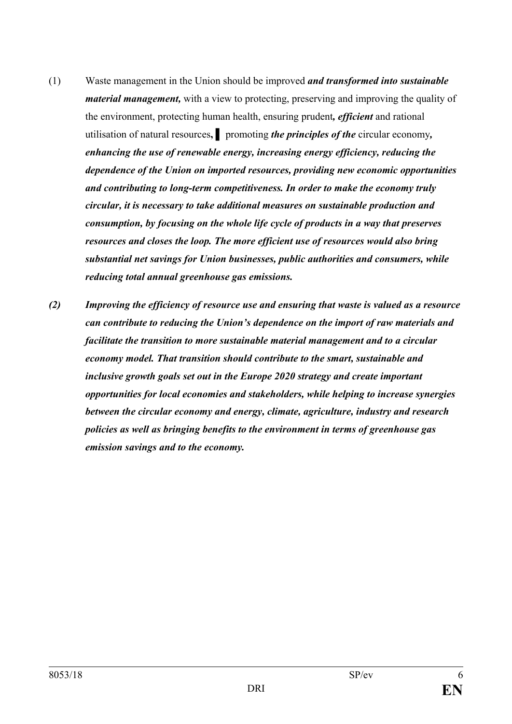- (1) Waste management in the Union should be improved *and transformed into sustainable material management,* with a view to protecting, preserving and improving the quality of the environment, protecting human health, ensuring prudent*, efficient* and rational utilisation of natural resources**, ▌** promoting *the principles of the* circular economy*, enhancing the use of renewable energy, increasing energy efficiency, reducing the dependence of the Union on imported resources, providing new economic opportunities and contributing to long-term competitiveness. In order to make the economy truly circular, it is necessary to take additional measures on sustainable production and consumption, by focusing on the whole life cycle of products in a way that preserves resources and closes the loop. The more efficient use of resources would also bring substantial net savings for Union businesses, public authorities and consumers, while reducing total annual greenhouse gas emissions.*
- *(2) Improving the efficiency of resource use and ensuring that waste is valued as a resource can contribute to reducing the Union's dependence on the import of raw materials and facilitate the transition to more sustainable material management and to a circular economy model. That transition should contribute to the smart, sustainable and inclusive growth goals set out in the Europe 2020 strategy and create important opportunities for local economies and stakeholders, while helping to increase synergies between the circular economy and energy, climate, agriculture, industry and research policies as well as bringing benefits to the environment in terms of greenhouse gas emission savings and to the economy.*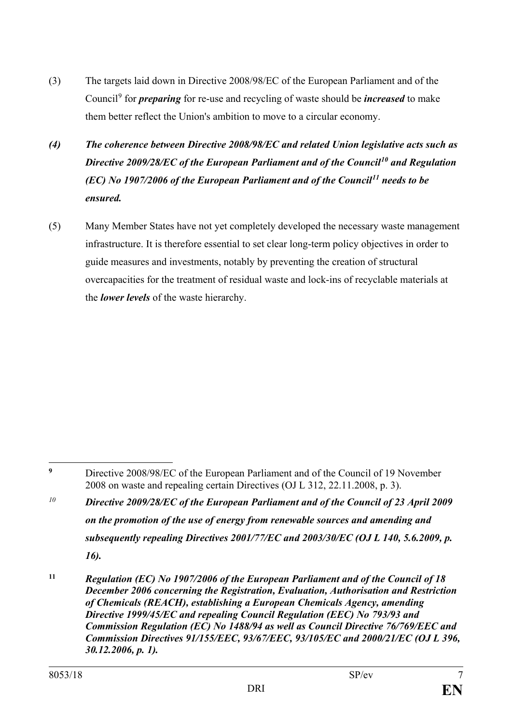- (3) The targets laid down in Directive 2008/98/EC of the European Parliament and of the Council[9](#page-6-0) for *preparing* for re-use and recycling of waste should be *increased* to make them better reflect the Union's ambition to move to a circular economy.
- *(4) The coherence between Directive 2008/98/EC and related Union legislative acts such as Directive 2009/28/EC of the European Parliament and of the Council[10](#page-6-1) and Regulation (EC) No 1907/2006 of the European Parliament and of the Council[11](#page-6-2) needs to be ensured.*
- (5) Many Member States have not yet completely developed the necessary waste management infrastructure. It is therefore essential to set clear long-term policy objectives in order to guide measures and investments, notably by preventing the creation of structural overcapacities for the treatment of residual waste and lock-ins of recyclable materials at the *lower levels* of the waste hierarchy.

<span id="page-6-0"></span> $\overline{9}$ **<sup>9</sup>** Directive 2008/98/EC of the European Parliament and of the Council of 19 November 2008 on waste and repealing certain Directives (OJ L 312, 22.11.2008, p. 3).

<span id="page-6-1"></span>*<sup>10</sup> Directive 2009/28/EC of the European Parliament and of the Council of 23 April 2009 on the promotion of the use of energy from renewable sources and amending and subsequently repealing Directives 2001/77/EC and 2003/30/EC (OJ L 140, 5.6.2009, p. 16).*

<span id="page-6-2"></span>**<sup>11</sup>** *Regulation (EC) No 1907/2006 of the European Parliament and of the Council of 18 December 2006 concerning the Registration, Evaluation, Authorisation and Restriction of Chemicals (REACH), establishing a European Chemicals Agency, amending Directive 1999/45/EC and repealing Council Regulation (EEC) No 793/93 and Commission Regulation (EC) No 1488/94 as well as Council Directive 76/769/EEC and Commission Directives 91/155/EEC, 93/67/EEC, 93/105/EC and 2000/21/EC (OJ L 396, 30.12.2006, p. 1).*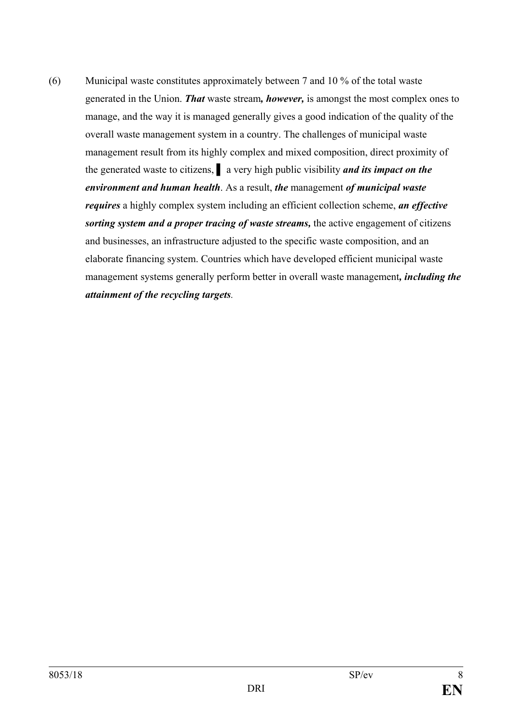(6) Municipal waste constitutes approximately between 7 and 10 % of the total waste generated in the Union. *That* waste stream*, however,* is amongst the most complex ones to manage, and the way it is managed generally gives a good indication of the quality of the overall waste management system in a country. The challenges of municipal waste management result from its highly complex and mixed composition, direct proximity of the generated waste to citizens, **▌** a very high public visibility *and its impact on the environment and human health*. As a result, *the* management *of municipal waste requires* a highly complex system including an efficient collection scheme, *an effective sorting system and a proper tracing of waste streams,* the active engagement of citizens and businesses, an infrastructure adjusted to the specific waste composition, and an elaborate financing system. Countries which have developed efficient municipal waste management systems generally perform better in overall waste management*, including the attainment of the recycling targets.*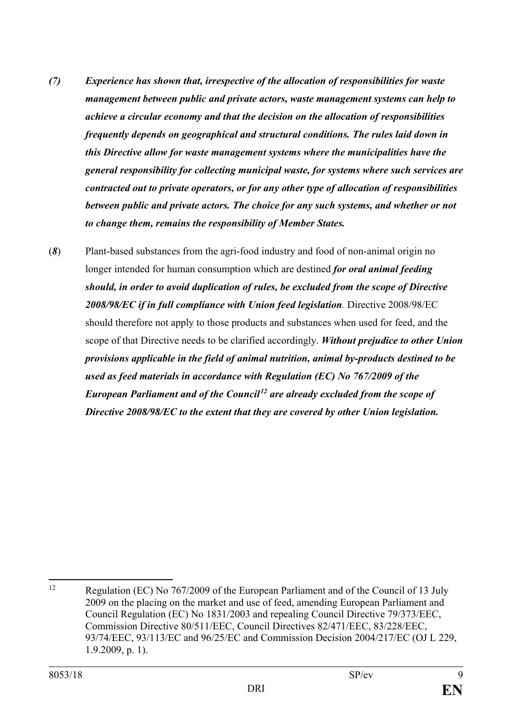- *(7) Experience has shown that, irrespective of the allocation of responsibilities for waste management between public and private actors, waste management systems can help to achieve a circular economy and that the decision on the allocation of responsibilities frequently depends on geographical and structural conditions. The rules laid down in this Directive allow for waste management systems where the municipalities have the general responsibility for collecting municipal waste, for systems where such services are contracted out to private operators, or for any other type of allocation of responsibilities between public and private actors. The choice for any such systems, and whether or not to change them, remains the responsibility of Member States.*
- (*8*) Plant-based substances from the agri-food industry and food of non-animal origin no longer intended for human consumption which are destined *for oral animal feeding should, in order to avoid duplication of rules, be excluded from the scope of Directive 2008/98/EC if in full compliance with Union feed legislation.* Directive 2008/98/EC should therefore not apply to those products and substances when used for feed, and the scope of that Directive needs to be clarified accordingly. *Without prejudice to other Union provisions applicable in the field of animal nutrition, animal by-products destined to be used as feed materials in accordance with Regulation (EC) No 767/2009 of the European Parliament and of the Council[12](#page-8-0) are already excluded from the scope of Directive 2008/98/EC to the extent that they are covered by other Union legislation.*

<span id="page-8-0"></span><sup>&</sup>lt;sup>12</sup> Regulation (EC) No 767/2009 of the European Parliament and of the Council of 13 July 2009 on the placing on the market and use of feed, amending European Parliament and Council Regulation (EC) No 1831/2003 and repealing Council Directive 79/373/EEC, Commission Directive 80/511/EEC, Council Directives 82/471/EEC, 83/228/EEC, 93/74/EEC, 93/113/EC and 96/25/EC and Commission Decision 2004/217/EC (OJ L 229, 1.9.2009, p. 1).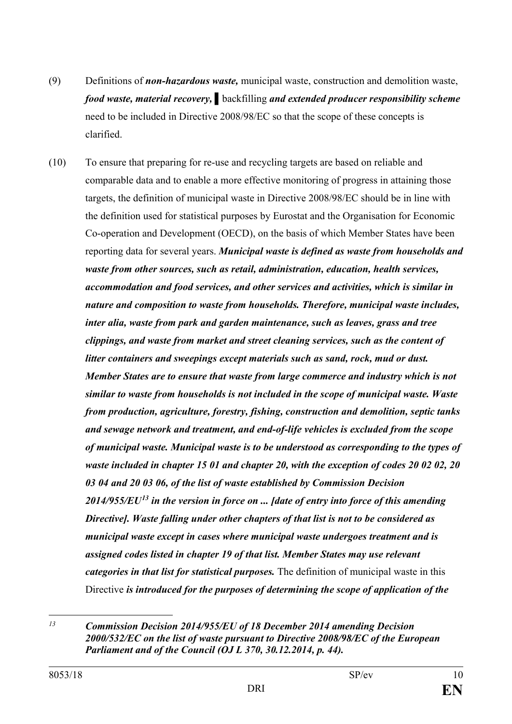- (9) Definitions of *non-hazardous waste,* municipal waste, construction and demolition waste, *food waste, material recovery,* **▌**backfilling *and extended producer responsibility scheme*  need to be included in Directive 2008/98/EC so that the scope of these concepts is clarified.
- (10) To ensure that preparing for re-use and recycling targets are based on reliable and comparable data and to enable a more effective monitoring of progress in attaining those targets, the definition of municipal waste in Directive 2008/98/EC should be in line with the definition used for statistical purposes by Eurostat and the Organisation for Economic Co-operation and Development (OECD), on the basis of which Member States have been reporting data for several years. *Municipal waste is defined as waste from households and waste from other sources, such as retail, administration, education, health services, accommodation and food services, and other services and activities, which is similar in nature and composition to waste from households. Therefore, municipal waste includes, inter alia, waste from park and garden maintenance, such as leaves, grass and tree clippings, and waste from market and street cleaning services, such as the content of litter containers and sweepings except materials such as sand, rock, mud or dust. Member States are to ensure that waste from large commerce and industry which is not similar to waste from households is not included in the scope of municipal waste. Waste from production, agriculture, forestry, fishing, construction and demolition, septic tanks and sewage network and treatment, and end-of-life vehicles is excluded from the scope of municipal waste. Municipal waste is to be understood as corresponding to the types of waste included in chapter 15 01 and chapter 20, with the exception of codes 20 02 02, 20 03 04 and 20 03 06, of the list of waste established by Commission Decision 2014/955/EU[13](#page-9-0) in the version in force on ... [date of entry into force of this amending Directive]. Waste falling under other chapters of that list is not to be considered as municipal waste except in cases where municipal waste undergoes treatment and is assigned codes listed in chapter 19 of that list. Member States may use relevant categories in that list for statistical purposes.* The definition of municipal waste in this Directive *is introduced for the purposes of determining the scope of application of the*

<span id="page-9-0"></span> $13$ *<sup>13</sup> Commission Decision 2014/955/EU of 18 December 2014 amending Decision 2000/532/EC on the list of waste pursuant to Directive 2008/98/EC of the European Parliament and of the Council (OJ L 370, 30.12.2014, p. 44).*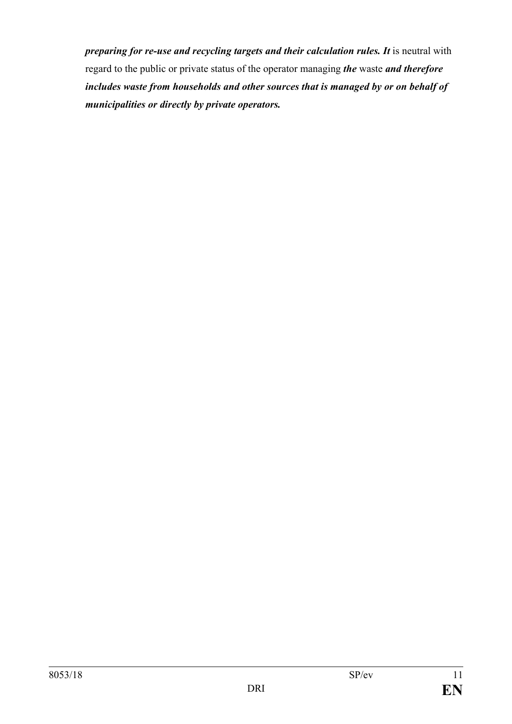*preparing for re-use and recycling targets and their calculation rules. It* is neutral with regard to the public or private status of the operator managing *the* waste *and therefore includes waste from households and other sources that is managed by or on behalf of municipalities or directly by private operators.*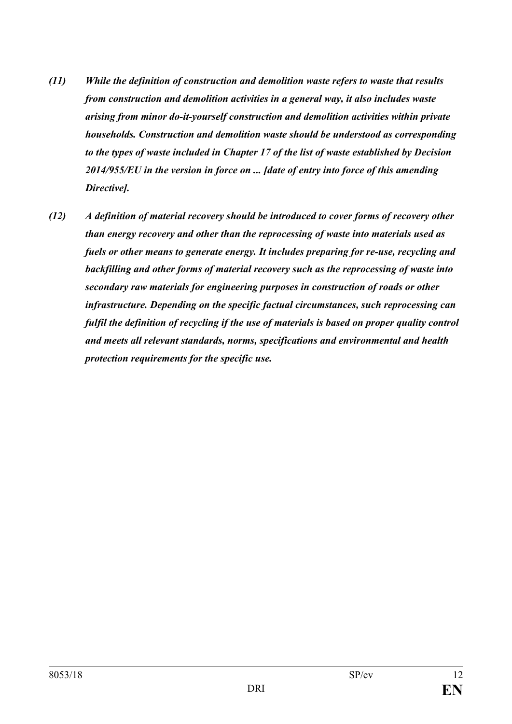- *(11) While the definition of construction and demolition waste refers to waste that results from construction and demolition activities in a general way, it also includes waste arising from minor do-it-yourself construction and demolition activities within private households. Construction and demolition waste should be understood as corresponding to the types of waste included in Chapter 17 of the list of waste established by Decision 2014/955/EU in the version in force on ... [date of entry into force of this amending Directive].*
- *(12) A definition of material recovery should be introduced to cover forms of recovery other than energy recovery and other than the reprocessing of waste into materials used as fuels or other means to generate energy. It includes preparing for re-use, recycling and backfilling and other forms of material recovery such as the reprocessing of waste into secondary raw materials for engineering purposes in construction of roads or other infrastructure. Depending on the specific factual circumstances, such reprocessing can fulfil the definition of recycling if the use of materials is based on proper quality control and meets all relevant standards, norms, specifications and environmental and health protection requirements for the specific use.*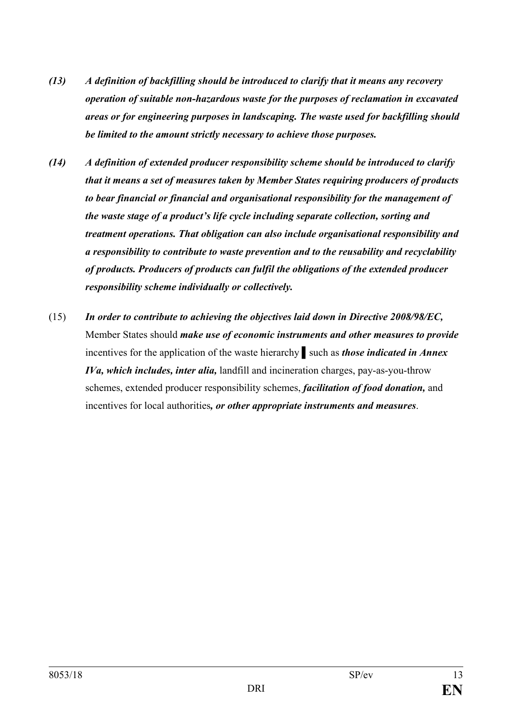- *(13) A definition of backfilling should be introduced to clarify that it means any recovery operation of suitable non-hazardous waste for the purposes of reclamation in excavated areas or for engineering purposes in landscaping. The waste used for backfilling should be limited to the amount strictly necessary to achieve those purposes.*
- *(14) A definition of extended producer responsibility scheme should be introduced to clarify that it means a set of measures taken by Member States requiring producers of products to bear financial or financial and organisational responsibility for the management of the waste stage of a product's life cycle including separate collection, sorting and treatment operations. That obligation can also include organisational responsibility and a responsibility to contribute to waste prevention and to the reusability and recyclability of products. Producers of products can fulfil the obligations of the extended producer responsibility scheme individually or collectively.*
- (15) *In order to contribute to achieving the objectives laid down in Directive 2008/98/EC,* Member States should *make use of economic instruments and other measures to provide* incentives for the application of the waste hierarchy **▌**such as *those indicated in Annex IVa, which includes, inter alia,* landfill and incineration charges, pay-as-you-throw schemes, extended producer responsibility schemes, *facilitation of food donation,* and incentives for local authorities*, or other appropriate instruments and measures*.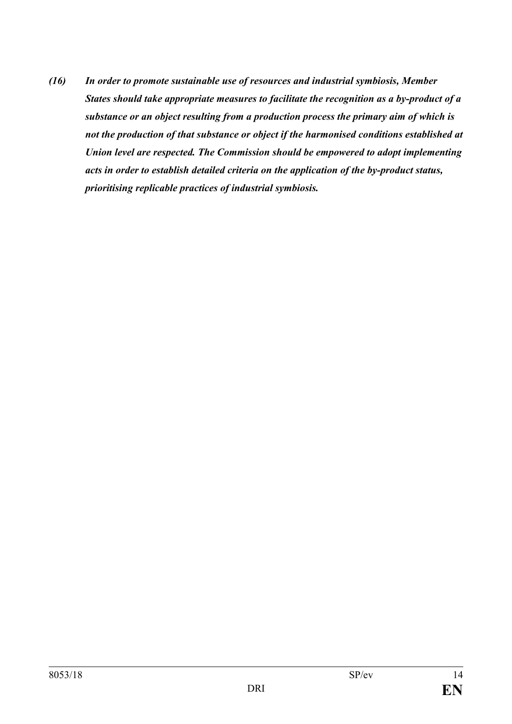*(16) In order to promote sustainable use of resources and industrial symbiosis, Member States should take appropriate measures to facilitate the recognition as a by-product of a substance or an object resulting from a production process the primary aim of which is not the production of that substance or object if the harmonised conditions established at Union level are respected. The Commission should be empowered to adopt implementing acts in order to establish detailed criteria on the application of the by-product status, prioritising replicable practices of industrial symbiosis.*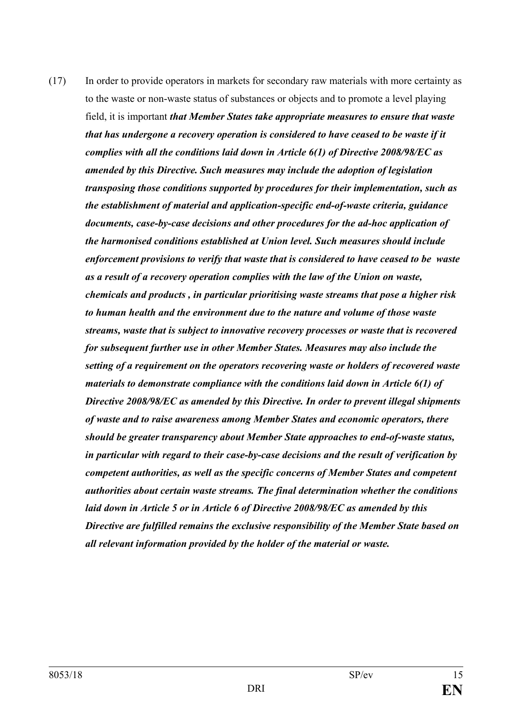(17) In order to provide operators in markets for secondary raw materials with more certainty as to the waste or non-waste status of substances or objects and to promote a level playing field, it is important *that Member States take appropriate measures to ensure that waste that has undergone a recovery operation is considered to have ceased to be waste if it complies with all the conditions laid down in Article 6(1) of Directive 2008/98/EC as amended by this Directive. Such measures may include the adoption of legislation transposing those conditions supported by procedures for their implementation, such as the establishment of material and application-specific end-of-waste criteria, guidance documents, case-by-case decisions and other procedures for the ad-hoc application of the harmonised conditions established at Union level. Such measures should include enforcement provisions to verify that waste that is considered to have ceased to be waste as a result of a recovery operation complies with the law of the Union on waste, chemicals and products , in particular prioritising waste streams that pose a higher risk to human health and the environment due to the nature and volume of those waste streams, waste that is subject to innovative recovery processes or waste that is recovered for subsequent further use in other Member States. Measures may also include the setting of a requirement on the operators recovering waste or holders of recovered waste materials to demonstrate compliance with the conditions laid down in Article 6(1) of Directive 2008/98/EC as amended by this Directive. In order to prevent illegal shipments of waste and to raise awareness among Member States and economic operators, there should be greater transparency about Member State approaches to end-of-waste status, in particular with regard to their case-by-case decisions and the result of verification by competent authorities, as well as the specific concerns of Member States and competent authorities about certain waste streams. The final determination whether the conditions laid down in Article 5 or in Article 6 of Directive 2008/98/EC as amended by this Directive are fulfilled remains the exclusive responsibility of the Member State based on all relevant information provided by the holder of the material or waste.*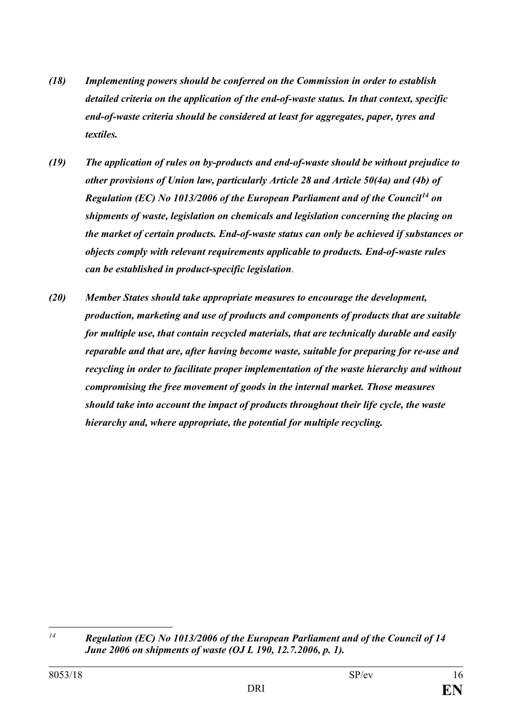- *(18) Implementing powers should be conferred on the Commission in order to establish detailed criteria on the application of the end-of-waste status. In that context, specific end-of-waste criteria should be considered at least for aggregates, paper, tyres and textiles.*
- *(19) The application of rules on by-products and end-of-waste should be without prejudice to other provisions of Union law, particularly Article 28 and Article 50(4a) and (4b) of Regulation (EC) No 1013/2006 of the European Parliament and of the Council[14](#page-15-0) on shipments of waste, legislation on chemicals and legislation concerning the placing on the market of certain products. End-of-waste status can only be achieved if substances or objects comply with relevant requirements applicable to products. End-of-waste rules can be established in product-specific legislation*.
- *(20) Member States should take appropriate measures to encourage the development, production, marketing and use of products and components of products that are suitable for multiple use, that contain recycled materials, that are technically durable and easily reparable and that are, after having become waste, suitable for preparing for re-use and recycling in order to facilitate proper implementation of the waste hierarchy and without compromising the free movement of goods in the internal market. Those measures should take into account the impact of products throughout their life cycle, the waste hierarchy and, where appropriate, the potential for multiple recycling.*

<span id="page-15-0"></span> $l<sub>4</sub>$ *<sup>14</sup> Regulation (EC) No 1013/2006 of the European Parliament and of the Council of 14 June 2006 on shipments of waste (OJ L 190, 12.7.2006, p. 1).*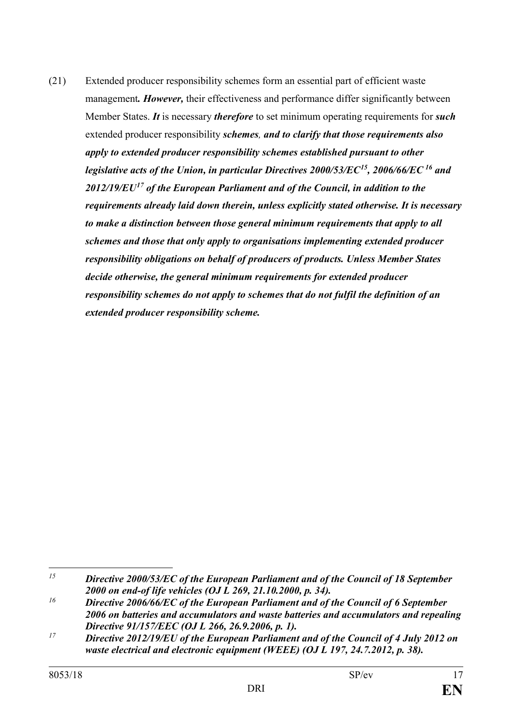(21) Extended producer responsibility schemes form an essential part of efficient waste management*. However,* their effectiveness and performance differ significantly between Member States. *It* is necessary *therefore* to set minimum operating requirements for *such* extended producer responsibility *schemes, and to clarify that those requirements also apply to extended producer responsibility schemes established pursuant to other legislative acts of the Union, in particular Directives 2000/53/EC[15,](#page-16-0) 2006/66/EC [16](#page-16-1) and 2012/19/EU[17](#page-16-2) of the European Parliament and of the Council, in addition to the requirements already laid down therein, unless explicitly stated otherwise. It is necessary to make a distinction between those general minimum requirements that apply to all schemes and those that only apply to organisations implementing extended producer responsibility obligations on behalf of producers of products. Unless Member States decide otherwise, the general minimum requirements for extended producer responsibility schemes do not apply to schemes that do not fulfil the definition of an extended producer responsibility scheme.*

<span id="page-16-0"></span> $\overline{a}$ *<sup>15</sup> Directive 2000/53/EC of the European Parliament and of the Council of 18 September 2000 on end-of life vehicles (OJ L 269, 21.10.2000, p. 34).*

<span id="page-16-1"></span>*<sup>16</sup> Directive 2006/66/EC of the European Parliament and of the Council of 6 September 2006 on batteries and accumulators and waste batteries and accumulators and repealing Directive 91/157/EEC (OJ L 266, 26.9.2006, p. 1).*

<span id="page-16-2"></span>*<sup>17</sup> Directive 2012/19/EU of the European Parliament and of the Council of 4 July 2012 on waste electrical and electronic equipment (WEEE) (OJ L 197, 24.7.2012, p. 38).*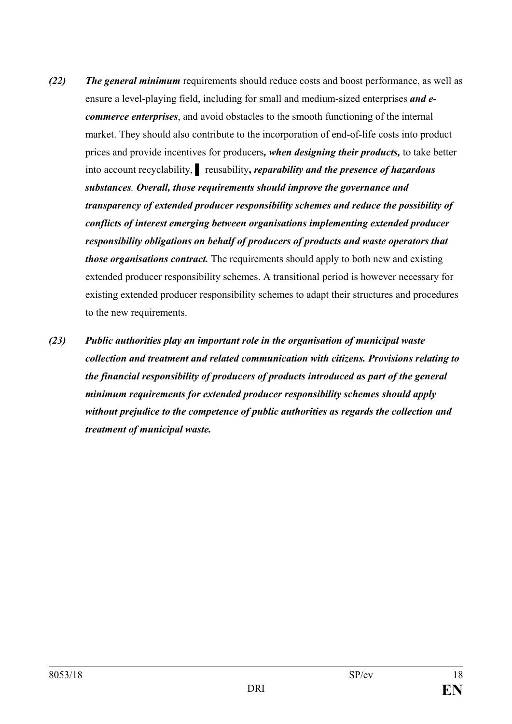- *(22) The general minimum* requirements should reduce costs and boost performance, as well as ensure a level-playing field, including for small and medium-sized enterprises *and ecommerce enterprises*, and avoid obstacles to the smooth functioning of the internal market. They should also contribute to the incorporation of end-of-life costs into product prices and provide incentives for producers*, when designing their products,* to take better into account recyclability, **▌** reusability**,** *reparability and the presence of hazardous substances. Overall, those requirements should improve the governance and transparency of extended producer responsibility schemes and reduce the possibility of conflicts of interest emerging between organisations implementing extended producer responsibility obligations on behalf of producers of products and waste operators that those organisations contract.* The requirements should apply to both new and existing extended producer responsibility schemes. A transitional period is however necessary for existing extended producer responsibility schemes to adapt their structures and procedures to the new requirements.
- *(23) Public authorities play an important role in the organisation of municipal waste collection and treatment and related communication with citizens. Provisions relating to the financial responsibility of producers of products introduced as part of the general minimum requirements for extended producer responsibility schemes should apply without prejudice to the competence of public authorities as regards the collection and treatment of municipal waste.*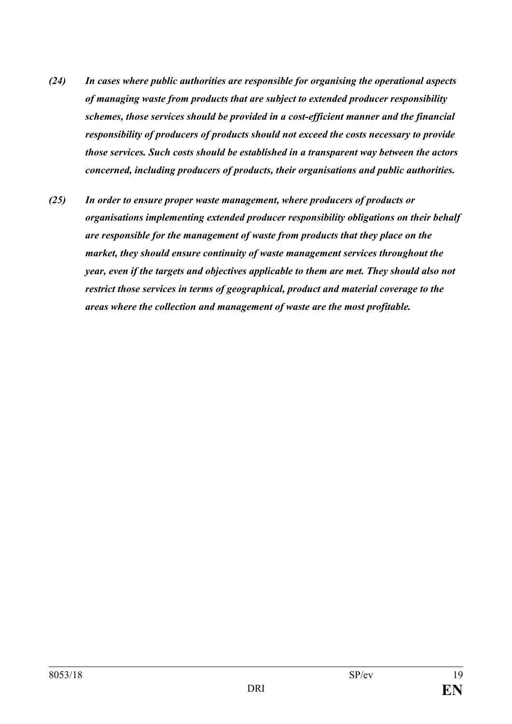- *(24) In cases where public authorities are responsible for organising the operational aspects of managing waste from products that are subject to extended producer responsibility schemes, those services should be provided in a cost-efficient manner and the financial responsibility of producers of products should not exceed the costs necessary to provide those services. Such costs should be established in a transparent way between the actors concerned, including producers of products, their organisations and public authorities.*
- *(25) In order to ensure proper waste management, where producers of products or organisations implementing extended producer responsibility obligations on their behalf are responsible for the management of waste from products that they place on the market, they should ensure continuity of waste management services throughout the year, even if the targets and objectives applicable to them are met. They should also not restrict those services in terms of geographical, product and material coverage to the areas where the collection and management of waste are the most profitable.*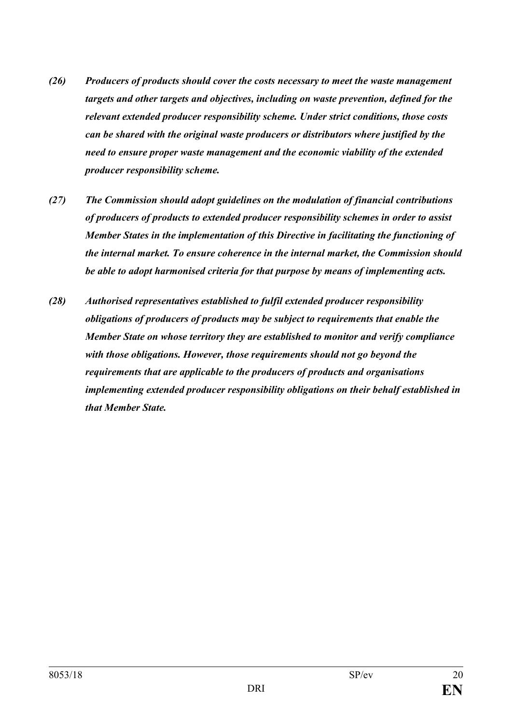- *(26) Producers of products should cover the costs necessary to meet the waste management targets and other targets and objectives, including on waste prevention, defined for the relevant extended producer responsibility scheme. Under strict conditions, those costs can be shared with the original waste producers or distributors where justified by the need to ensure proper waste management and the economic viability of the extended producer responsibility scheme.*
- *(27) The Commission should adopt guidelines on the modulation of financial contributions of producers of products to extended producer responsibility schemes in order to assist Member States in the implementation of this Directive in facilitating the functioning of the internal market. To ensure coherence in the internal market, the Commission should be able to adopt harmonised criteria for that purpose by means of implementing acts.*
- *(28) Authorised representatives established to fulfil extended producer responsibility obligations of producers of products may be subject to requirements that enable the Member State on whose territory they are established to monitor and verify compliance with those obligations. However, those requirements should not go beyond the requirements that are applicable to the producers of products and organisations implementing extended producer responsibility obligations on their behalf established in that Member State.*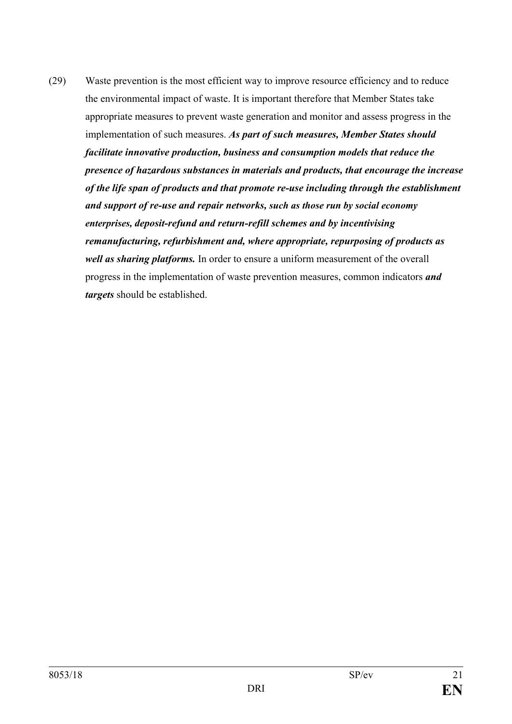(29) Waste prevention is the most efficient way to improve resource efficiency and to reduce the environmental impact of waste. It is important therefore that Member States take appropriate measures to prevent waste generation and monitor and assess progress in the implementation of such measures. *As part of such measures, Member States should facilitate innovative production, business and consumption models that reduce the presence of hazardous substances in materials and products, that encourage the increase of the life span of products and that promote re-use including through the establishment and support of re-use and repair networks, such as those run by social economy enterprises, deposit-refund and return-refill schemes and by incentivising remanufacturing, refurbishment and, where appropriate, repurposing of products as well as sharing platforms.* In order to ensure a uniform measurement of the overall progress in the implementation of waste prevention measures, common indicators *and targets* should be established.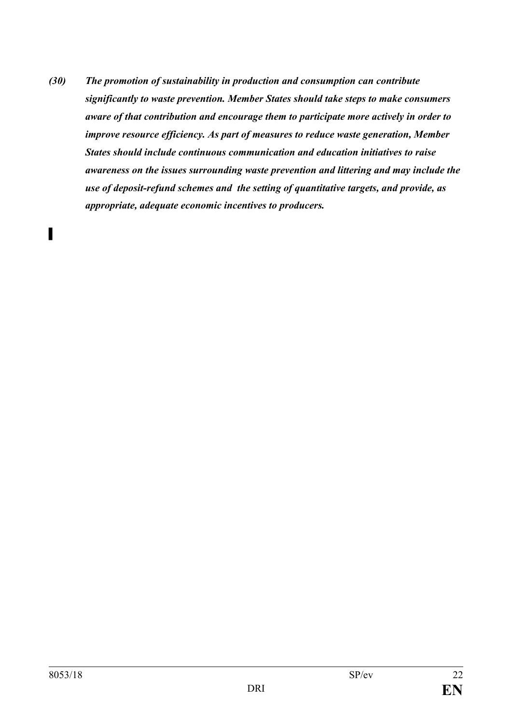*(30) The promotion of sustainability in production and consumption can contribute significantly to waste prevention. Member States should take steps to make consumers aware of that contribution and encourage them to participate more actively in order to improve resource efficiency. As part of measures to reduce waste generation, Member States should include continuous communication and education initiatives to raise awareness on the issues surrounding waste prevention and littering and may include the use of deposit-refund schemes and the setting of quantitative targets, and provide, as appropriate, adequate economic incentives to producers.*

*▌*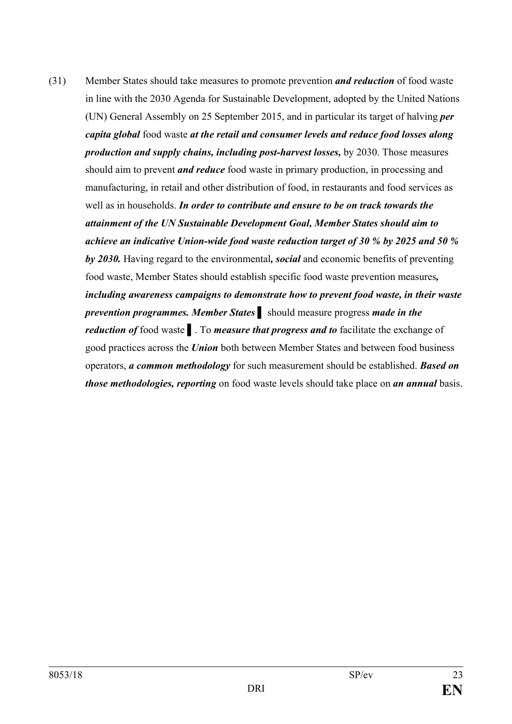(31) Member States should take measures to promote prevention *and reduction* of food waste in line with the 2030 Agenda for Sustainable Development, adopted by the United Nations (UN) General Assembly on 25 September 2015, and in particular its target of halving *per capita global* food waste *at the retail and consumer levels and reduce food losses along production and supply chains, including post-harvest losses,* by 2030. Those measures should aim to prevent *and reduce* food waste in primary production, in processing and manufacturing, in retail and other distribution of food, in restaurants and food services as well as in households. *In order to contribute and ensure to be on track towards the attainment of the UN Sustainable Development Goal, Member States should aim to achieve an indicative Union-wide food waste reduction target of 30 % by 2025 and 50 % by 2030.* Having regard to the environmental*, social* and economic benefits of preventing food waste, Member States should establish specific food waste prevention measures*, including awareness campaigns to demonstrate how to prevent food waste, in their waste prevention programmes. Member States* **▌** should measure progress *made in the reduction of* food waste **▌**. To *measure that progress and to* facilitate the exchange of good practices across the *Union* both between Member States and between food business operators, *a common methodology* for such measurement should be established. *Based on those methodologies, reporting* on food waste levels should take place on *an annual* basis.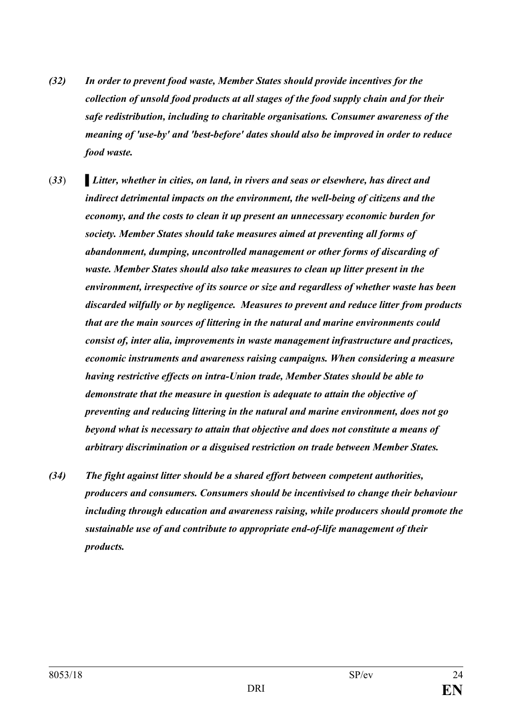- *(32) In order to prevent food waste, Member States should provide incentives for the collection of unsold food products at all stages of the food supply chain and for their safe redistribution, including to charitable organisations. Consumer awareness of the meaning of 'use-by' and 'best-before' dates should also be improved in order to reduce food waste.*
- (*33*) **▌***Litter, whether in cities, on land, in rivers and seas or elsewhere, has direct and indirect detrimental impacts on the environment, the well-being of citizens and the economy, and the costs to clean it up present an unnecessary economic burden for society. Member States should take measures aimed at preventing all forms of abandonment, dumping, uncontrolled management or other forms of discarding of waste. Member States should also take measures to clean up litter present in the environment, irrespective of its source or size and regardless of whether waste has been discarded wilfully or by negligence. Measures to prevent and reduce litter from products that are the main sources of littering in the natural and marine environments could consist of, inter alia, improvements in waste management infrastructure and practices, economic instruments and awareness raising campaigns. When considering a measure having restrictive effects on intra-Union trade, Member States should be able to demonstrate that the measure in question is adequate to attain the objective of preventing and reducing littering in the natural and marine environment, does not go beyond what is necessary to attain that objective and does not constitute a means of arbitrary discrimination or a disguised restriction on trade between Member States.*
- *(34) The fight against litter should be a shared effort between competent authorities, producers and consumers. Consumers should be incentivised to change their behaviour including through education and awareness raising, while producers should promote the sustainable use of and contribute to appropriate end-of-life management of their products.*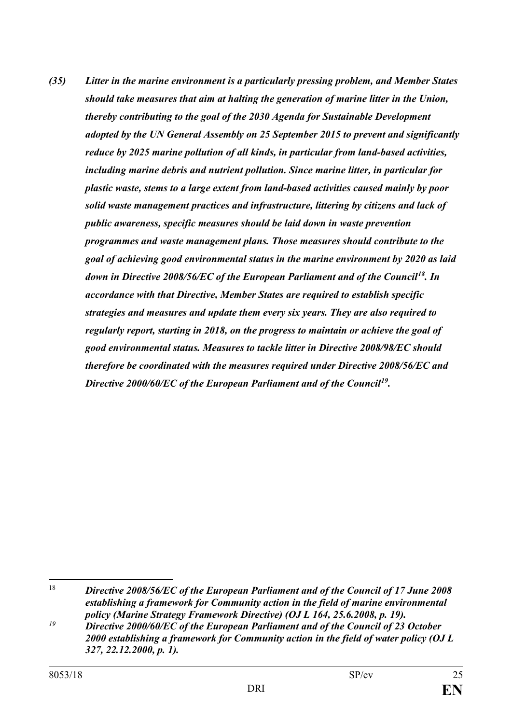*(35) Litter in the marine environment is a particularly pressing problem, and Member States should take measures that aim at halting the generation of marine litter in the Union, thereby contributing to the goal of the 2030 Agenda for Sustainable Development adopted by the UN General Assembly on 25 September 2015 to prevent and significantly reduce by 2025 marine pollution of all kinds, in particular from land-based activities, including marine debris and nutrient pollution. Since marine litter, in particular for plastic waste, stems to a large extent from land-based activities caused mainly by poor solid waste management practices and infrastructure, littering by citizens and lack of public awareness, specific measures should be laid down in waste prevention programmes and waste management plans. Those measures should contribute to the goal of achieving good environmental status in the marine environment by 2020 as laid down in Directive 2008/56/EC of the European Parliament and of the Council[18](#page-24-0). In accordance with that Directive, Member States are required to establish specific strategies and measures and update them every six years. They are also required to regularly report, starting in 2018, on the progress to maintain or achieve the goal of good environmental status. Measures to tackle litter in Directive 2008/98/EC should therefore be coordinated with the measures required under Directive 2008/56/EC and Directive 2000/60/EC of the European Parliament and of the Council[19](#page-24-1).*

<span id="page-24-0"></span> <sup>18</sup> *Directive 2008/56/EC of the European Parliament and of the Council of 17 June 2008 establishing a framework for Community action in the field of marine environmental policy (Marine Strategy Framework Directive) (OJ L 164, 25.6.2008, p. 19).*

<span id="page-24-1"></span>*<sup>19</sup> Directive 2000/60/EC of the European Parliament and of the Council of 23 October 2000 establishing a framework for Community action in the field of water policy (OJ L 327, 22.12.2000, p. 1).*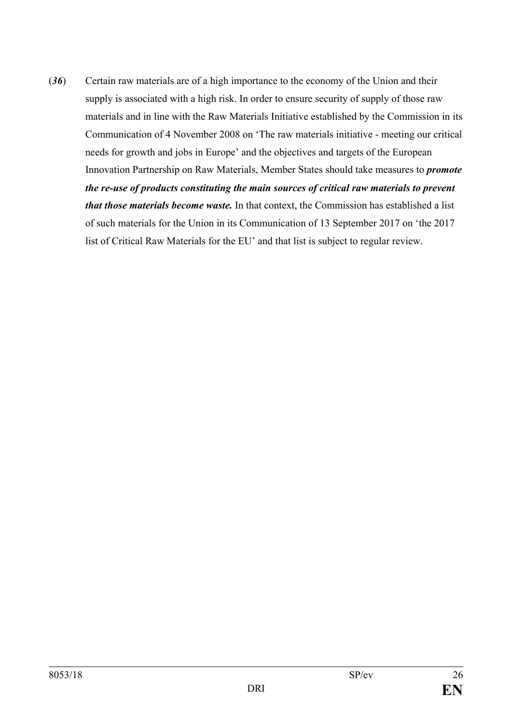(*36*) Certain raw materials are of a high importance to the economy of the Union and their supply is associated with a high risk. In order to ensure security of supply of those raw materials and in line with the Raw Materials Initiative established by the Commission in its Communication of 4 November 2008 on 'The raw materials initiative - meeting our critical needs for growth and jobs in Europe' and the objectives and targets of the European Innovation Partnership on Raw Materials, Member States should take measures to *promote the re-use of products constituting the main sources of critical raw materials to prevent that those materials become waste.* In that context, the Commission has established a list of such materials for the Union in its Communication of 13 September 2017 on 'the 2017 list of Critical Raw Materials for the EU' and that list is subject to regular review.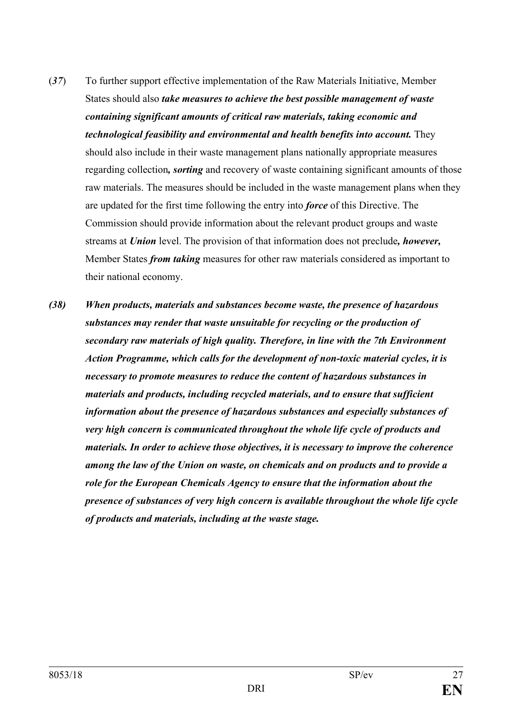- (*37*) To further support effective implementation of the Raw Materials Initiative, Member States should also *take measures to achieve the best possible management of waste containing significant amounts of critical raw materials, taking economic and technological feasibility and environmental and health benefits into account.* They should also include in their waste management plans nationally appropriate measures regarding collection*, sorting* and recovery of waste containing significant amounts of those raw materials. The measures should be included in the waste management plans when they are updated for the first time following the entry into *force* of this Directive. The Commission should provide information about the relevant product groups and waste streams at *Union* level. The provision of that information does not preclude*, however,* Member States *from taking* measures for other raw materials considered as important to their national economy.
- *(38) When products, materials and substances become waste, the presence of hazardous substances may render that waste unsuitable for recycling or the production of secondary raw materials of high quality. Therefore, in line with the 7th Environment Action Programme, which calls for the development of non-toxic material cycles, it is necessary to promote measures to reduce the content of hazardous substances in materials and products, including recycled materials, and to ensure that sufficient information about the presence of hazardous substances and especially substances of very high concern is communicated throughout the whole life cycle of products and materials. In order to achieve those objectives, it is necessary to improve the coherence among the law of the Union on waste, on chemicals and on products and to provide a role for the European Chemicals Agency to ensure that the information about the presence of substances of very high concern is available throughout the whole life cycle of products and materials, including at the waste stage.*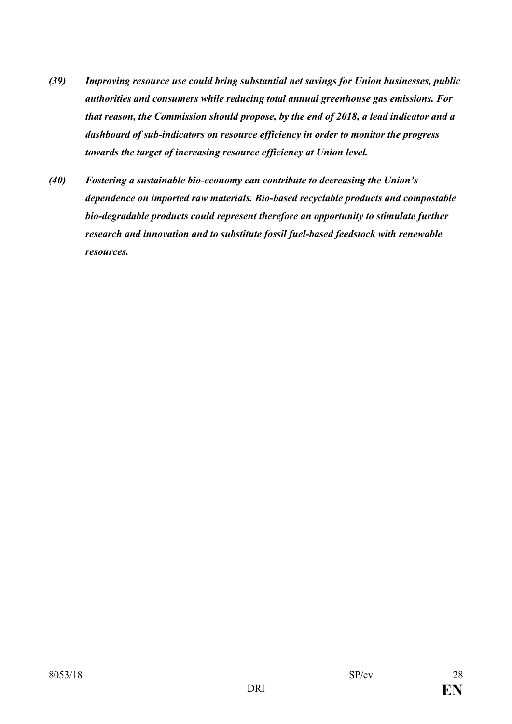- *(39) Improving resource use could bring substantial net savings for Union businesses, public authorities and consumers while reducing total annual greenhouse gas emissions. For that reason, the Commission should propose, by the end of 2018, a lead indicator and a dashboard of sub-indicators on resource efficiency in order to monitor the progress towards the target of increasing resource efficiency at Union level.*
- *(40) Fostering a sustainable bio-economy can contribute to decreasing the Union's dependence on imported raw materials. Bio-based recyclable products and compostable bio-degradable products could represent therefore an opportunity to stimulate further research and innovation and to substitute fossil fuel-based feedstock with renewable resources.*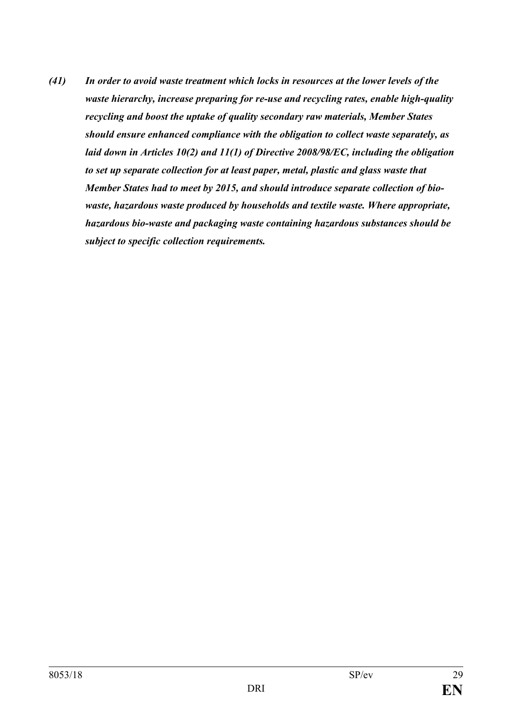*(41) In order to avoid waste treatment which locks in resources at the lower levels of the waste hierarchy, increase preparing for re-use and recycling rates, enable high-quality recycling and boost the uptake of quality secondary raw materials, Member States should ensure enhanced compliance with the obligation to collect waste separately, as laid down in Articles 10(2) and 11(1) of Directive 2008/98/EC, including the obligation to set up separate collection for at least paper, metal, plastic and glass waste that Member States had to meet by 2015, and should introduce separate collection of biowaste, hazardous waste produced by households and textile waste. Where appropriate, hazardous bio-waste and packaging waste containing hazardous substances should be subject to specific collection requirements.*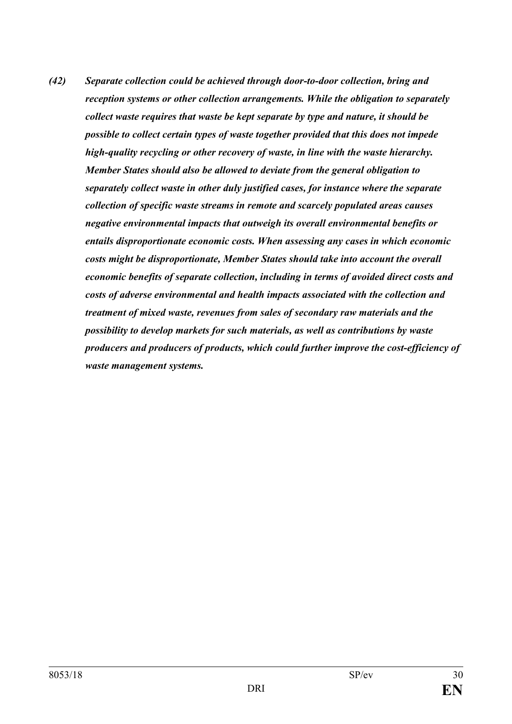*(42) Separate collection could be achieved through door-to-door collection, bring and reception systems or other collection arrangements. While the obligation to separately collect waste requires that waste be kept separate by type and nature, it should be possible to collect certain types of waste together provided that this does not impede high-quality recycling or other recovery of waste, in line with the waste hierarchy. Member States should also be allowed to deviate from the general obligation to separately collect waste in other duly justified cases, for instance where the separate collection of specific waste streams in remote and scarcely populated areas causes negative environmental impacts that outweigh its overall environmental benefits or entails disproportionate economic costs. When assessing any cases in which economic costs might be disproportionate, Member States should take into account the overall economic benefits of separate collection, including in terms of avoided direct costs and costs of adverse environmental and health impacts associated with the collection and treatment of mixed waste, revenues from sales of secondary raw materials and the possibility to develop markets for such materials, as well as contributions by waste producers and producers of products, which could further improve the cost-efficiency of waste management systems.*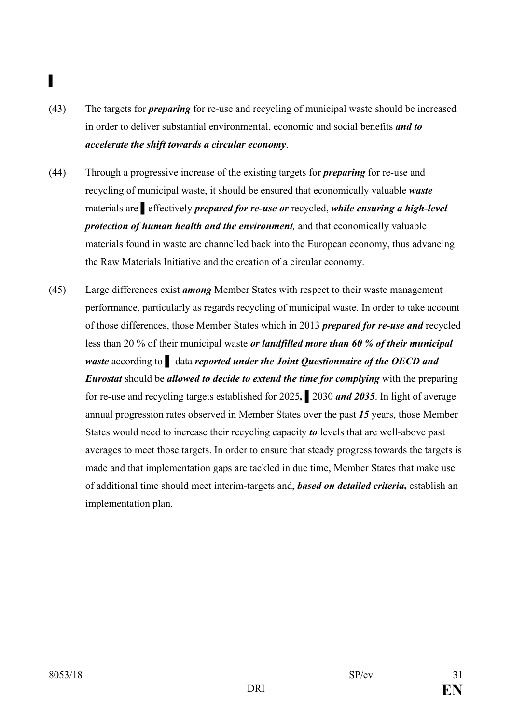# **▌**

- (43) The targets for *preparing* for re-use and recycling of municipal waste should be increased in order to deliver substantial environmental, economic and social benefits *and to accelerate the shift towards a circular economy*.
- (44) Through a progressive increase of the existing targets for *preparing* for re-use and recycling of municipal waste, it should be ensured that economically valuable *waste* materials are **▌**effectively *prepared for re-use or* recycled, *while ensuring a high-level protection of human health and the environment,* and that economically valuable materials found in waste are channelled back into the European economy, thus advancing the Raw Materials Initiative and the creation of a circular economy.
- (45) Large differences exist *among* Member States with respect to their waste management performance, particularly as regards recycling of municipal waste. In order to take account of those differences, those Member States which in 2013 *prepared for re-use and* recycled less than 20 % of their municipal waste *or landfilled more than 60 % of their municipal waste* according to **▌** data *reported under the Joint Questionnaire of the OECD and Eurostat* should be *allowed to decide to extend the time for complying* with the preparing for re-use and recycling targets established for 2025*,* **▌**2030 *and 2035*. In light of average annual progression rates observed in Member States over the past *15* years, those Member States would need to increase their recycling capacity *to* levels that are well-above past averages to meet those targets. In order to ensure that steady progress towards the targets is made and that implementation gaps are tackled in due time, Member States that make use of additional time should meet interim-targets and, *based on detailed criteria,* establish an implementation plan.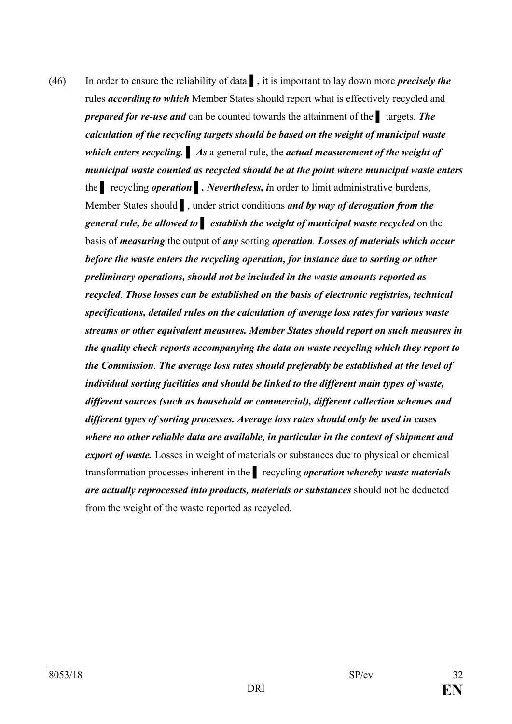(46) In order to ensure the reliability of data **▌,** it is important to lay down more *precisely the* rules *according to which* Member States should report what is effectively recycled and *prepared for re-use and* can be counted towards the attainment of the **▌** targets. *The calculation of the recycling targets should be based on the weight of municipal waste which enters recycling.* **▌** *As* a general rule, the *actual measurement of the weight of municipal waste counted as recycled should be at the point where municipal waste enters* the **▌** recycling *operation* **▌***. Nevertheless, i*n order to limit administrative burdens, Member States should **▌**, under strict conditions *and by way of derogation from the general rule, be allowed to* **▌** *establish the weight of municipal waste recycled* on the basis of *measuring* the output of *any* sorting *operation. Losses of materials which occur before the waste enters the recycling operation, for instance due to sorting or other preliminary operations, should not be included in the waste amounts reported as recycled. Those losses can be established on the basis of electronic registries, technical specifications, detailed rules on the calculation of average loss rates for various waste streams or other equivalent measures. Member States should report on such measures in the quality check reports accompanying the data on waste recycling which they report to the Commission. The average loss rates should preferably be established at the level of individual sorting facilities and should be linked to the different main types of waste, different sources (such as household or commercial), different collection schemes and different types of sorting processes. Average loss rates should only be used in cases where no other reliable data are available, in particular in the context of shipment and export of waste.* Losses in weight of materials or substances due to physical or chemical transformation processes inherent in the **▌** recycling *operation whereby waste materials are actually reprocessed into products, materials or substances* should not be deducted from the weight of the waste reported as recycled.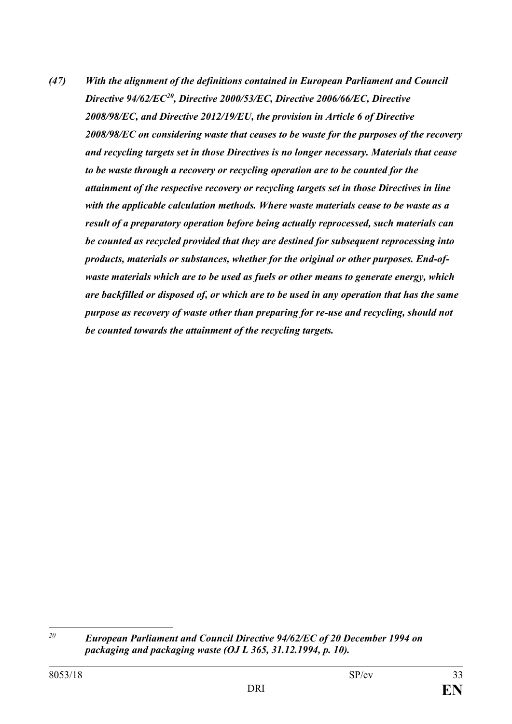*(47) With the alignment of the definitions contained in European Parliament and Council Directive 94/62/EC[20](#page-32-0), Directive 2000/53/EC, Directive 2006/66/EC, Directive 2008/98/EC, and Directive 2012/19/EU, the provision in Article 6 of Directive 2008/98/EC on considering waste that ceases to be waste for the purposes of the recovery and recycling targets set in those Directives is no longer necessary. Materials that cease to be waste through a recovery or recycling operation are to be counted for the attainment of the respective recovery or recycling targets set in those Directives in line with the applicable calculation methods. Where waste materials cease to be waste as a result of a preparatory operation before being actually reprocessed, such materials can be counted as recycled provided that they are destined for subsequent reprocessing into products, materials or substances, whether for the original or other purposes. End-ofwaste materials which are to be used as fuels or other means to generate energy, which are backfilled or disposed of, or which are to be used in any operation that has the same purpose as recovery of waste other than preparing for re-use and recycling, should not be counted towards the attainment of the recycling targets.*

<span id="page-32-0"></span><sup>20</sup> *<sup>20</sup> European Parliament and Council Directive 94/62/EC of 20 December 1994 on packaging and packaging waste (OJ L 365, 31.12.1994, p. 10).*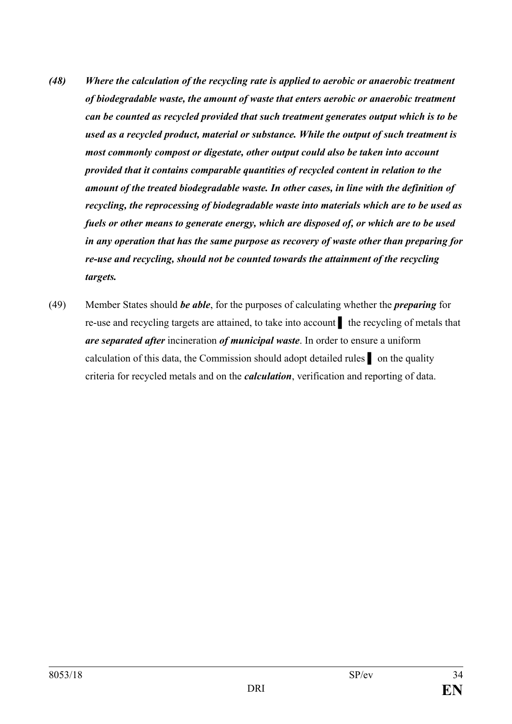- *(48) Where the calculation of the recycling rate is applied to aerobic or anaerobic treatment of biodegradable waste, the amount of waste that enters aerobic or anaerobic treatment can be counted as recycled provided that such treatment generates output which is to be used as a recycled product, material or substance. While the output of such treatment is most commonly compost or digestate, other output could also be taken into account provided that it contains comparable quantities of recycled content in relation to the amount of the treated biodegradable waste. In other cases, in line with the definition of recycling, the reprocessing of biodegradable waste into materials which are to be used as fuels or other means to generate energy, which are disposed of, or which are to be used in any operation that has the same purpose as recovery of waste other than preparing for re-use and recycling, should not be counted towards the attainment of the recycling targets.*
- (49) Member States should *be able*, for the purposes of calculating whether the *preparing* for re-use and recycling targets are attained, to take into account **▌** the recycling of metals that *are separated after* incineration *of municipal waste*. In order to ensure a uniform calculation of this data, the Commission should adopt detailed rules **▌** on the quality criteria for recycled metals and on the *calculation*, verification and reporting of data.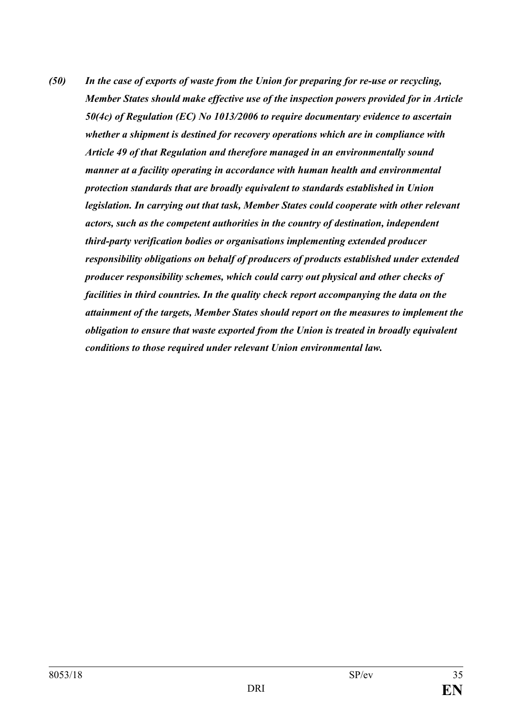*(50) In the case of exports of waste from the Union for preparing for re-use or recycling, Member States should make effective use of the inspection powers provided for in Article 50(4c) of Regulation (EC) No 1013/2006 to require documentary evidence to ascertain whether a shipment is destined for recovery operations which are in compliance with Article 49 of that Regulation and therefore managed in an environmentally sound manner at a facility operating in accordance with human health and environmental protection standards that are broadly equivalent to standards established in Union legislation. In carrying out that task, Member States could cooperate with other relevant actors, such as the competent authorities in the country of destination, independent third-party verification bodies or organisations implementing extended producer responsibility obligations on behalf of producers of products established under extended producer responsibility schemes, which could carry out physical and other checks of facilities in third countries. In the quality check report accompanying the data on the attainment of the targets, Member States should report on the measures to implement the obligation to ensure that waste exported from the Union is treated in broadly equivalent conditions to those required under relevant Union environmental law.*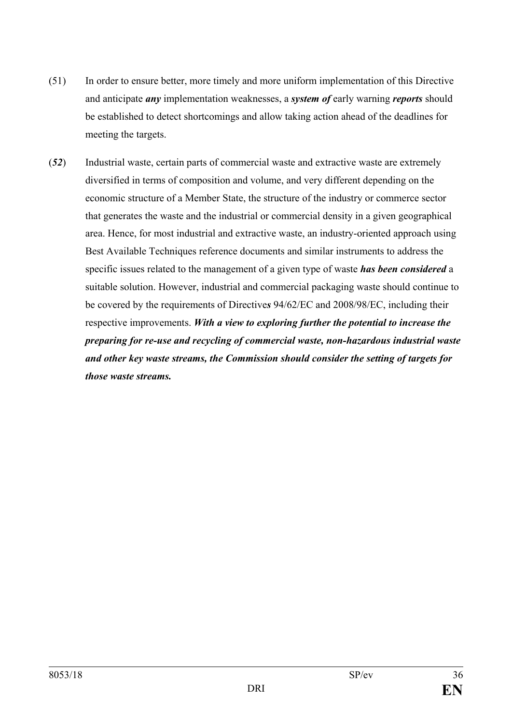- (51) In order to ensure better, more timely and more uniform implementation of this Directive and anticipate *any* implementation weaknesses, a *system of* early warning *reports* should be established to detect shortcomings and allow taking action ahead of the deadlines for meeting the targets.
- (*52*) Industrial waste, certain parts of commercial waste and extractive waste are extremely diversified in terms of composition and volume, and very different depending on the economic structure of a Member State, the structure of the industry or commerce sector that generates the waste and the industrial or commercial density in a given geographical area. Hence, for most industrial and extractive waste, an industry-oriented approach using Best Available Techniques reference documents and similar instruments to address the specific issues related to the management of a given type of waste *has been considered* a suitable solution. However, industrial and commercial packaging waste should continue to be covered by the requirements of Directive*s* 94/62/EC and 2008/98/EC, including their respective improvements. *With a view to exploring further the potential to increase the preparing for re-use and recycling of commercial waste, non-hazardous industrial waste and other key waste streams, the Commission should consider the setting of targets for those waste streams.*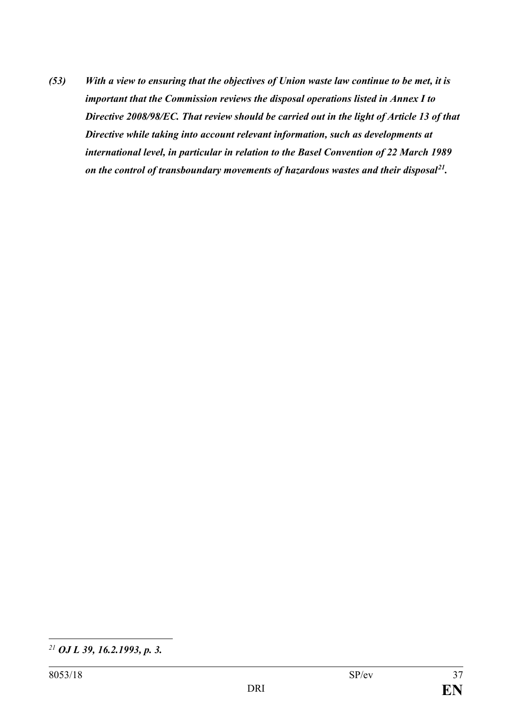*(53) With a view to ensuring that the objectives of Union waste law continue to be met, it is important that the Commission reviews the disposal operations listed in Annex I to Directive 2008/98/EC. That review should be carried out in the light of Article 13 of that Directive while taking into account relevant information, such as developments at international level, in particular in relation to the Basel Convention of 22 March 1989 on the control of transboundary movements of hazardous wastes and their disposal [21.](#page-36-0)*

<span id="page-36-0"></span> $\overline{a}$ *<sup>21</sup> OJ L 39, 16.2.1993, p. 3.*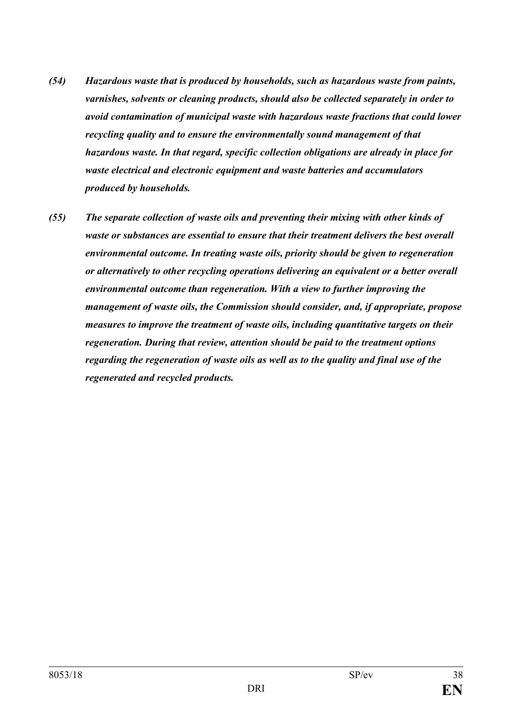- *(54) Hazardous waste that is produced by households, such as hazardous waste from paints, varnishes, solvents or cleaning products, should also be collected separately in order to avoid contamination of municipal waste with hazardous waste fractions that could lower recycling quality and to ensure the environmentally sound management of that hazardous waste. In that regard, specific collection obligations are already in place for waste electrical and electronic equipment and waste batteries and accumulators produced by households.*
- *(55) The separate collection of waste oils and preventing their mixing with other kinds of waste or substances are essential to ensure that their treatment delivers the best overall environmental outcome. In treating waste oils, priority should be given to regeneration or alternatively to other recycling operations delivering an equivalent or a better overall environmental outcome than regeneration. With a view to further improving the management of waste oils, the Commission should consider, and, if appropriate, propose measures to improve the treatment of waste oils, including quantitative targets on their regeneration. During that review, attention should be paid to the treatment options regarding the regeneration of waste oils as well as to the quality and final use of the regenerated and recycled products.*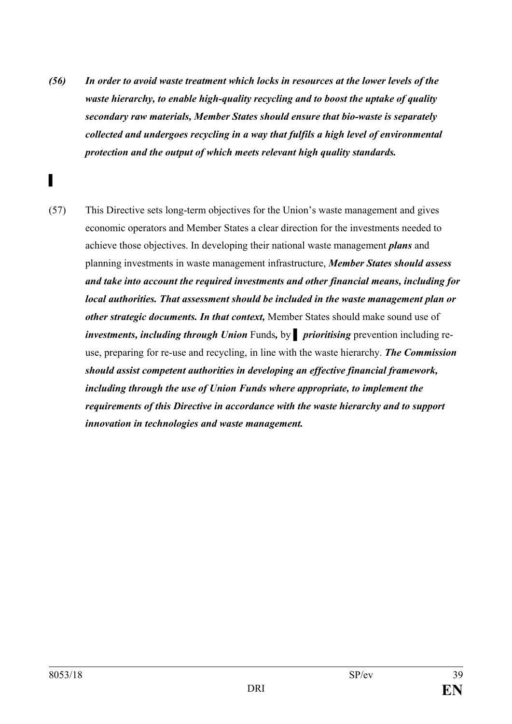- *(56) In order to avoid waste treatment which locks in resources at the lower levels of the waste hierarchy, to enable high-quality recycling and to boost the uptake of quality secondary raw materials, Member States should ensure that bio-waste is separately collected and undergoes recycling in a way that fulfils a high level of environmental protection and the output of which meets relevant high quality standards.*
- (57) This Directive sets long-term objectives for the Union's waste management and gives economic operators and Member States a clear direction for the investments needed to achieve those objectives. In developing their national waste management *plans* and planning investments in waste management infrastructure, *Member States should assess and take into account the required investments and other financial means, including for local authorities. That assessment should be included in the waste management plan or other strategic documents. In that context,* Member States should make sound use of *investments, including through Union* Funds*,* by **▌** *prioritising* prevention including reuse, preparing for re-use and recycling, in line with the waste hierarchy. *The Commission should assist competent authorities in developing an effective financial framework, including through the use of Union Funds where appropriate, to implement the requirements of this Directive in accordance with the waste hierarchy and to support innovation in technologies and waste management.*

**▌**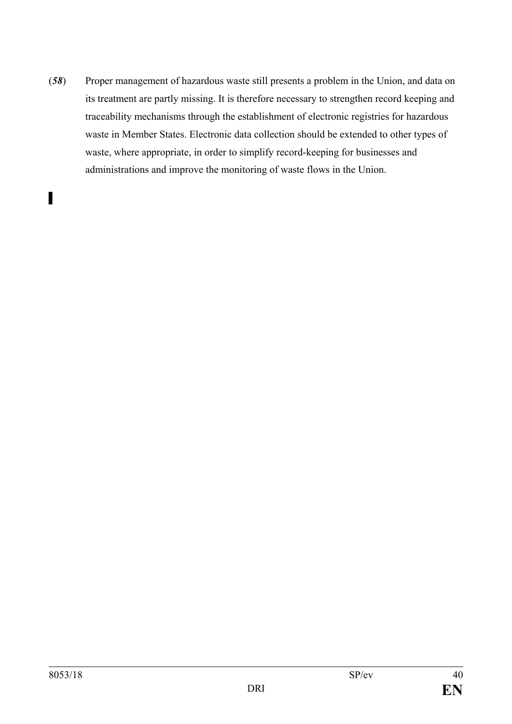(*58*) Proper management of hazardous waste still presents a problem in the Union, and data on its treatment are partly missing. It is therefore necessary to strengthen record keeping and traceability mechanisms through the establishment of electronic registries for hazardous waste in Member States. Electronic data collection should be extended to other types of waste, where appropriate, in order to simplify record-keeping for businesses and administrations and improve the monitoring of waste flows in the Union.

**▌**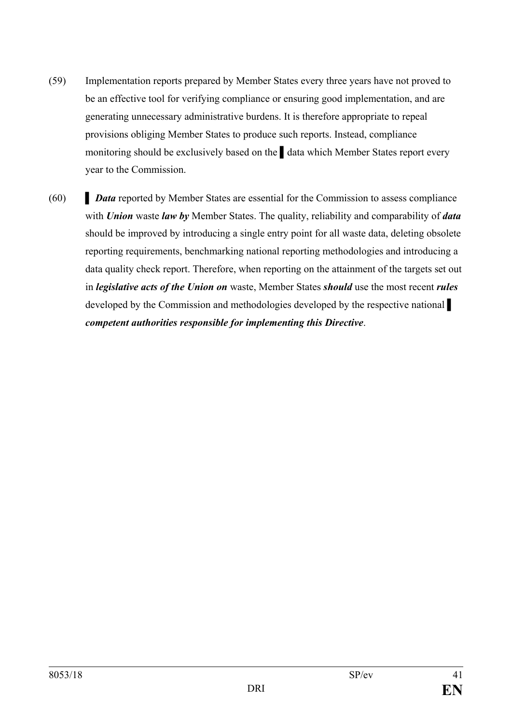- (59) Implementation reports prepared by Member States every three years have not proved to be an effective tool for verifying compliance or ensuring good implementation, and are generating unnecessary administrative burdens. It is therefore appropriate to repeal provisions obliging Member States to produce such reports. Instead, compliance monitoring should be exclusively based on the **▌**data which Member States report every year to the Commission.
- (60) **▌** *Data* reported by Member States are essential for the Commission to assess compliance with *Union* waste *law by* Member States. The quality, reliability and comparability of *data* should be improved by introducing a single entry point for all waste data, deleting obsolete reporting requirements, benchmarking national reporting methodologies and introducing a data quality check report. Therefore, when reporting on the attainment of the targets set out in *legislative acts of the Union on* waste, Member States *should* use the most recent *rules* developed by the Commission and methodologies developed by the respective national *competent authorities responsible for implementing this Directive*.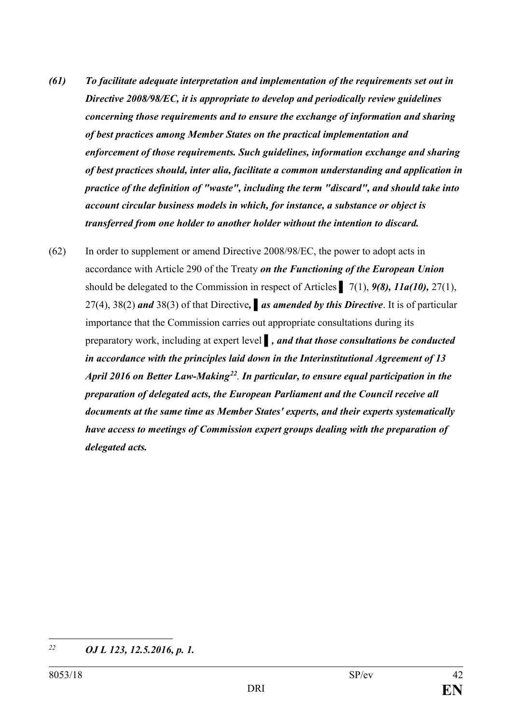- *(61) To facilitate adequate interpretation and implementation of the requirements set out in Directive 2008/98/EC, it is appropriate to develop and periodically review guidelines concerning those requirements and to ensure the exchange of information and sharing of best practices among Member States on the practical implementation and enforcement of those requirements. Such guidelines, information exchange and sharing of best practices should, inter alia, facilitate a common understanding and application in practice of the definition of "waste", including the term "discard", and should take into account circular business models in which, for instance, a substance or object is transferred from one holder to another holder without the intention to discard.*
- (62) In order to supplement or amend Directive 2008/98/EC, the power to adopt acts in accordance with Article 290 of the Treaty *on the Functioning of the European Union*  should be delegated to the Commission in respect of Articles **▌** 7(1), *9(8), 11a(10),* 27(1), 27(4), 38(2) *and* 38(3) of that Directive*,* **▌***as amended by this Directive*. It is of particular importance that the Commission carries out appropriate consultations during its preparatory work, including at expert level *▌, and that those consultations be conducted in accordance with the principles laid down in the Interinstitutional Agreement of 13 April 2016 on Better Law-Making[22](#page-41-0). In particular, to ensure equal participation in the preparation of delegated acts, the European Parliament and the Council receive all documents at the same time as Member States' experts, and their experts systematically have access to meetings of Commission expert groups dealing with the preparation of delegated acts.*

<span id="page-41-0"></span><sup>22</sup> *<sup>22</sup> OJ L 123, 12.5.2016, p. 1.*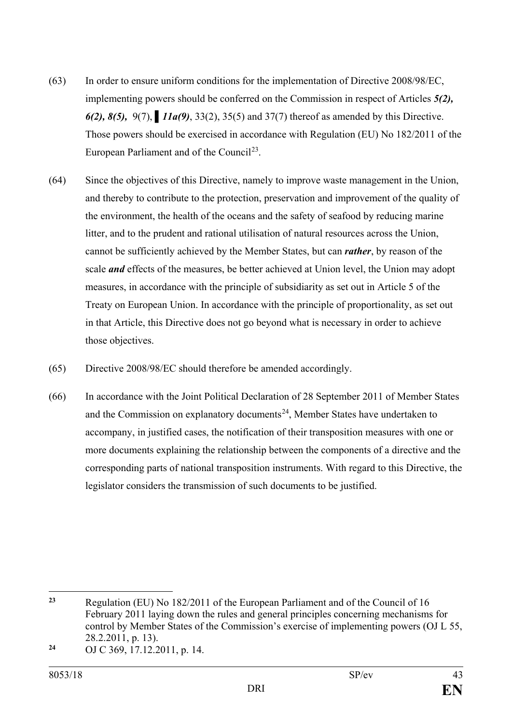- (63) In order to ensure uniform conditions for the implementation of Directive 2008/98/EC, implementing powers should be conferred on the Commission in respect of Articles *5(2), 6(2), 8(5),* 9(7), **▌***11a(9)*, 33(2), 35(5) and 37(7) thereof as amended by this Directive. Those powers should be exercised in accordance with Regulation (EU) No 182/2011 of the European Parliament and of the Council<sup>23</sup>.
- (64) Since the objectives of this Directive, namely to improve waste management in the Union, and thereby to contribute to the protection, preservation and improvement of the quality of the environment, the health of the oceans and the safety of seafood by reducing marine litter, and to the prudent and rational utilisation of natural resources across the Union, cannot be sufficiently achieved by the Member States, but can *rather*, by reason of the scale *and* effects of the measures, be better achieved at Union level, the Union may adopt measures, in accordance with the principle of subsidiarity as set out in Article 5 of the Treaty on European Union. In accordance with the principle of proportionality, as set out in that Article, this Directive does not go beyond what is necessary in order to achieve those objectives.
- (65) Directive 2008/98/EC should therefore be amended accordingly.
- (66) In accordance with the Joint Political Declaration of 28 September 2011 of Member States and the Commission on explanatory documents<sup>[24](#page-42-1)</sup>, Member States have undertaken to accompany, in justified cases, the notification of their transposition measures with one or more documents explaining the relationship between the components of a directive and the corresponding parts of national transposition instruments. With regard to this Directive, the legislator considers the transmission of such documents to be justified.

<span id="page-42-0"></span> $23$ **<sup>23</sup>** Regulation (EU) No 182/2011 of the European Parliament and of the Council of 16 February 2011 laying down the rules and general principles concerning mechanisms for control by Member States of the Commission's exercise of implementing powers (OJ L 55, 28.2.2011, p. 13).

<span id="page-42-1"></span>**<sup>24</sup>** OJ C 369, 17.12.2011, p. 14.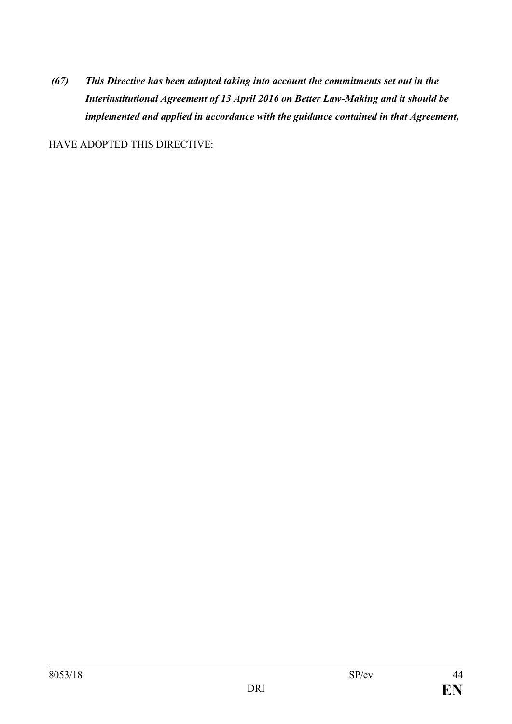*(67) This Directive has been adopted taking into account the commitments set out in the Interinstitutional Agreement of 13 April 2016 on Better Law-Making and it should be implemented and applied in accordance with the guidance contained in that Agreement,*

HAVE ADOPTED THIS DIRECTIVE: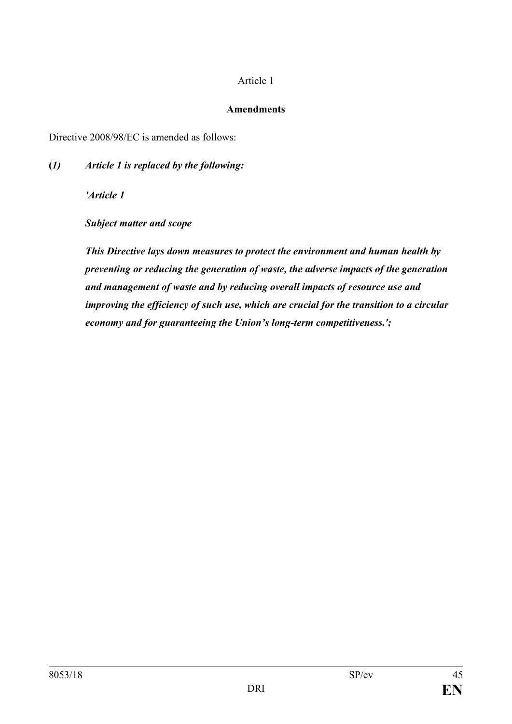#### Article 1

#### **Amendments**

Directive 2008/98/EC is amended as follows:

**(***1) Article 1 is replaced by the following:*

*'Article 1*

*Subject matter and scope*

*This Directive lays down measures to protect the environment and human health by preventing or reducing the generation of waste, the adverse impacts of the generation and management of waste and by reducing overall impacts of resource use and improving the efficiency of such use, which are crucial for the transition to a circular economy and for guaranteeing the Union's long-term competitiveness.';*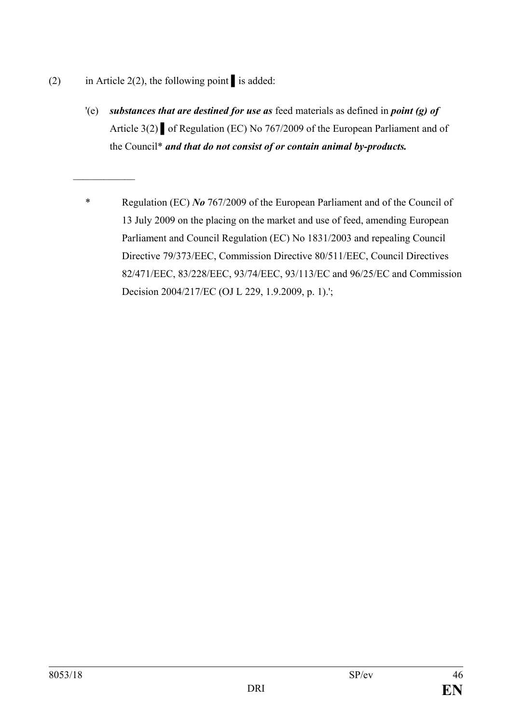(2) in Article 2(2), the following point *▌*is added:

*\_\_\_\_\_\_\_\_\_\_\_\_*

- '(e) *substances that are destined for use as* feed materials as defined in *point (g) of*  Article 3(2) *▌*of Regulation (EC) No 767/2009 of the European Parliament and of the Council\* *and that do not consist of or contain animal by-products.*
- \* Regulation (EC) *No* 767/2009 of the European Parliament and of the Council of 13 July 2009 on the placing on the market and use of feed, amending European Parliament and Council Regulation (EC) No 1831/2003 and repealing Council Directive 79/373/EEC, Commission Directive 80/511/EEC, Council Directives 82/471/EEC, 83/228/EEC, 93/74/EEC, 93/113/EC and 96/25/EC and Commission Decision 2004/217/EC (OJ L 229, 1.9.2009, p. 1).';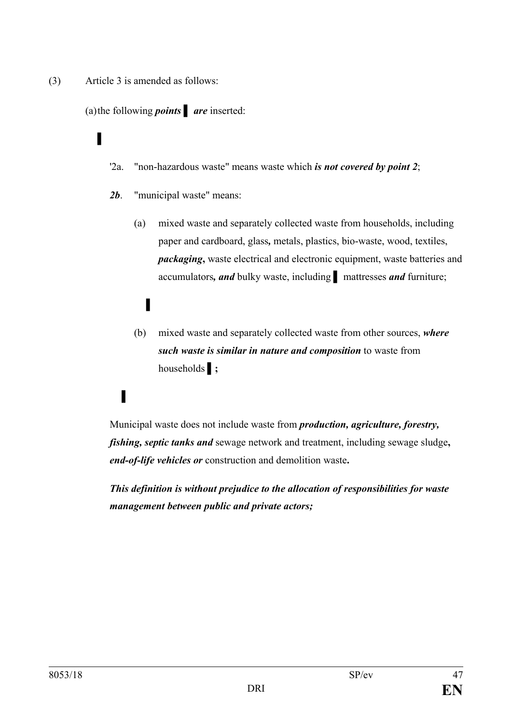(3) Article 3 is amended as follows:

(a)the following *points* **▌** *are* inserted:

### **▌**

- '2a. "non-hazardous waste" means waste which *is not covered by point 2*;
- *2b*. "municipal waste" means:
	- (a) mixed waste and separately collected waste from households, including paper and cardboard, glass*,* metals, plastics, bio-waste, wood, textiles, *packaging*, waste electrical and electronic equipment, waste batteries and accumulators*, and* bulky waste, including **▌** mattresses *and* furniture;

# **▌**

(b) mixed waste and separately collected waste from other sources, *where such waste is similar in nature and composition* to waste from households **▌;**

## **▌**

Municipal waste does not include waste from *production, agriculture, forestry, fishing, septic tanks and* sewage network and treatment, including sewage sludge**,**  *end-of-life vehicles or* construction and demolition waste**.**

*This definition is without prejudice to the allocation of responsibilities for waste management between public and private actors;*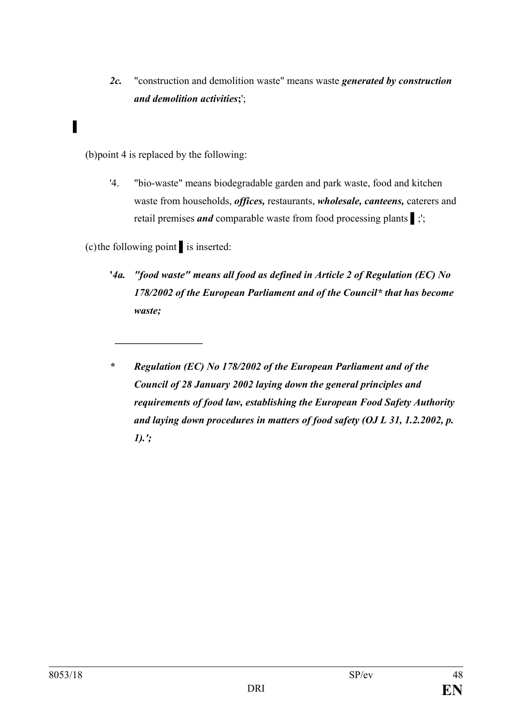*2c.* "construction and demolition waste" means waste *generated by construction and demolition activities***;**';

### **▌**

(b)point 4 is replaced by the following:

'4. "bio-waste" means biodegradable garden and park waste, food and kitchen waste from households, *offices,* restaurants, *wholesale, canteens,* caterers and retail premises *and* comparable waste from food processing plants **▌**;';

(c)the following point **▌**is inserted:

*\_\_\_\_\_\_\_\_\_\_\_\_\_\_\_\_\_*

- **'***4a. "food waste" means all food as defined in Article 2 of Regulation (EC) No 178/2002 of the European Parliament and of the Council\* that has become waste;*
- *\* Regulation (EC) No 178/2002 of the European Parliament and of the Council of 28 January 2002 laying down the general principles and requirements of food law, establishing the European Food Safety Authority and laying down procedures in matters of food safety (OJ L 31, 1.2.2002, p. 1).';*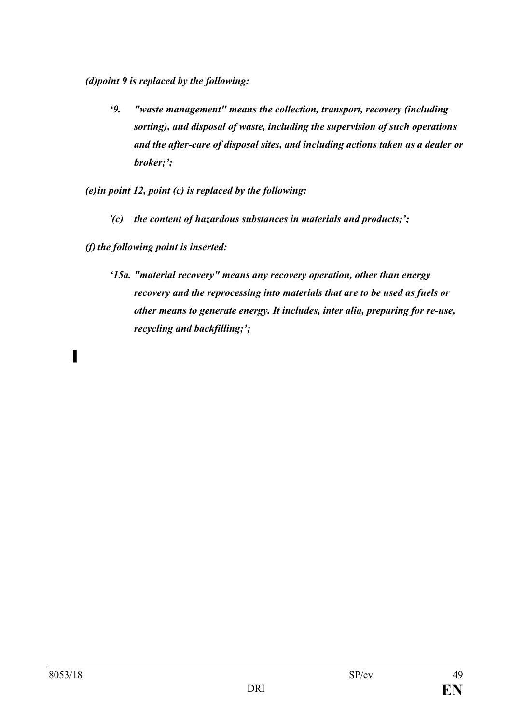*(d)point 9 is replaced by the following:*

*'9. "waste management" means the collection, transport, recovery (including sorting), and disposal of waste, including the supervision of such operations and the after-care of disposal sites, and including actions taken as a dealer or broker;';*

*(e)in point 12, point (c) is replaced by the following:*

*'(c) the content of hazardous substances in materials and products;';*

*(f) the following point is inserted:*

*'15a. "material recovery" means any recovery operation, other than energy recovery and the reprocessing into materials that are to be used as fuels or other means to generate energy. It includes, inter alia, preparing for re-use, recycling and backfilling;';*

**▌**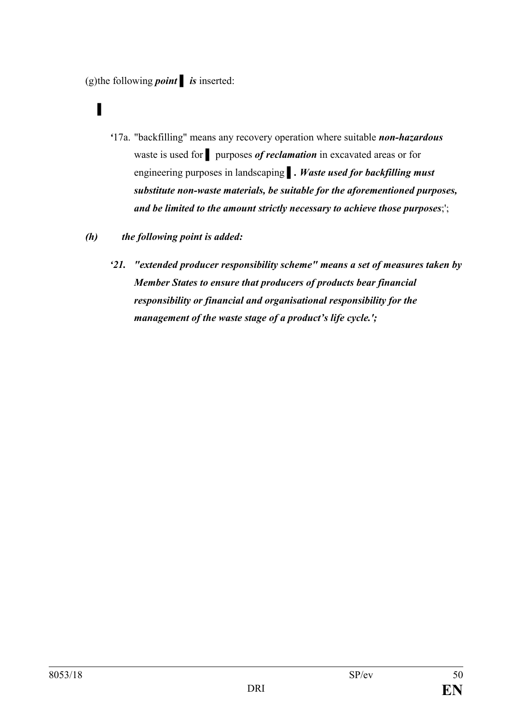(g)the following *point* **▌** *is* inserted:

## **▌**

- *'*17a. "backfilling" means any recovery operation where suitable *non-hazardous* waste is used for **▌** purposes *of reclamation* in excavated areas or for engineering purposes in landscaping *▌. Waste used for backfilling must substitute non-waste materials, be suitable for the aforementioned purposes, and be limited to the amount strictly necessary to achieve those purposes*;';
- *(h) the following point is added:*
	- *'21. "extended producer responsibility scheme" means a set of measures taken by Member States to ensure that producers of products bear financial responsibility or financial and organisational responsibility for the management of the waste stage of a product's life cycle.';*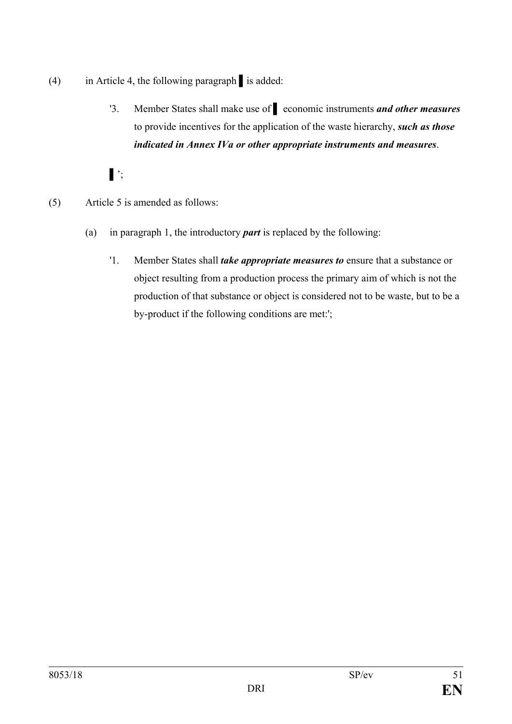- (4) in Article 4, the following paragraph **▌**is added:
	- '3. Member States shall make use of **▌** economic instruments *and other measures* to provide incentives for the application of the waste hierarchy, *such as those indicated in Annex IVa or other appropriate instruments and measures*.
	- **▌**';
- (5) Article 5 is amended as follows:
	- (a) in paragraph 1, the introductory *part* is replaced by the following:
		- '1. Member States shall *take appropriate measures to* ensure that a substance or object resulting from a production process the primary aim of which is not the production of that substance or object is considered not to be waste, but to be a by-product if the following conditions are met:';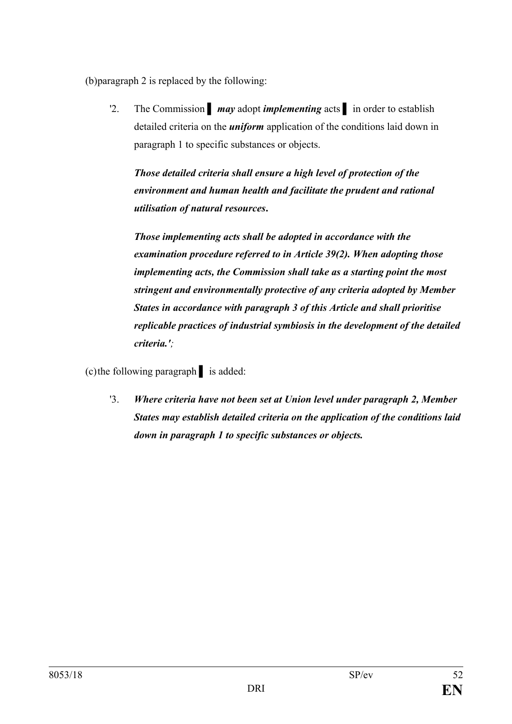(b)paragraph 2 is replaced by the following:

'2. The Commission **▌** *may* adopt *implementing* acts **▌** in order to establish detailed criteria on the *uniform* application of the conditions laid down in paragraph 1 to specific substances or objects.

*Those detailed criteria shall ensure a high level of protection of the environment and human health and facilitate the prudent and rational utilisation of natural resources***.**

*Those implementing acts shall be adopted in accordance with the examination procedure referred to in Article 39(2). When adopting those implementing acts, the Commission shall take as a starting point the most stringent and environmentally protective of any criteria adopted by Member States in accordance with paragraph 3 of this Article and shall prioritise replicable practices of industrial symbiosis in the development of the detailed criteria.';*

(c)the following paragraph **▌** is added:

'3. *Where criteria have not been set at Union level under paragraph 2, Member States may establish detailed criteria on the application of the conditions laid down in paragraph 1 to specific substances or objects.*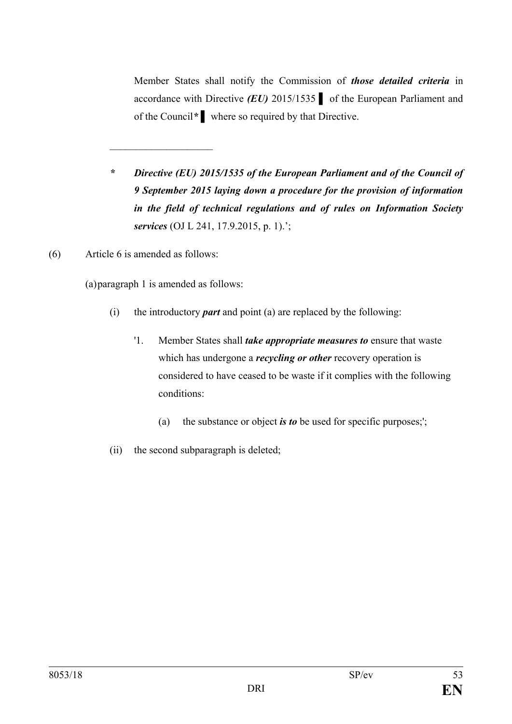Member States shall notify the Commission of *those detailed criteria* in accordance with Directive *(EU)* 2015/1535 **▌** of the European Parliament and of the Council*\** **▌** where so required by that Directive.

- *\* Directive (EU) 2015/1535 of the European Parliament and of the Council of 9 September 2015 laying down a procedure for the provision of information in the field of technical regulations and of rules on Information Society services* (OJ L 241, 17.9.2015, p. 1).';
- (6) Article 6 is amended as follows:

(a)paragraph 1 is amended as follows:

 $\overline{\phantom{a}}$ 

- (i) the introductory *part* and point (a) are replaced by the following:
	- '1. Member States shall *take appropriate measures to* ensure that waste which has undergone a *recycling or other* recovery operation is considered to have ceased to be waste if it complies with the following conditions:
		- (a) the substance or object *is to* be used for specific purposes;';
- (ii) the second subparagraph is deleted;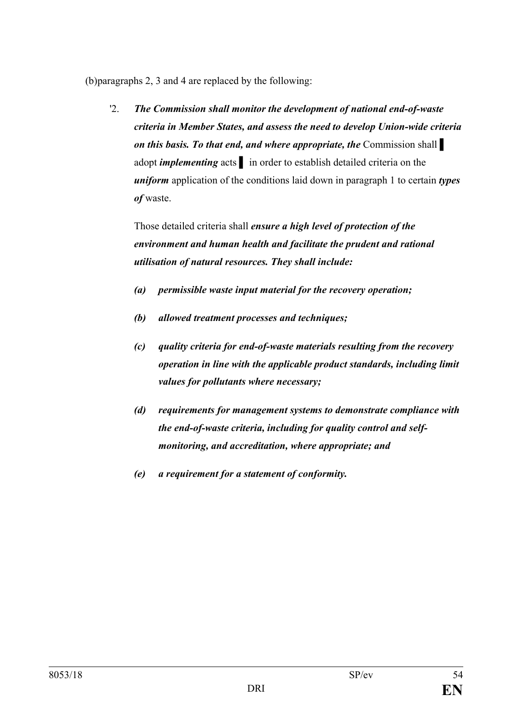(b)paragraphs 2, 3 and 4 are replaced by the following:

'2. *The Commission shall monitor the development of national end-of-waste criteria in Member States, and assess the need to develop Union-wide criteria on this basis. To that end, and where appropriate, the* Commission shall **▌**  adopt *implementing* acts **a** in order to establish detailed criteria on the *uniform* application of the conditions laid down in paragraph 1 to certain *types of* waste.

Those detailed criteria shall *ensure a high level of protection of the environment and human health and facilitate the prudent and rational utilisation of natural resources. They shall include:*

- *(a) permissible waste input material for the recovery operation;*
- *(b) allowed treatment processes and techniques;*
- *(c) quality criteria for end-of-waste materials resulting from the recovery operation in line with the applicable product standards, including limit values for pollutants where necessary;*
- *(d) requirements for management systems to demonstrate compliance with the end-of-waste criteria, including for quality control and selfmonitoring, and accreditation, where appropriate; and*
- *(e) a requirement for a statement of conformity.*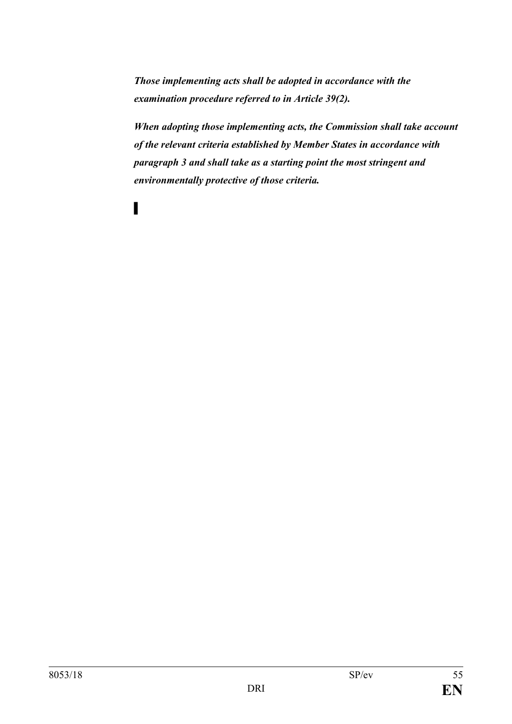*Those implementing acts shall be adopted in accordance with the examination procedure referred to in Article 39(2).* 

**▌**

*When adopting those implementing acts, the Commission shall take account of the relevant criteria established by Member States in accordance with paragraph 3 and shall take as a starting point the most stringent and environmentally protective of those criteria.*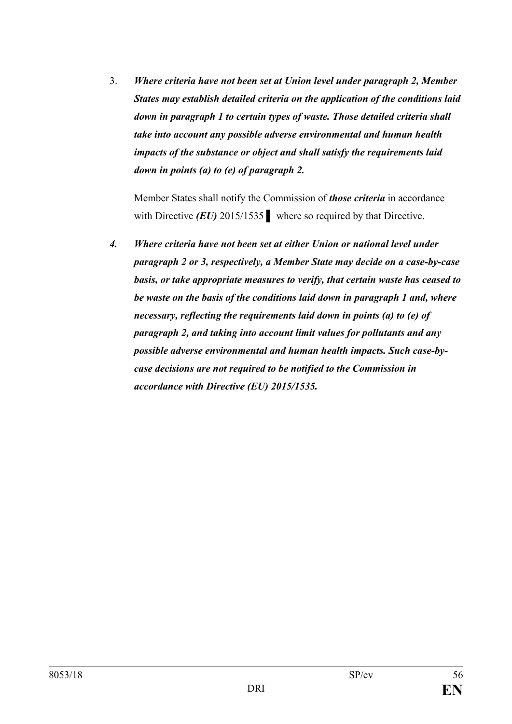3. *Where criteria have not been set at Union level under paragraph 2, Member States may establish detailed criteria on the application of the conditions laid down in paragraph 1 to certain types of waste. Those detailed criteria shall take into account any possible adverse environmental and human health impacts of the substance or object and shall satisfy the requirements laid down in points (a) to (e) of paragraph 2.*

Member States shall notify the Commission of *those criteria* in accordance with Directive *(EU)* 2015/1535 *▌* where so required by that Directive.

*4. Where criteria have not been set at either Union or national level under paragraph 2 or 3, respectively, a Member State may decide on a case-by-case basis, or take appropriate measures to verify, that certain waste has ceased to be waste on the basis of the conditions laid down in paragraph 1 and, where necessary, reflecting the requirements laid down in points (a) to (e) of paragraph 2, and taking into account limit values for pollutants and any possible adverse environmental and human health impacts. Such case-bycase decisions are not required to be notified to the Commission in accordance with Directive (EU) 2015/1535.*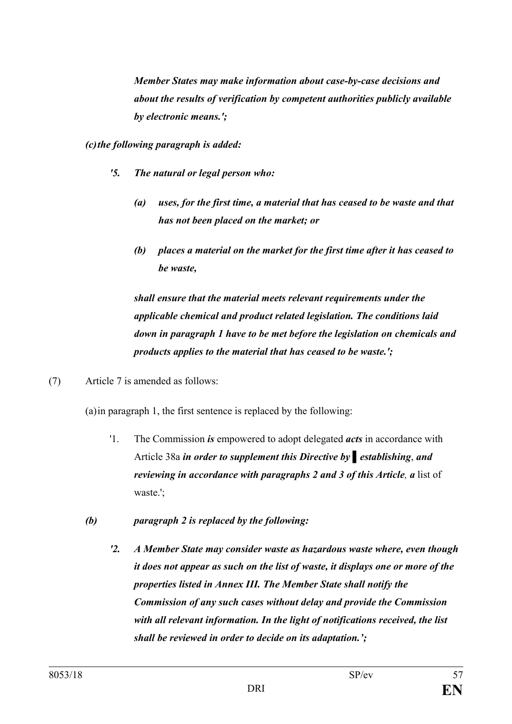*Member States may make information about case-by-case decisions and about the results of verification by competent authorities publicly available by electronic means.';*

*(c)the following paragraph is added:*

- *'5. The natural or legal person who:*
	- *(a) uses, for the first time, a material that has ceased to be waste and that has not been placed on the market; or*
	- *(b) places a material on the market for the first time after it has ceased to be waste,*

*shall ensure that the material meets relevant requirements under the applicable chemical and product related legislation. The conditions laid down in paragraph 1 have to be met before the legislation on chemicals and products applies to the material that has ceased to be waste.';*

(7) Article 7 is amended as follows:

(a)in paragraph 1, the first sentence is replaced by the following:

- '1. The Commission *is* empowered to adopt delegated *acts* in accordance with Article 38a *in order to supplement this Directive by ▌establishing*, *and reviewing in accordance with paragraphs 2 and 3 of this Article, a* list of waste.';
- *(b) paragraph 2 is replaced by the following:*
	- *'2. A Member State may consider waste as hazardous waste where, even though it does not appear as such on the list of waste, it displays one or more of the properties listed in Annex III. The Member State shall notify the Commission of any such cases without delay and provide the Commission with all relevant information. In the light of notifications received, the list shall be reviewed in order to decide on its adaptation.';*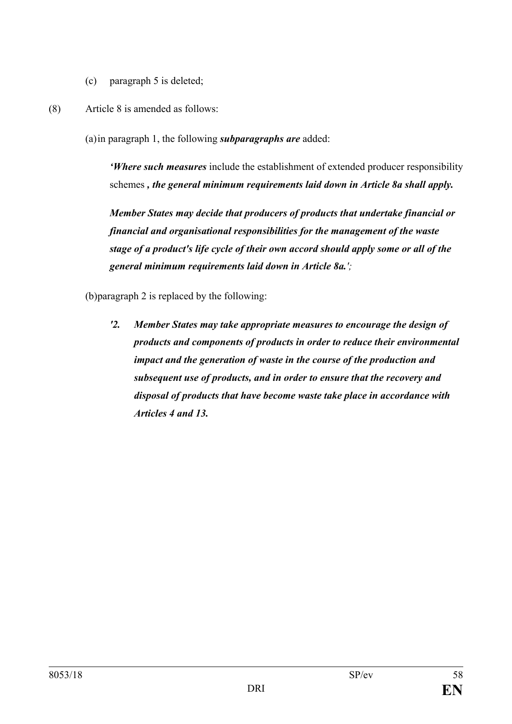- (c) paragraph 5 is deleted;
- (8) Article 8 is amended as follows:

(a)in paragraph 1, the following *subparagraphs are* added:

*'Where such measures* include the establishment of extended producer responsibility schemes *, the general minimum requirements laid down in Article 8a shall apply.*

*Member States may decide that producers of products that undertake financial or financial and organisational responsibilities for the management of the waste stage of a product's life cycle of their own accord should apply some or all of the general minimum requirements laid down in Article 8a.';*

(b)paragraph 2 is replaced by the following:

*'2. Member States may take appropriate measures to encourage the design of products and components of products in order to reduce their environmental impact and the generation of waste in the course of the production and subsequent use of products, and in order to ensure that the recovery and disposal of products that have become waste take place in accordance with Articles 4 and 13.*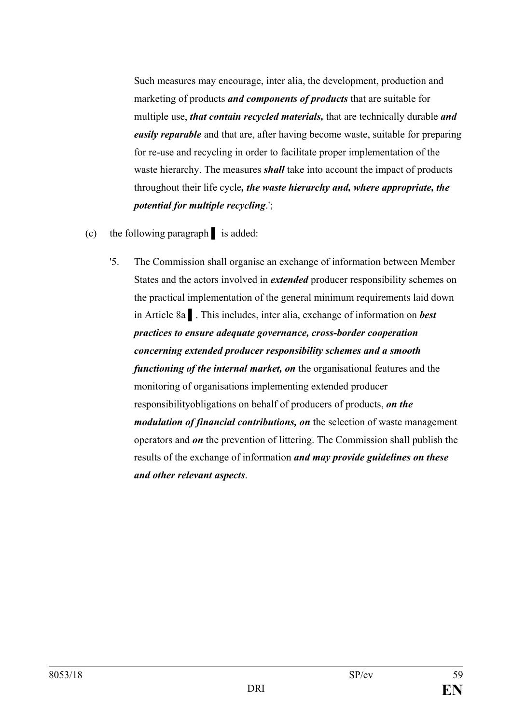Such measures may encourage, inter alia, the development, production and marketing of products *and components of products* that are suitable for multiple use, *that contain recycled materials,* that are technically durable *and easily reparable* and that are, after having become waste, suitable for preparing for re-use and recycling in order to facilitate proper implementation of the waste hierarchy. The measures *shall* take into account the impact of products throughout their life cycle*, the waste hierarchy and, where appropriate, the potential for multiple recycling*.';

- (c) the following paragraph **▌** is added:
	- '5. The Commission shall organise an exchange of information between Member States and the actors involved in *extended* producer responsibility schemes on the practical implementation of the general minimum requirements laid down in Article 8a **▌**. This includes, inter alia, exchange of information on *best practices to ensure adequate governance, cross-border cooperation concerning extended producer responsibility schemes and a smooth functioning of the internal market, on* the organisational features and the monitoring of organisations implementing extended producer responsibilityobligations on behalf of producers of products, *on the modulation of financial contributions, on* the selection of waste management operators and *on* the prevention of littering. The Commission shall publish the results of the exchange of information *and may provide guidelines on these and other relevant aspects*.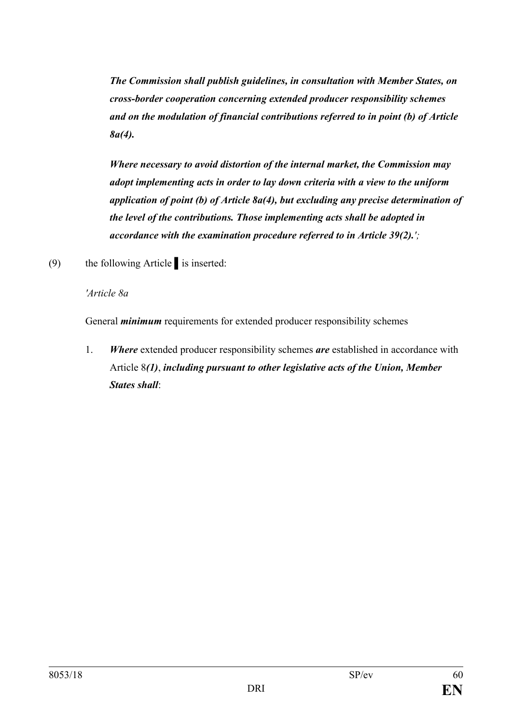*The Commission shall publish guidelines, in consultation with Member States, on cross-border cooperation concerning extended producer responsibility schemes and on the modulation of financial contributions referred to in point (b) of Article 8a(4).*

*Where necessary to avoid distortion of the internal market, the Commission may adopt implementing acts in order to lay down criteria with a view to the uniform application of point (b) of Article 8a(4), but excluding any precise determination of the level of the contributions. Those implementing acts shall be adopted in accordance with the examination procedure referred to in Article 39(2).';*

(9) the following Article **▌**is inserted:

*'Article 8a*

General *minimum* requirements for extended producer responsibility schemes

1. *Where* extended producer responsibility schemes *are* established in accordance with Article 8*(1)*, *including pursuant to other legislative acts of the Union, Member States shall*: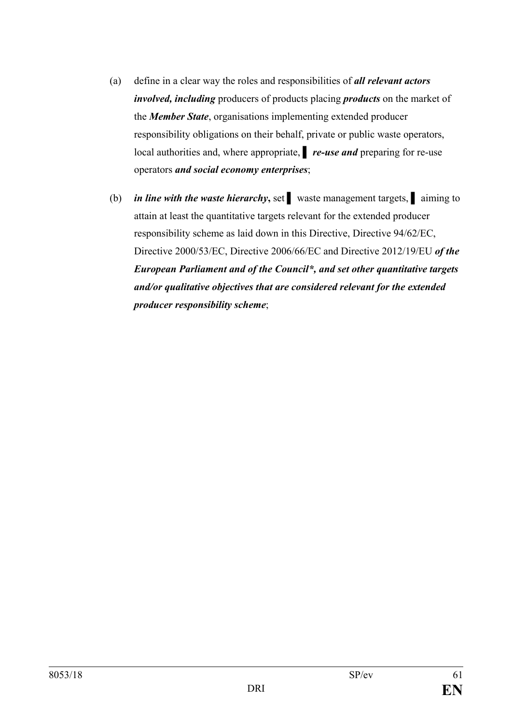- (a) define in a clear way the roles and responsibilities of *all relevant actors involved, including* producers of products placing *products* on the market of the *Member State*, organisations implementing extended producer responsibility obligations on their behalf, private or public waste operators, local authorities and, where appropriate, **▌** *re-use and* preparing for re-use operators *and social economy enterprises*;
- (b) *in line with the waste hierarchy***,** set **▌** waste management targets, **▌** aiming to attain at least the quantitative targets relevant for the extended producer responsibility scheme as laid down in this Directive, Directive 94/62/EC, Directive 2000/53/EC, Directive 2006/66/EC and Directive 2012/19/EU *of the European Parliament and of the Council\*, and set other quantitative targets and/or qualitative objectives that are considered relevant for the extended producer responsibility scheme*;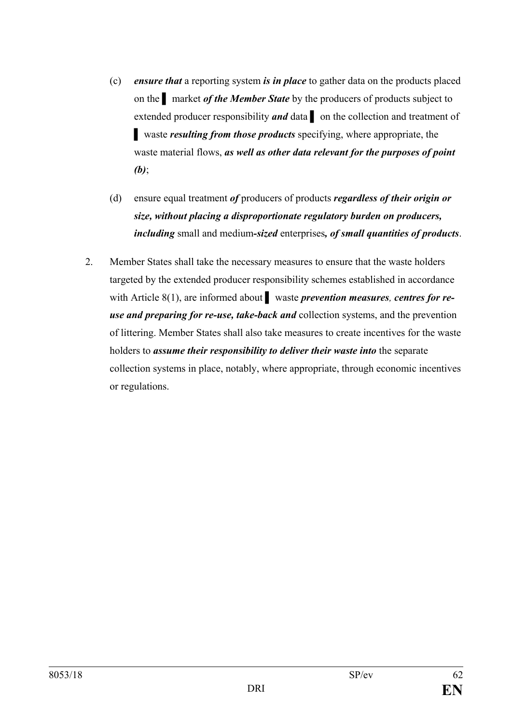- (c) *ensure that* a reporting system *is in place* to gather data on the products placed on the **a** market *of the Member State* by the producers of products subject to extended producer responsibility **and** data **a** on the collection and treatment of **▌** waste *resulting from those products* specifying, where appropriate, the waste material flows, *as well as other data relevant for the purposes of point (b)*;
- (d) ensure equal treatment *of* producers of products *regardless of their origin or size, without placing a disproportionate regulatory burden on producers, including* small and medium*-sized* enterprises*, of small quantities of products*.
- 2. Member States shall take the necessary measures to ensure that the waste holders targeted by the extended producer responsibility schemes established in accordance with Article 8(1), are informed about **▌** waste *prevention measures, centres for reuse and preparing for re-use, take-back and* collection systems, and the prevention of littering. Member States shall also take measures to create incentives for the waste holders to *assume their responsibility to deliver their waste into* the separate collection systems in place, notably, where appropriate, through economic incentives or regulations.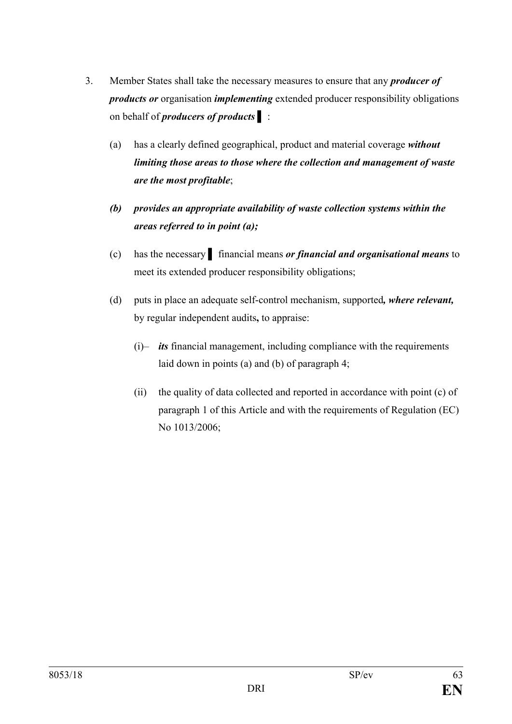- 3. Member States shall take the necessary measures to ensure that any *producer of products or* organisation *implementing* extended producer responsibility obligations on behalf of *producers of products* **▌** :
	- (a) has a clearly defined geographical, product and material coverage *without limiting those areas to those where the collection and management of waste are the most profitable*;
	- *(b) provides an appropriate availability of waste collection systems within the areas referred to in point (a);*
	- (c) has the necessary **▌** financial means *or financial and organisational means* to meet its extended producer responsibility obligations;
	- (d) puts in place an adequate self-control mechanism, supported*, where relevant,* by regular independent audits**,** to appraise:
		- (i)– *its* financial management, including compliance with the requirements laid down in points (a) and (b) of paragraph 4;
		- (ii) the quality of data collected and reported in accordance with point (c) of paragraph 1 of this Article and with the requirements of Regulation (EC) No 1013/2006;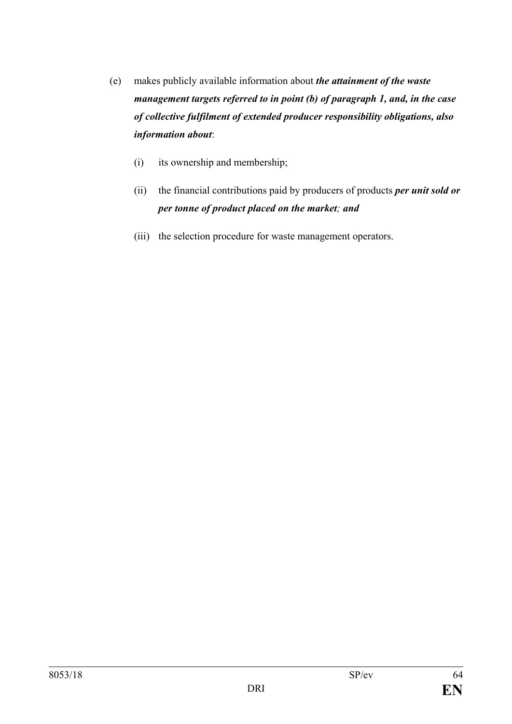- (e) makes publicly available information about *the attainment of the waste management targets referred to in point (b) of paragraph 1, and, in the case of collective fulfilment of extended producer responsibility obligations, also information about*:
	- (i) its ownership and membership;
	- (ii) the financial contributions paid by producers of products *per unit sold or per tonne of product placed on the market; and*
	- (iii) the selection procedure for waste management operators.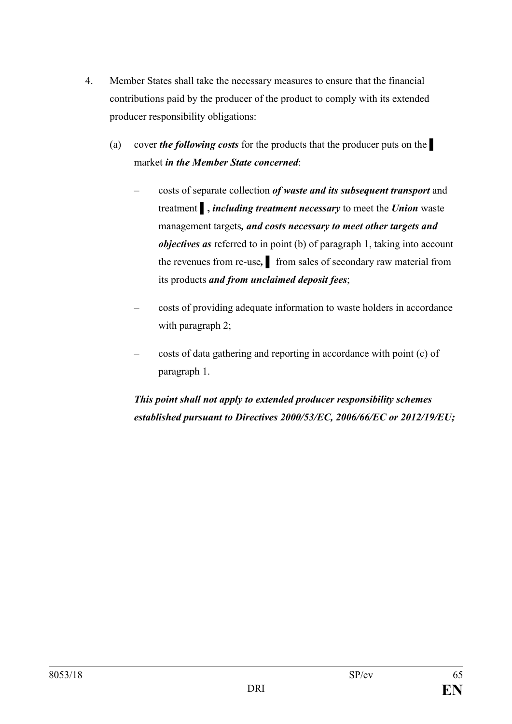- 4. Member States shall take the necessary measures to ensure that the financial contributions paid by the producer of the product to comply with its extended producer responsibility obligations:
	- (a) cover *the following costs* for the products that the producer puts on the **▌** market *in the Member State concerned*:
		- costs of separate collection *of waste and its subsequent transport* and treatment **▌,** *including treatment necessary* to meet the *Union* waste management targets*, and costs necessary to meet other targets and objectives as* referred to in point (b) of paragraph 1, taking into account the revenues from re-use, from sales of secondary raw material from its products *and from unclaimed deposit fees*;
		- costs of providing adequate information to waste holders in accordance with paragraph 2;
		- costs of data gathering and reporting in accordance with point (c) of paragraph 1.

*This point shall not apply to extended producer responsibility schemes established pursuant to Directives 2000/53/EC, 2006/66/EC or 2012/19/EU;*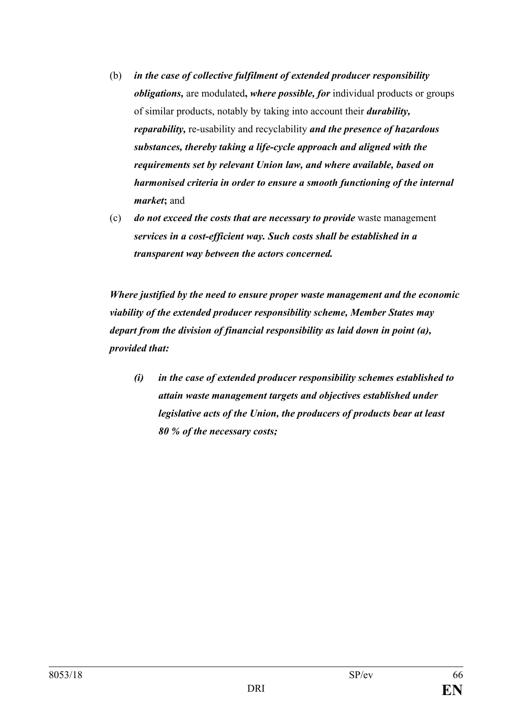- (b) *in the case of collective fulfilment of extended producer responsibility obligations,* are modulated**,** *where possible, for* individual products or groups of similar products, notably by taking into account their *durability, reparability,* re-usability and recyclability *and the presence of hazardous substances, thereby taking a life-cycle approach and aligned with the requirements set by relevant Union law, and where available, based on harmonised criteria in order to ensure a smooth functioning of the internal market***;** and
- (c) *do not exceed the costs that are necessary to provide* waste management *services in a cost-efficient way. Such costs shall be established in a transparent way between the actors concerned.*

*Where justified by the need to ensure proper waste management and the economic viability of the extended producer responsibility scheme, Member States may depart from the division of financial responsibility as laid down in point (a), provided that:*

*(i) in the case of extended producer responsibility schemes established to attain waste management targets and objectives established under legislative acts of the Union, the producers of products bear at least 80 % of the necessary costs;*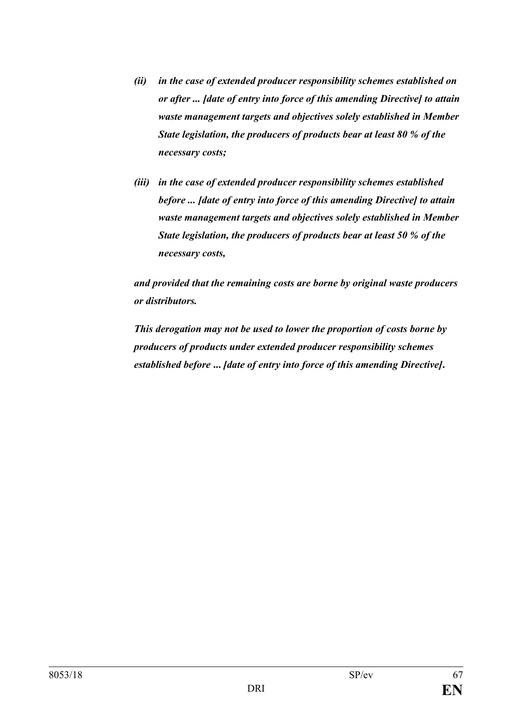- *(ii) in the case of extended producer responsibility schemes established on or after ... [date of entry into force of this amending Directive] to attain waste management targets and objectives solely established in Member State legislation, the producers of products bear at least 80 % of the necessary costs;*
- *(iii) in the case of extended producer responsibility schemes established before ... [date of entry into force of this amending Directive] to attain waste management targets and objectives solely established in Member State legislation, the producers of products bear at least 50 % of the necessary costs,*

*and provided that the remaining costs are borne by original waste producers or distributors.*

*This derogation may not be used to lower the proportion of costs borne by producers of products under extended producer responsibility schemes established before* **...** *[date of entry into force of this amending Directive]***.**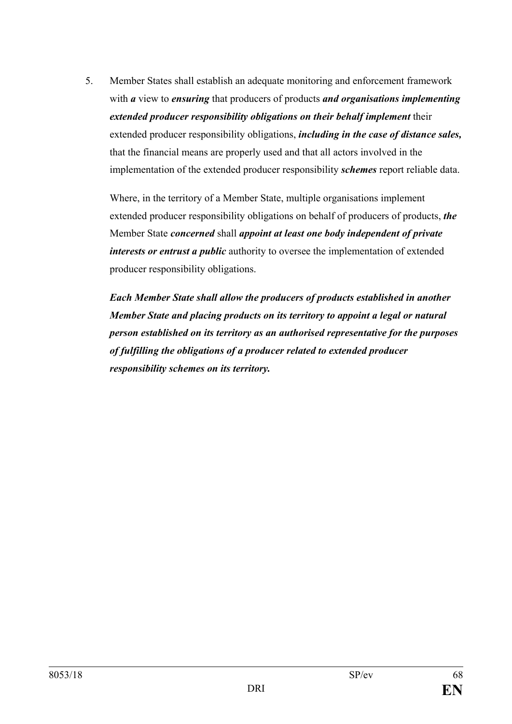5. Member States shall establish an adequate monitoring and enforcement framework with *a* view to *ensuring* that producers of products *and organisations implementing extended producer responsibility obligations on their behalf implement* their extended producer responsibility obligations, *including in the case of distance sales,* that the financial means are properly used and that all actors involved in the implementation of the extended producer responsibility *schemes* report reliable data.

Where, in the territory of a Member State, multiple organisations implement extended producer responsibility obligations on behalf of producers of products, *the*  Member State *concerned* shall *appoint at least one body independent of private interests or entrust a public* authority to oversee the implementation of extended producer responsibility obligations.

*Each Member State shall allow the producers of products established in another Member State and placing products on its territory to appoint a legal or natural person established on its territory as an authorised representative for the purposes of fulfilling the obligations of a producer related to extended producer responsibility schemes on its territory.*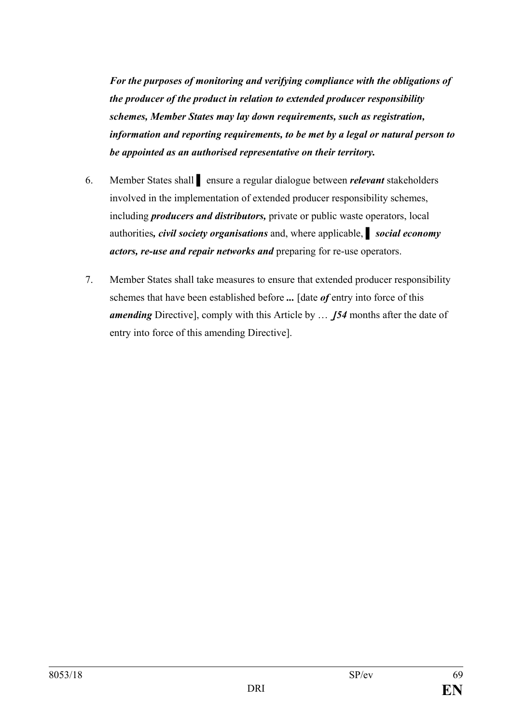*For the purposes of monitoring and verifying compliance with the obligations of the producer of the product in relation to extended producer responsibility schemes, Member States may lay down requirements, such as registration, information and reporting requirements, to be met by a legal or natural person to be appointed as an authorised representative on their territory.*

- 6. Member States shall **▌** ensure a regular dialogue between *relevant* stakeholders involved in the implementation of extended producer responsibility schemes, including *producers and distributors,* private or public waste operators, local authorities*, civil society organisations* and, where applicable, *▌ social economy actors, re-use and repair networks and* preparing for re-use operators.
- 7. Member States shall take measures to ensure that extended producer responsibility schemes that have been established before *...* [date *of* entry into force of this *amending* Directive], comply with this Article by … *[54* months after the date of entry into force of this amending Directive].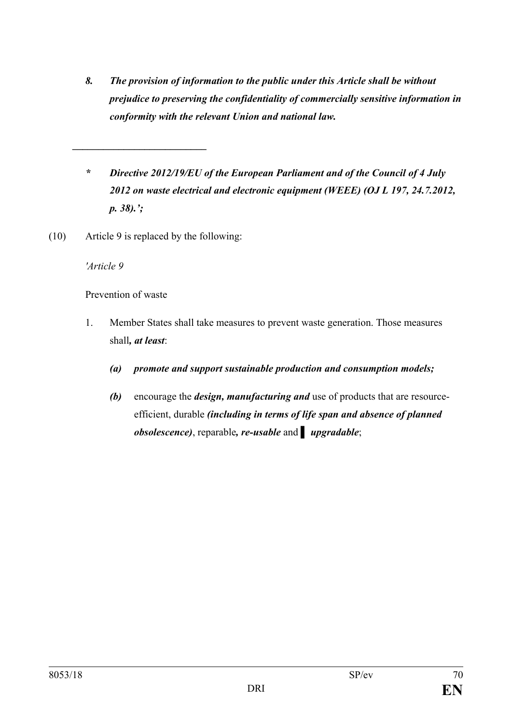- *8. The provision of information to the public under this Article shall be without prejudice to preserving the confidentiality of commercially sensitive information in conformity with the relevant Union and national law.*
- *\* Directive 2012/19/EU of the European Parliament and of the Council of 4 July 2012 on waste electrical and electronic equipment (WEEE) (OJ L 197, 24.7.2012, p. 38).';*
- (10) Article 9 is replaced by the following:

*\_\_\_\_\_\_\_\_\_\_\_\_\_\_\_\_\_\_\_\_\_\_\_\_\_\_*

*'Article 9*

Prevention of waste

- 1. Member States shall take measures to prevent waste generation. Those measures shall*, at least*:
	- *(a) promote and support sustainable production and consumption models;*
	- *(b)* encourage the *design, manufacturing and* use of products that are resourceefficient, durable *(including in terms of life span and absence of planned obsolescence)*, reparable*, re-usable* and *▌ upgradable*;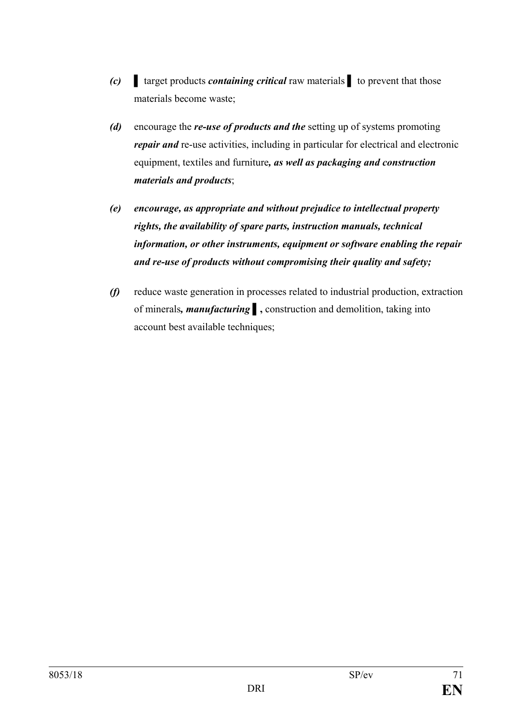- *(c)* **▌** target products *containing critical* raw materials *▌* to prevent that those materials become waste;
- *(d)* encourage the *re-use of products and the* setting up of systems promoting *repair and* re-use activities, including in particular for electrical and electronic equipment, textiles and furniture*, as well as packaging and construction materials and products*;
- *(e) encourage, as appropriate and without prejudice to intellectual property rights, the availability of spare parts, instruction manuals, technical information, or other instruments, equipment or software enabling the repair and re-use of products without compromising their quality and safety;*
- *(f)* reduce waste generation in processes related to industrial production, extraction of minerals*, manufacturing* **▌,** construction and demolition, taking into account best available techniques;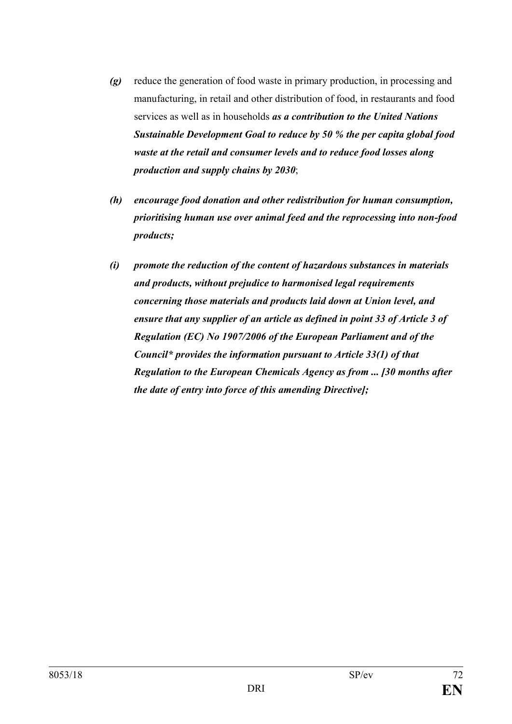- *(g)* reduce the generation of food waste in primary production, in processing and manufacturing, in retail and other distribution of food, in restaurants and food services as well as in households *as a contribution to the United Nations Sustainable Development Goal to reduce by 50 % the per capita global food waste at the retail and consumer levels and to reduce food losses along production and supply chains by 2030*;
- *(h) encourage food donation and other redistribution for human consumption, prioritising human use over animal feed and the reprocessing into non-food products;*
- *(i) promote the reduction of the content of hazardous substances in materials and products, without prejudice to harmonised legal requirements concerning those materials and products laid down at Union level, and ensure that any supplier of an article as defined in point 33 of Article 3 of Regulation (EC) No 1907/2006 of the European Parliament and of the Council\* provides the information pursuant to Article 33(1) of that Regulation to the European Chemicals Agency as from ... [30 months after the date of entry into force of this amending Directive];*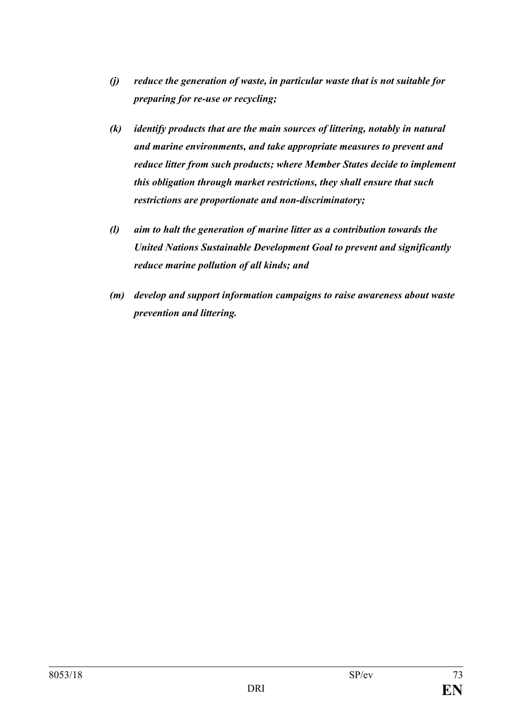- *(j) reduce the generation of waste, in particular waste that is not suitable for preparing for re-use or recycling;*
- *(k) identify products that are the main sources of littering, notably in natural and marine environments, and take appropriate measures to prevent and reduce litter from such products; where Member States decide to implement this obligation through market restrictions, they shall ensure that such restrictions are proportionate and non-discriminatory;*
- *(l) aim to halt the generation of marine litter as a contribution towards the United Nations Sustainable Development Goal to prevent and significantly reduce marine pollution of all kinds; and*
- *(m) develop and support information campaigns to raise awareness about waste prevention and littering.*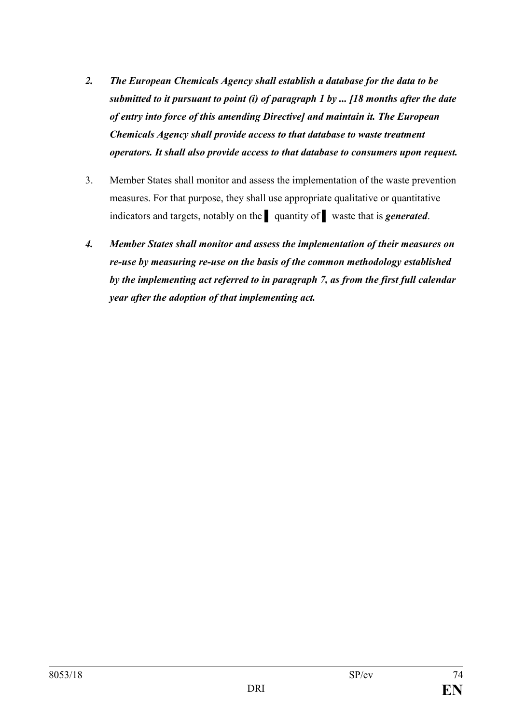- *2. The European Chemicals Agency shall establish a database for the data to be submitted to it pursuant to point (i) of paragraph 1 by ... [18 months after the date of entry into force of this amending Directive] and maintain it. The European Chemicals Agency shall provide access to that database to waste treatment operators. It shall also provide access to that database to consumers upon request.*
- 3. Member States shall monitor and assess the implementation of the waste prevention measures. For that purpose, they shall use appropriate qualitative or quantitative indicators and targets, notably on the **▌** quantity of **▌** waste that is *generated*.
- *4. Member States shall monitor and assess the implementation of their measures on re-use by measuring re-use on the basis of the common methodology established by the implementing act referred to in paragraph 7, as from the first full calendar year after the adoption of that implementing act.*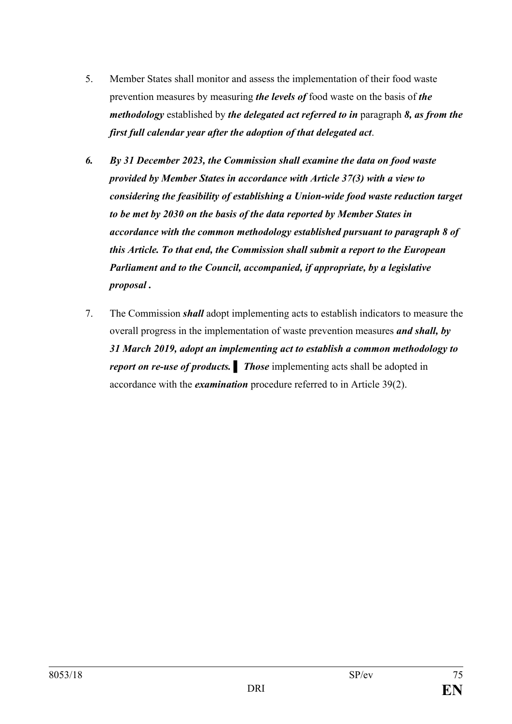- 5. Member States shall monitor and assess the implementation of their food waste prevention measures by measuring *the levels of* food waste on the basis of *the methodology* established by *the delegated act referred to in* paragraph *8, as from the first full calendar year after the adoption of that delegated act*.
- *6. By 31 December 2023, the Commission shall examine the data on food waste provided by Member States in accordance with Article 37(3) with a view to considering the feasibility of establishing a Union-wide food waste reduction target to be met by 2030 on the basis of the data reported by Member States in accordance with the common methodology established pursuant to paragraph 8 of this Article. To that end, the Commission shall submit a report to the European Parliament and to the Council, accompanied, if appropriate, by a legislative proposal .*
- 7. The Commission *shall* adopt implementing acts to establish indicators to measure the overall progress in the implementation of waste prevention measures *and shall, by 31 March 2019, adopt an implementing act to establish a common methodology to report on re-use of products. Ihose* implementing acts shall be adopted in accordance with the *examination* procedure referred to in Article 39(2).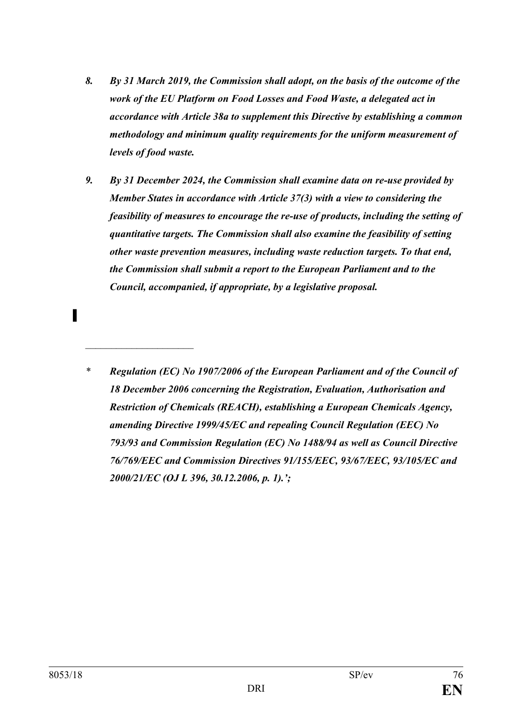- *8. By 31 March 2019, the Commission shall adopt, on the basis of the outcome of the work of the EU Platform on Food Losses and Food Waste, a delegated act in accordance with Article 38a to supplement this Directive by establishing a common methodology and minimum quality requirements for the uniform measurement of levels of food waste.*
- *9. By 31 December 2024, the Commission shall examine data on re-use provided by Member States in accordance with Article 37(3) with a view to considering the feasibility of measures to encourage the re-use of products, including the setting of quantitative targets. The Commission shall also examine the feasibility of setting other waste prevention measures, including waste reduction targets. To that end, the Commission shall submit a report to the European Parliament and to the Council, accompanied, if appropriate, by a legislative proposal.*
- *\* Regulation (EC) No 1907/2006 of the European Parliament and of the Council of 18 December 2006 concerning the Registration, Evaluation, Authorisation and Restriction of Chemicals (REACH), establishing a European Chemicals Agency, amending Directive 1999/45/EC and repealing Council Regulation (EEC) No 793/93 and Commission Regulation (EC) No 1488/94 as well as Council Directive 76/769/EEC and Commission Directives 91/155/EEC, 93/67/EEC, 93/105/EC and 2000/21/EC (OJ L 396, 30.12.2006, p. 1).';*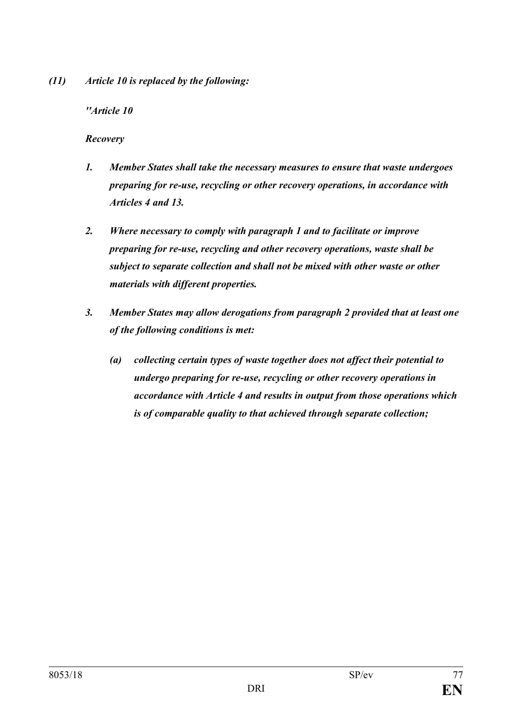*(11) Article 10 is replaced by the following:*

### *''Article 10*

### *Recovery*

- *1. Member States shall take the necessary measures to ensure that waste undergoes preparing for re-use, recycling or other recovery operations, in accordance with Articles 4 and 13.*
- *2. Where necessary to comply with paragraph 1 and to facilitate or improve preparing for re-use, recycling and other recovery operations, waste shall be subject to separate collection and shall not be mixed with other waste or other materials with different properties.*
- *3. Member States may allow derogations from paragraph 2 provided that at least one of the following conditions is met:* 
	- *(a) collecting certain types of waste together does not affect their potential to undergo preparing for re-use, recycling or other recovery operations in accordance with Article 4 and results in output from those operations which is of comparable quality to that achieved through separate collection;*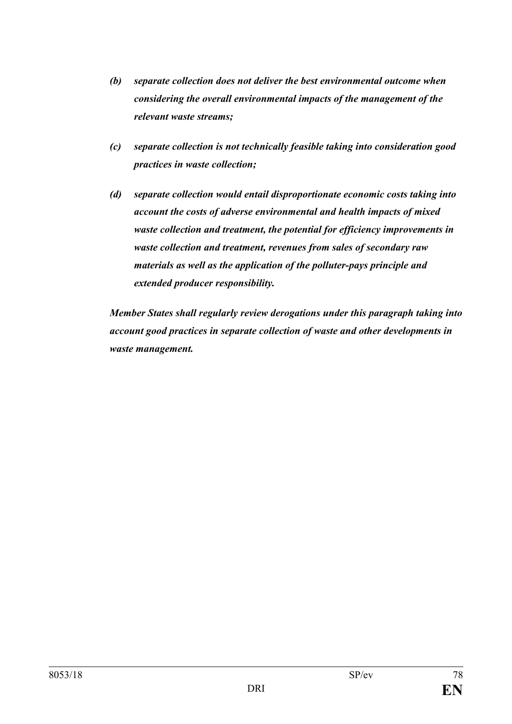- *(b) separate collection does not deliver the best environmental outcome when considering the overall environmental impacts of the management of the relevant waste streams;*
- *(c) separate collection is not technically feasible taking into consideration good practices in waste collection;*
- *(d) separate collection would entail disproportionate economic costs taking into account the costs of adverse environmental and health impacts of mixed waste collection and treatment, the potential for efficiency improvements in waste collection and treatment, revenues from sales of secondary raw materials as well as the application of the polluter-pays principle and extended producer responsibility.*

*Member States shall regularly review derogations under this paragraph taking into account good practices in separate collection of waste and other developments in waste management.*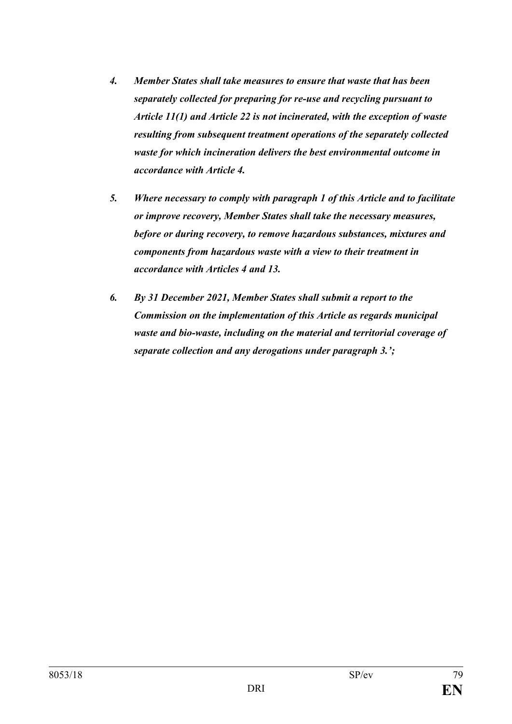- *4. Member States shall take measures to ensure that waste that has been separately collected for preparing for re-use and recycling pursuant to Article 11(1) and Article 22 is not incinerated, with the exception of waste resulting from subsequent treatment operations of the separately collected waste for which incineration delivers the best environmental outcome in accordance with Article 4.*
- *5. Where necessary to comply with paragraph 1 of this Article and to facilitate or improve recovery, Member States shall take the necessary measures, before or during recovery, to remove hazardous substances, mixtures and components from hazardous waste with a view to their treatment in accordance with Articles 4 and 13.*
- *6. By 31 December 2021, Member States shall submit a report to the Commission on the implementation of this Article as regards municipal waste and bio-waste, including on the material and territorial coverage of separate collection and any derogations under paragraph 3.';*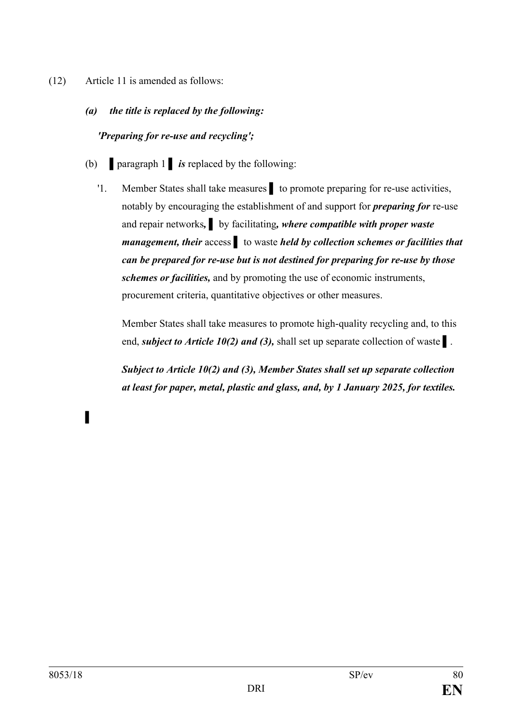- (12) Article 11 is amended as follows:
	- *(a) the title is replaced by the following:*

## *'Preparing for re-use and recycling';*

- (b) **▌**paragraph 1 **▌** *is* replaced by the following:
	- '1. Member States shall take measures **b** to promote preparing for re-use activities, notably by encouraging the establishment of and support for *preparing for* re-use and repair networks*,* **▌** by facilitating*, where compatible with proper waste management, their* access ▌ to waste *held by collection schemes or facilities that can be prepared for re-use but is not destined for preparing for re-use by those schemes or facilities,* and by promoting the use of economic instruments, procurement criteria, quantitative objectives or other measures.

Member States shall take measures to promote high-quality recycling and, to this end, *subject to Article 10(2) and (3),* shall set up separate collection of waste **▌**.

*Subject to Article 10(2) and (3), Member States shall set up separate collection at least for paper, metal, plastic and glass, and, by 1 January 2025, for textiles.*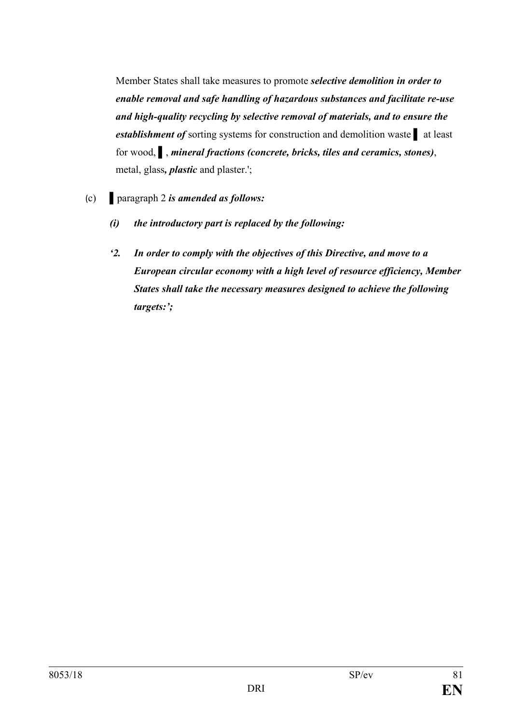Member States shall take measures to promote *selective demolition in order to enable removal and safe handling of hazardous substances and facilitate re-use and high-quality recycling by selective removal of materials, and to ensure the establishment of* sorting systems for construction and demolition waste **▌** at least for wood, **▌**, *mineral fractions (concrete, bricks, tiles and ceramics, stones)*, metal, glass*, plastic* and plaster.';

- (c) **▌**paragraph 2 *is amended as follows:*
	- *(i) the introductory part is replaced by the following:*
	- *'2. In order to comply with the objectives of this Directive, and move to a European circular economy with a high level of resource efficiency, Member States shall take the necessary measures designed to achieve the following targets:';*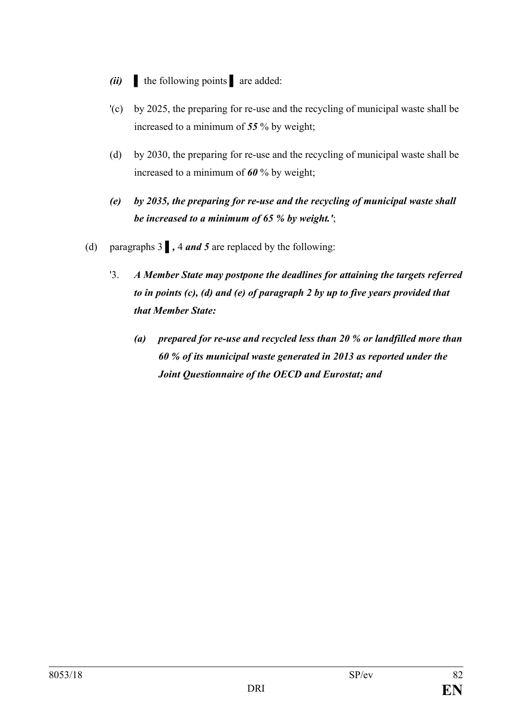- *(ii)* **▌** the following points **▌** are added:
- '(c) by 2025, the preparing for re-use and the recycling of municipal waste shall be increased to a minimum of *55* % by weight;
- (d) by 2030, the preparing for re-use and the recycling of municipal waste shall be increased to a minimum of *60* % by weight;
- *(e) by 2035, the preparing for re-use and the recycling of municipal waste shall be increased to a minimum of 65 % by weight.'*;
- (d) paragraphs 3 **▌***,* 4 *and 5* are replaced by the following:
	- '3. *A Member State may postpone the deadlines for attaining the targets referred to in points (c), (d) and (e) of paragraph 2 by up to five years provided that that Member State:*
		- *(a) prepared for re-use and recycled less than 20 % or landfilled more than 60 % of its municipal waste generated in 2013 as reported under the Joint Questionnaire of the OECD and Eurostat; and*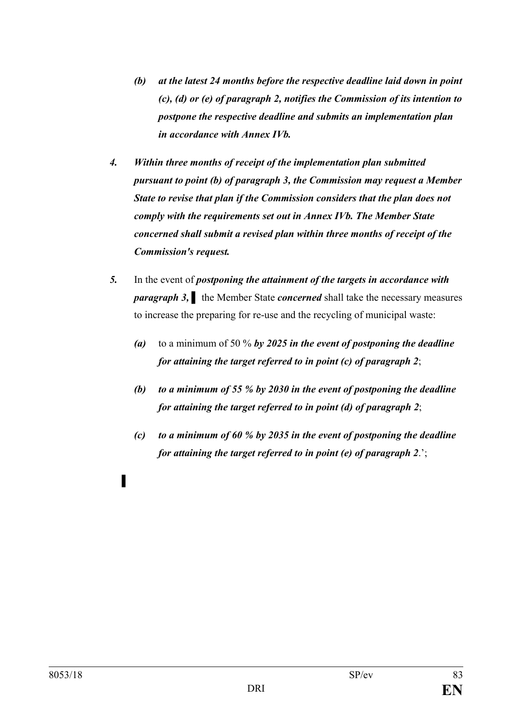- *(b) at the latest 24 months before the respective deadline laid down in point (c), (d) or (e) of paragraph 2, notifies the Commission of its intention to postpone the respective deadline and submits an implementation plan in accordance with Annex IVb.*
- *4. Within three months of receipt of the implementation plan submitted pursuant to point (b) of paragraph 3, the Commission may request a Member State to revise that plan if the Commission considers that the plan does not comply with the requirements set out in Annex IVb. The Member State concerned shall submit a revised plan within three months of receipt of the Commission's request.*
- *5.* In the event of *postponing the attainment of the targets in accordance with paragraph 3,* **▌** the Member State *concerned* shall take the necessary measures to increase the preparing for re-use and the recycling of municipal waste:
	- *(a)* to a minimum of 50 % *by 2025 in the event of postponing the deadline for attaining the target referred to in point (c) of paragraph 2*;
	- *(b) to a minimum of 55 % by 2030 in the event of postponing the deadline for attaining the target referred to in point (d) of paragraph 2*;
	- *(c) to a minimum of 60 % by 2035 in the event of postponing the deadline for attaining the target referred to in point (e) of paragraph 2*.';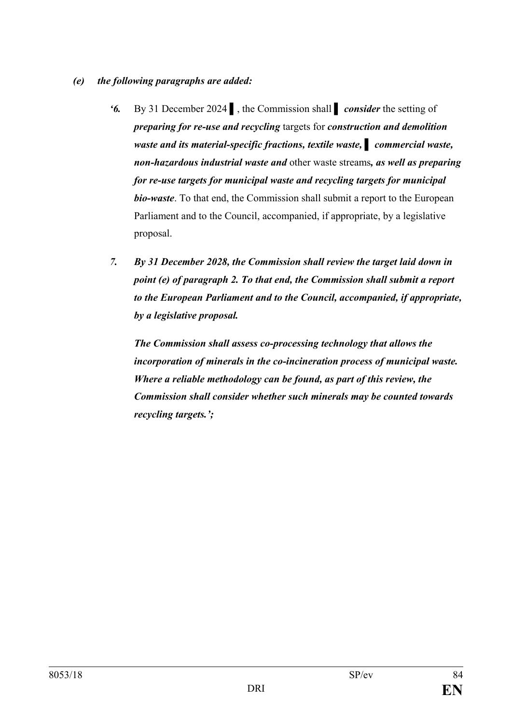- *(e) the following paragraphs are added:*
	- *'6.* By 31 December 2024 ▌, the Commission shall **▌** *consider* the setting of *preparing for re-use and recycling* targets for *construction and demolition waste and its material-specific fractions, textile waste, ▌ commercial waste, non-hazardous industrial waste and* other waste streams*, as well as preparing for re-use targets for municipal waste and recycling targets for municipal bio-waste*. To that end, the Commission shall submit a report to the European Parliament and to the Council, accompanied, if appropriate, by a legislative proposal.
	- *7. By 31 December 2028, the Commission shall review the target laid down in point (e) of paragraph 2. To that end, the Commission shall submit a report to the European Parliament and to the Council, accompanied, if appropriate, by a legislative proposal.*

*The Commission shall assess co-processing technology that allows the incorporation of minerals in the co-incineration process of municipal waste. Where a reliable methodology can be found, as part of this review, the Commission shall consider whether such minerals may be counted towards recycling targets.';*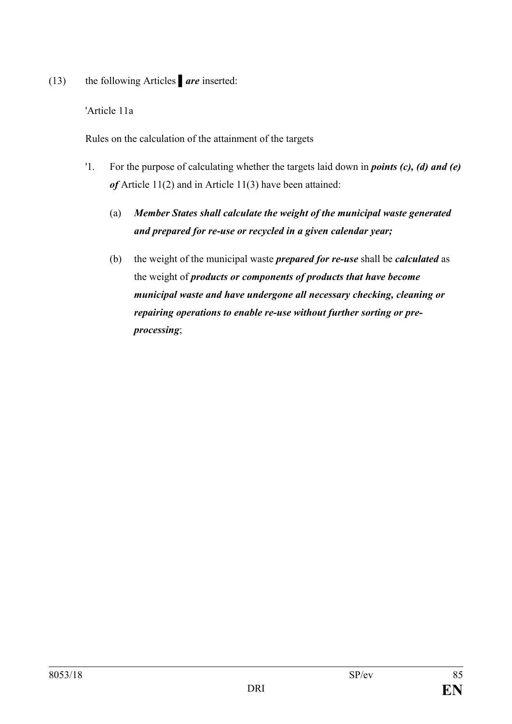(13) the following Articles **▌***are* inserted:

'Article 11a

Rules on the calculation of the attainment of the targets

- '1. For the purpose of calculating whether the targets laid down in *points (c), (d) and (e) of* Article 11(2) and in Article 11(3) have been attained:
	- (a) *Member States shall calculate the weight of the municipal waste generated and prepared for re-use or recycled in a given calendar year;*
	- (b) the weight of the municipal waste *prepared for re-use* shall be *calculated* as the weight of *products or components of products that have become municipal waste and have undergone all necessary checking, cleaning or repairing operations to enable re-use without further sorting or preprocessing*;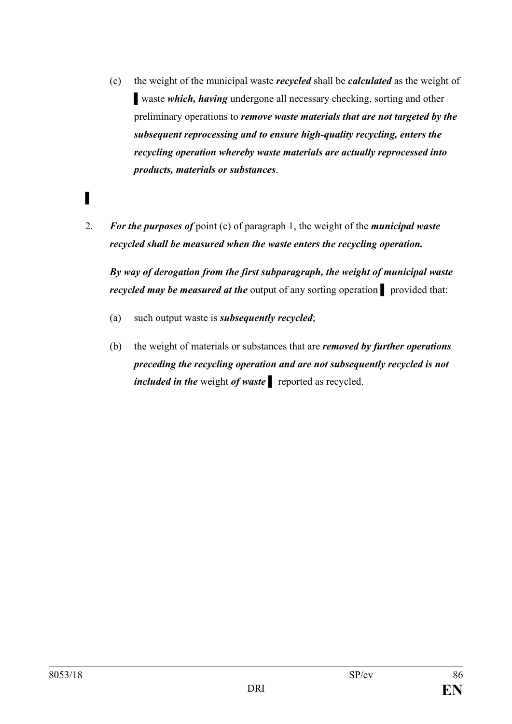- (c) the weight of the municipal waste *recycled* shall be *calculated* as the weight of **▌**waste *which, having* undergone all necessary checking, sorting and other preliminary operations to *remove waste materials that are not targeted by the subsequent reprocessing and to ensure high-quality recycling, enters the recycling operation whereby waste materials are actually reprocessed into products, materials or substances*.
- 2. *For the purposes of* point (c) of paragraph 1, the weight of the *municipal waste recycled shall be measured when the waste enters the recycling operation.*

*By way of derogation from the first subparagraph, the weight of municipal waste recycled may be measured at the* output of any sorting operation **▌** provided that:

- (a) such output waste is *subsequently recycled*;
- (b) the weight of materials or substances that are *removed by further operations preceding the recycling operation and are not subsequently recycled is not included in the* weight *of waste ▌* reported as recycled.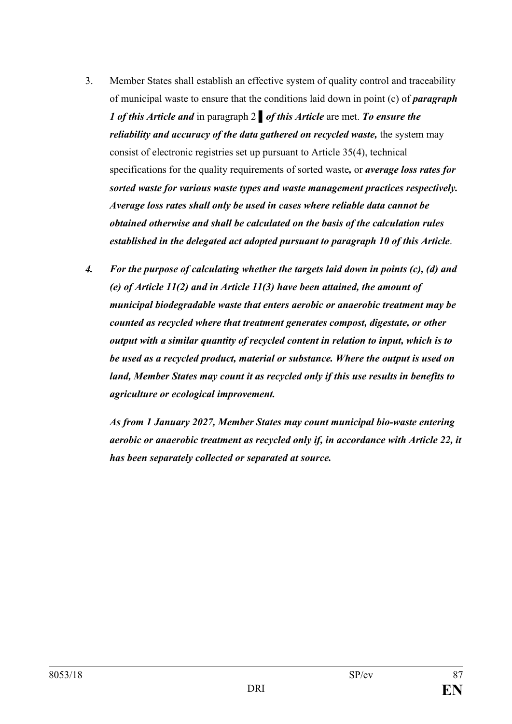- 3. Member States shall establish an effective system of quality control and traceability of municipal waste to ensure that the conditions laid down in point (c) of *paragraph 1 of this Article and* in paragraph 2 **▌***of this Article* are met. *To ensure the reliability and accuracy of the data gathered on recycled waste, the system may* consist of electronic registries set up pursuant to Article 35(4), technical specifications for the quality requirements of sorted waste*,* or *average loss rates for sorted waste for various waste types and waste management practices respectively. Average loss rates shall only be used in cases where reliable data cannot be obtained otherwise and shall be calculated on the basis of the calculation rules established in the delegated act adopted pursuant to paragraph 10 of this Article*.
- *4. For the purpose of calculating whether the targets laid down in points (c), (d) and (e) of Article 11(2) and in Article 11(3) have been attained, the amount of municipal biodegradable waste that enters aerobic or anaerobic treatment may be counted as recycled where that treatment generates compost, digestate, or other output with a similar quantity of recycled content in relation to input, which is to be used as a recycled product, material or substance. Where the output is used on land, Member States may count it as recycled only if this use results in benefits to agriculture or ecological improvement.*

*As from 1 January 2027, Member States may count municipal bio-waste entering aerobic or anaerobic treatment as recycled only if, in accordance with Article 22, it has been separately collected or separated at source.*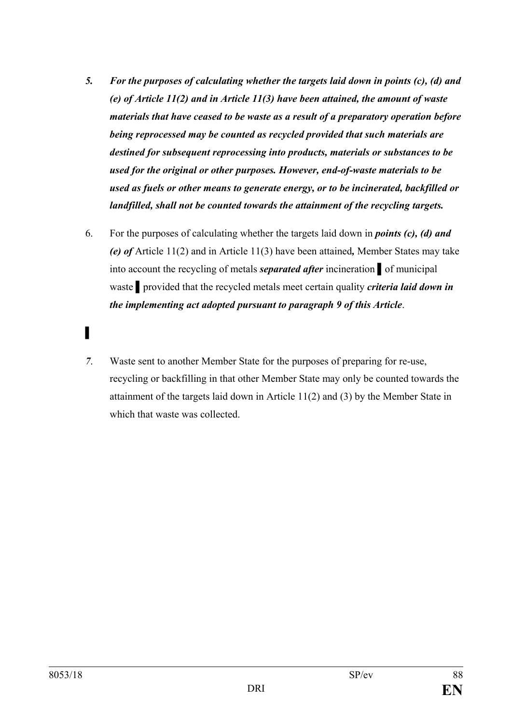- *5. For the purposes of calculating whether the targets laid down in points (c), (d) and (e) of Article 11(2) and in Article 11(3) have been attained, the amount of waste materials that have ceased to be waste as a result of a preparatory operation before being reprocessed may be counted as recycled provided that such materials are destined for subsequent reprocessing into products, materials or substances to be used for the original or other purposes. However, end-of-waste materials to be used as fuels or other means to generate energy, or to be incinerated, backfilled or landfilled, shall not be counted towards the attainment of the recycling targets.*
- 6. For the purposes of calculating whether the targets laid down in *points (c), (d) and (e) of* Article 11(2) and in Article 11(3) have been attained*,* Member States may take into account the recycling of metals *separated after* incineration *▌*of municipal waste *▌*provided that the recycled metals meet certain quality *criteria laid down in the implementing act adopted pursuant to paragraph 9 of this Article*.
- *▌*
- *7*. Waste sent to another Member State for the purposes of preparing for re-use, recycling or backfilling in that other Member State may only be counted towards the attainment of the targets laid down in Article 11(2) and (3) by the Member State in which that waste was collected.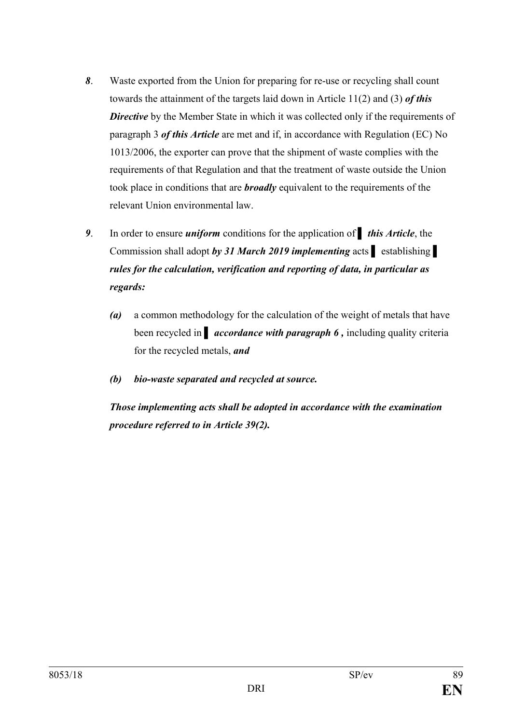- *8*. Waste exported from the Union for preparing for re-use or recycling shall count towards the attainment of the targets laid down in Article 11(2) and (3) *of this*  **Directive** by the Member State in which it was collected only if the requirements of paragraph 3 *of this Article* are met and if, in accordance with Regulation (EC) No 1013/2006, the exporter can prove that the shipment of waste complies with the requirements of that Regulation and that the treatment of waste outside the Union took place in conditions that are *broadly* equivalent to the requirements of the relevant Union environmental law.
- *9*. In order to ensure *uniform* conditions for the application of *▌ this Article*, the Commission shall adopt *by 31 March 2019 implementing* acts **▌** establishing **▌** *rules for the calculation, verification and reporting of data, in particular as regards:*
	- *(a)* a common methodology for the calculation of the weight of metals that have **been recycled in** *accordance with paragraph 6***, including quality criteria** for the recycled metals, *and*
	- *(b) bio-waste separated and recycled at source.*

*Those implementing acts shall be adopted in accordance with the examination procedure referred to in Article 39(2).*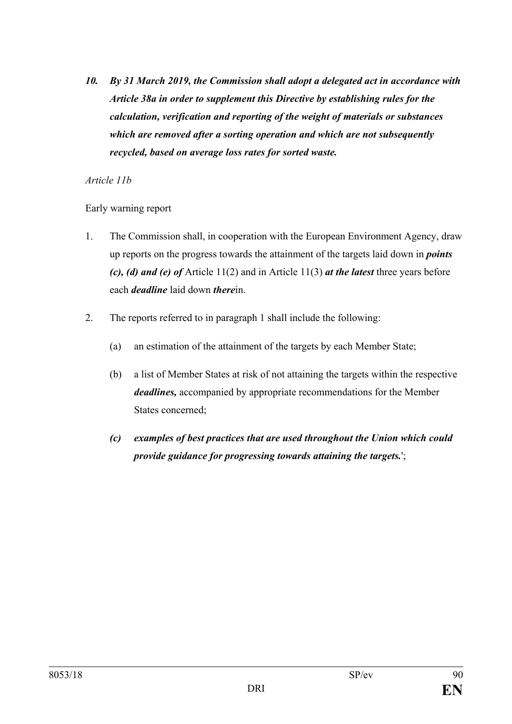*10. By 31 March 2019, the Commission shall adopt a delegated act in accordance with Article 38a in order to supplement this Directive by establishing rules for the calculation, verification and reporting of the weight of materials or substances which are removed after a sorting operation and which are not subsequently recycled, based on average loss rates for sorted waste.*

#### *Article 11b*

Early warning report

- 1. The Commission shall, in cooperation with the European Environment Agency, draw up reports on the progress towards the attainment of the targets laid down in *points (c), (d) and (e) of* Article 11(2) and in Article 11(3) *at the latest* three years before each *deadline* laid down *there*in.
- 2. The reports referred to in paragraph 1 shall include the following:
	- (a) an estimation of the attainment of the targets by each Member State;
	- (b) a list of Member States at risk of not attaining the targets within the respective *deadlines,* accompanied by appropriate recommendations for the Member States concerned;
	- *(c) examples of best practices that are used throughout the Union which could provide guidance for progressing towards attaining the targets.*';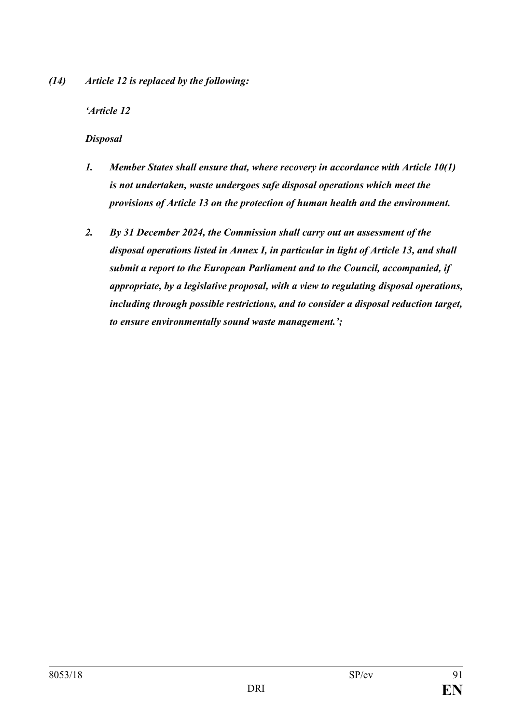*(14) Article 12 is replaced by the following:*

## *'Article 12*

### *Disposal*

- *1. Member States shall ensure that, where recovery in accordance with Article 10(1) is not undertaken, waste undergoes safe disposal operations which meet the provisions of Article 13 on the protection of human health and the environment.*
- *2. By 31 December 2024, the Commission shall carry out an assessment of the disposal operations listed in Annex I, in particular in light of Article 13, and shall submit a report to the European Parliament and to the Council, accompanied, if appropriate, by a legislative proposal, with a view to regulating disposal operations, including through possible restrictions, and to consider a disposal reduction target, to ensure environmentally sound waste management.';*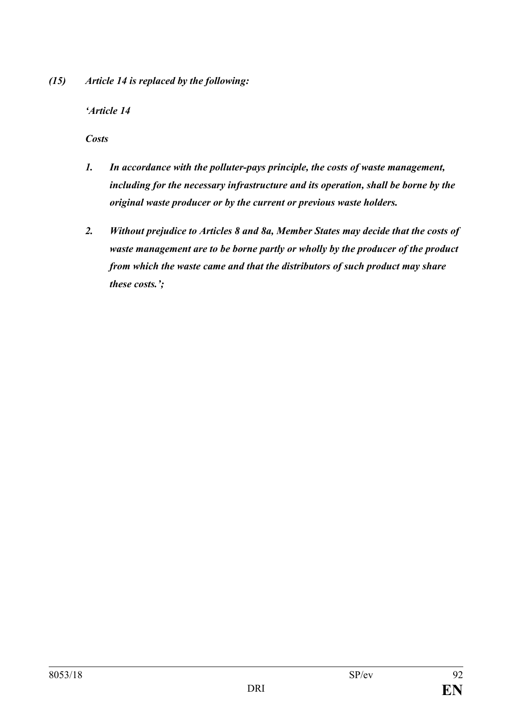*(15) Article 14 is replaced by the following:*

*'Article 14*

*Costs*

- *1. In accordance with the polluter-pays principle, the costs of waste management, including for the necessary infrastructure and its operation, shall be borne by the original waste producer or by the current or previous waste holders.*
- *2. Without prejudice to Articles 8 and 8a, Member States may decide that the costs of waste management are to be borne partly or wholly by the producer of the product from which the waste came and that the distributors of such product may share these costs.';*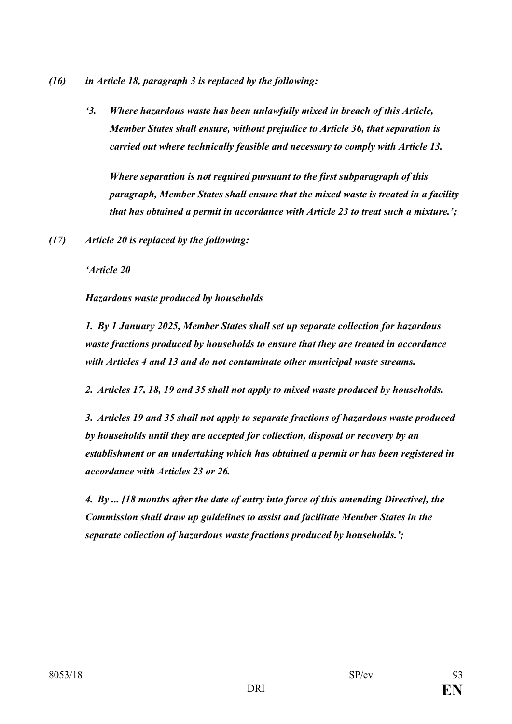- *(16) in Article 18, paragraph 3 is replaced by the following:*
	- *'3. Where hazardous waste has been unlawfully mixed in breach of this Article, Member States shall ensure, without prejudice to Article 36, that separation is carried out where technically feasible and necessary to comply with Article 13.*

*Where separation is not required pursuant to the first subparagraph of this paragraph, Member States shall ensure that the mixed waste is treated in a facility that has obtained a permit in accordance with Article 23 to treat such a mixture.';*

*(17) Article 20 is replaced by the following:*

*'Article 20*

*Hazardous waste produced by households*

*1. By 1 January 2025, Member States shall set up separate collection for hazardous waste fractions produced by households to ensure that they are treated in accordance with Articles 4 and 13 and do not contaminate other municipal waste streams.*

*2. Articles 17, 18, 19 and 35 shall not apply to mixed waste produced by households.* 

*3. Articles 19 and 35 shall not apply to separate fractions of hazardous waste produced by households until they are accepted for collection, disposal or recovery by an establishment or an undertaking which has obtained a permit or has been registered in accordance with Articles 23 or 26.*

*4. By ... [18 months after the date of entry into force of this amending Directive], the Commission shall draw up guidelines to assist and facilitate Member States in the separate collection of hazardous waste fractions produced by households.';*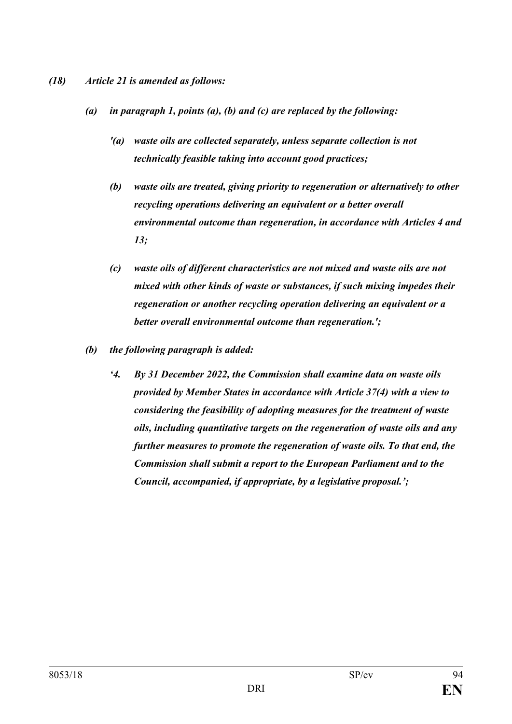#### *(18) Article 21 is amended as follows:*

- *(a) in paragraph 1, points (a), (b) and (c) are replaced by the following:*
	- *'(a) waste oils are collected separately, unless separate collection is not technically feasible taking into account good practices;*
	- *(b) waste oils are treated, giving priority to regeneration or alternatively to other recycling operations delivering an equivalent or a better overall environmental outcome than regeneration, in accordance with Articles 4 and 13;*
	- *(c) waste oils of different characteristics are not mixed and waste oils are not mixed with other kinds of waste or substances, if such mixing impedes their regeneration or another recycling operation delivering an equivalent or a better overall environmental outcome than regeneration.';*
- *(b) the following paragraph is added:*
	- *'4. By 31 December 2022, the Commission shall examine data on waste oils provided by Member States in accordance with Article 37(4) with a view to considering the feasibility of adopting measures for the treatment of waste oils, including quantitative targets on the regeneration of waste oils and any further measures to promote the regeneration of waste oils. To that end, the Commission shall submit a report to the European Parliament and to the Council, accompanied, if appropriate, by a legislative proposal.';*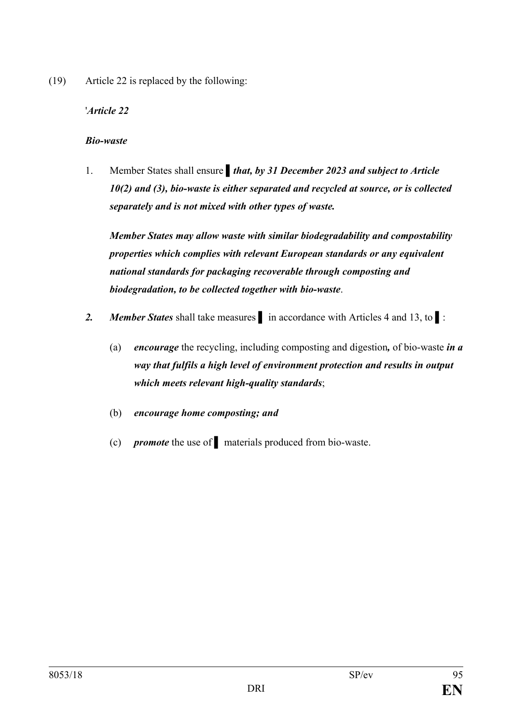(19) Article 22 is replaced by the following:

# '*Article 22*

### *Bio-waste*

1. Member States shall ensure *that, by 31 December 2023 and subject to Article 10(2) and (3), bio-waste is either separated and recycled at source, or is collected separately and is not mixed with other types of waste.* 

*Member States may allow waste with similar biodegradability and compostability properties which complies with relevant European standards or any equivalent national standards for packaging recoverable through composting and biodegradation, to be collected together with bio-waste*.

- *2. Member States* shall take measures **▌** in accordance with Articles 4 and 13, to ▌:
	- (a) *encourage* the recycling, including composting and digestion*,* of bio-waste *in a way that fulfils a high level of environment protection and results in output which meets relevant high-quality standards*;
	- (b) *encourage home composting; and*
	- (c) *promote* the use of **▌** materials produced from bio-waste.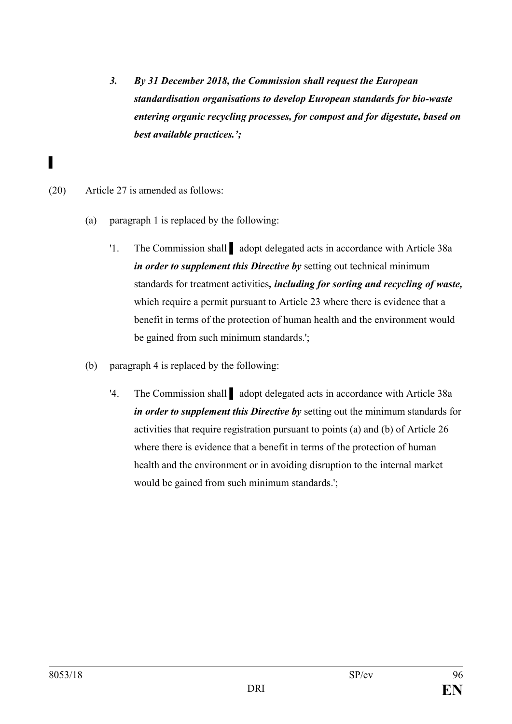- *3. By 31 December 2018, the Commission shall request the European standardisation organisations to develop European standards for bio-waste entering organic recycling processes, for compost and for digestate, based on best available practices.';*
- (20) Article 27 is amended as follows:

- (a) paragraph 1 is replaced by the following:
	- '1. The Commission shall **▌** adopt delegated acts in accordance with Article 38a *in order to supplement this Directive by* setting out technical minimum standards for treatment activities*, including for sorting and recycling of waste,* which require a permit pursuant to Article 23 where there is evidence that a benefit in terms of the protection of human health and the environment would be gained from such minimum standards.';
- (b) paragraph 4 is replaced by the following:
	- '4. The Commission shall **▌** adopt delegated acts in accordance with Article 38a *in order to supplement this Directive by* setting out the minimum standards for activities that require registration pursuant to points (a) and (b) of Article 26 where there is evidence that a benefit in terms of the protection of human health and the environment or in avoiding disruption to the internal market would be gained from such minimum standards.';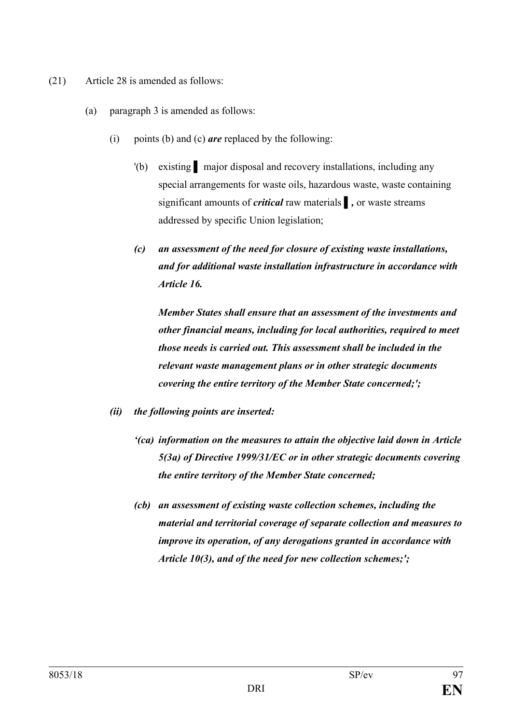- (21) Article 28 is amended as follows:
	- (a) paragraph 3 is amended as follows:
		- (i) points (b) and (c) *are* replaced by the following:
			- '(b) existing **▌** major disposal and recovery installations, including any special arrangements for waste oils, hazardous waste, waste containing significant amounts of *critical* raw materials **▌***,* or waste streams addressed by specific Union legislation;
			- *(c) an assessment of the need for closure of existing waste installations, and for additional waste installation infrastructure in accordance with Article 16.*

*Member States shall ensure that an assessment of the investments and other financial means, including for local authorities, required to meet those needs is carried out. This assessment shall be included in the relevant waste management plans or in other strategic documents covering the entire territory of the Member State concerned;';*

- *(ii) the following points are inserted:*
	- *'(ca) information on the measures to attain the objective laid down in Article 5(3a) of Directive 1999/31/EC or in other strategic documents covering the entire territory of the Member State concerned;*
	- *(cb) an assessment of existing waste collection schemes, including the material and territorial coverage of separate collection and measures to improve its operation, of any derogations granted in accordance with Article 10(3), and of the need for new collection schemes;';*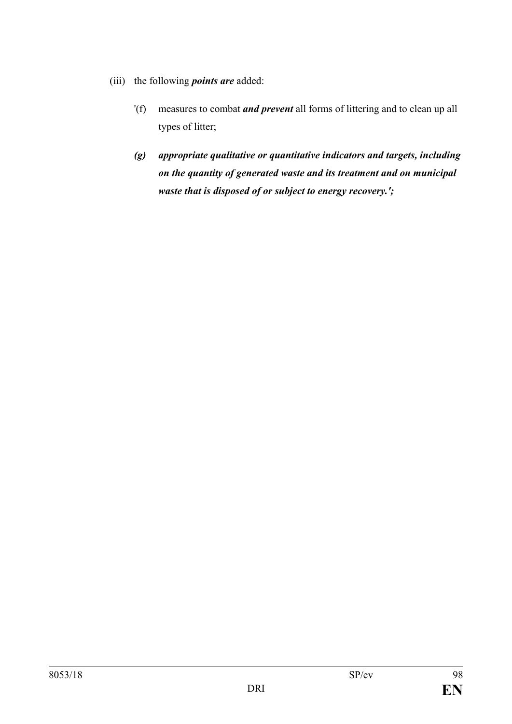- (iii) the following *points are* added:
	- '(f) measures to combat *and prevent* all forms of littering and to clean up all types of litter;
	- *(g) appropriate qualitative or quantitative indicators and targets, including on the quantity of generated waste and its treatment and on municipal waste that is disposed of or subject to energy recovery.';*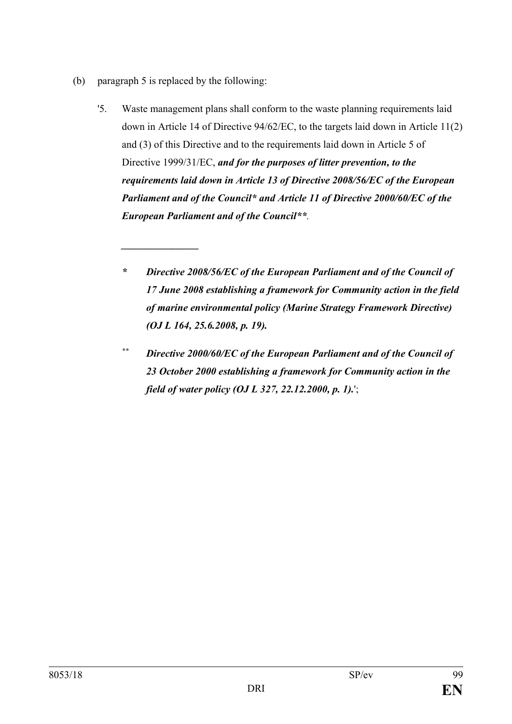(b) paragraph 5 is replaced by the following:

*\_\_\_\_\_\_\_\_\_\_\_\_\_\_\_*

- '5. Waste management plans shall conform to the waste planning requirements laid down in Article 14 of Directive 94/62/EC, to the targets laid down in Article 11(2) and (3) of this Directive and to the requirements laid down in Article 5 of Directive 1999/31/EC, *and for the purposes of litter prevention, to the requirements laid down in Article 13 of Directive 2008/56/EC of the European Parliament and of the Council\* and Article 11 of Directive 2000/60/EC of the European Parliament and of the Council\*\*.*
	- *\* Directive 2008/56/EC of the European Parliament and of the Council of 17 June 2008 establishing a framework for Community action in the field of marine environmental policy (Marine Strategy Framework Directive) (OJ L 164, 25.6.2008, p. 19).*
	- *\*\* Directive 2000/60/EC of the European Parliament and of the Council of 23 October 2000 establishing a framework for Community action in the field of water policy (OJ L 327, 22.12.2000, p. 1).*';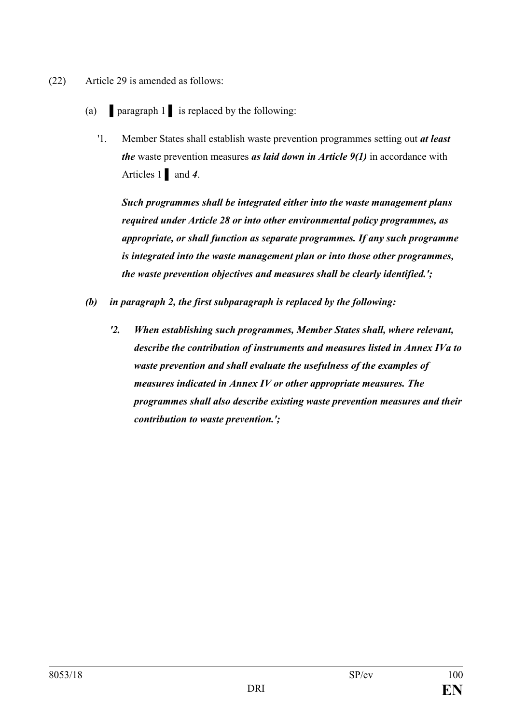- (22) Article 29 is amended as follows:
	- (a) **▌**paragraph 1 **▌** is replaced by the following:
		- '1. Member States shall establish waste prevention programmes setting out *at least the* waste prevention measures *as laid down in Article 9(1)* in accordance with Articles 1 **▌** and *4*.

*Such programmes shall be integrated either into the waste management plans required under Article 28 or into other environmental policy programmes, as appropriate, or shall function as separate programmes. If any such programme is integrated into the waste management plan or into those other programmes, the waste prevention objectives and measures shall be clearly identified.';*

- *(b) in paragraph 2, the first subparagraph is replaced by the following:*
	- *'2. When establishing such programmes, Member States shall, where relevant, describe the contribution of instruments and measures listed in Annex IVa to waste prevention and shall evaluate the usefulness of the examples of measures indicated in Annex IV or other appropriate measures. The programmes shall also describe existing waste prevention measures and their contribution to waste prevention.';*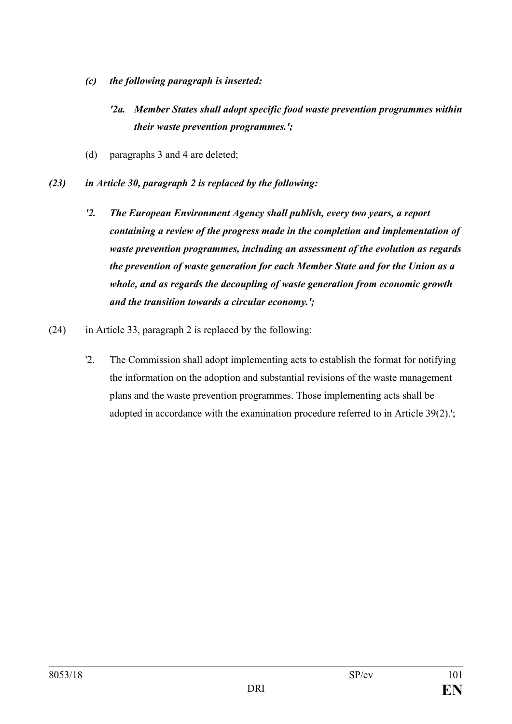- *(c) the following paragraph is inserted:*
	- *'2a. Member States shall adopt specific food waste prevention programmes within their waste prevention programmes.';*
- (d) paragraphs 3 and 4 are deleted;
- *(23) in Article 30, paragraph 2 is replaced by the following:*
	- *'2. The European Environment Agency shall publish, every two years, a report containing a review of the progress made in the completion and implementation of waste prevention programmes, including an assessment of the evolution as regards the prevention of waste generation for each Member State and for the Union as a whole, and as regards the decoupling of waste generation from economic growth and the transition towards a circular economy.';*
- (24) in Article 33, paragraph 2 is replaced by the following:
	- '2. The Commission shall adopt implementing acts to establish the format for notifying the information on the adoption and substantial revisions of the waste management plans and the waste prevention programmes. Those implementing acts shall be adopted in accordance with the examination procedure referred to in Article 39(2).';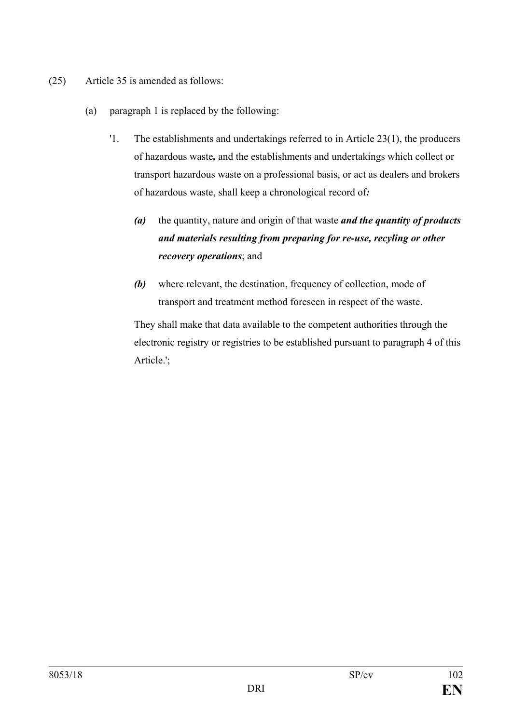- (25) Article 35 is amended as follows:
	- (a) paragraph 1 is replaced by the following:
		- '1. The establishments and undertakings referred to in Article 23(1), the producers of hazardous waste*,* and the establishments and undertakings which collect or transport hazardous waste on a professional basis, or act as dealers and brokers of hazardous waste, shall keep a chronological record of*:*
			- *(a)* the quantity, nature and origin of that waste *and the quantity of products and materials resulting from preparing for re-use, recyling or other recovery operations*; and
			- *(b)* where relevant, the destination, frequency of collection, mode of transport and treatment method foreseen in respect of the waste.

They shall make that data available to the competent authorities through the electronic registry or registries to be established pursuant to paragraph 4 of this Article.';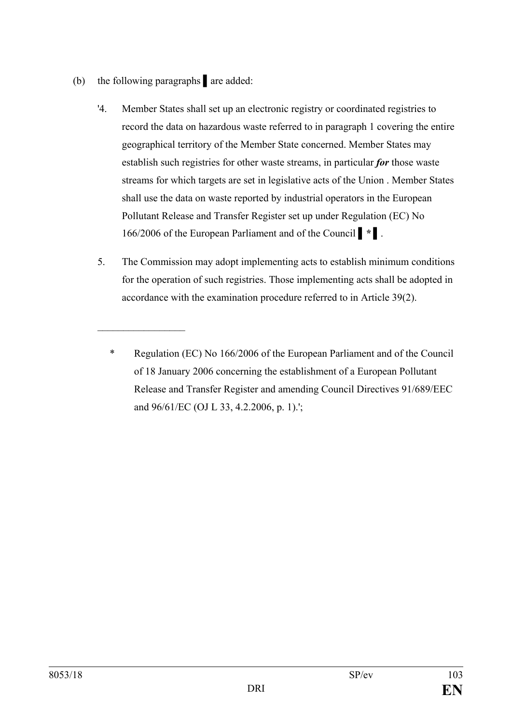(b) the following paragraphs **▌**are added:

 $\mathcal{L}_\text{max}$  , where  $\mathcal{L}_\text{max}$ 

- '4. Member States shall set up an electronic registry or coordinated registries to record the data on hazardous waste referred to in paragraph 1 covering the entire geographical territory of the Member State concerned. Member States may establish such registries for other waste streams, in particular *for* those waste streams for which targets are set in legislative acts of the Union . Member States shall use the data on waste reported by industrial operators in the European Pollutant Release and Transfer Register set up under Regulation (EC) No 166/2006 of the European Parliament and of the Council *▌\* ▌*.
- 5. The Commission may adopt implementing acts to establish minimum conditions for the operation of such registries. Those implementing acts shall be adopted in accordance with the examination procedure referred to in Article 39(2).

<sup>\*</sup> Regulation (EC) No 166/2006 of the European Parliament and of the Council of 18 January 2006 concerning the establishment of a European Pollutant Release and Transfer Register and amending Council Directives 91/689/EEC and 96/61/EC (OJ L 33, 4.2.2006, p. 1).';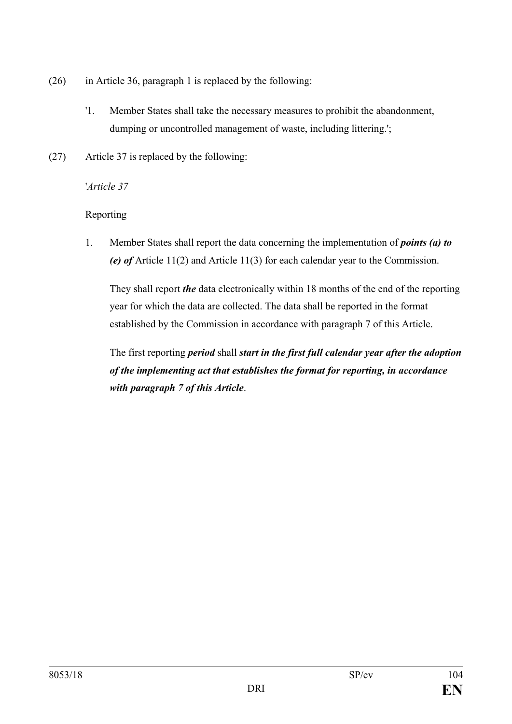- (26) in Article 36, paragraph 1 is replaced by the following:
	- '1. Member States shall take the necessary measures to prohibit the abandonment, dumping or uncontrolled management of waste, including littering.';
- (27) Article 37 is replaced by the following:

### '*Article 37*

# Reporting

1. Member States shall report the data concerning the implementation of *points (a) to (e) of* Article 11(2) and Article 11(3) for each calendar year to the Commission.

They shall report *the* data electronically within 18 months of the end of the reporting year for which the data are collected. The data shall be reported in the format established by the Commission in accordance with paragraph 7 of this Article.

The first reporting *period* shall *start in the first full calendar year after the adoption of the implementing act that establishes the format for reporting, in accordance with paragraph 7 of this Article*.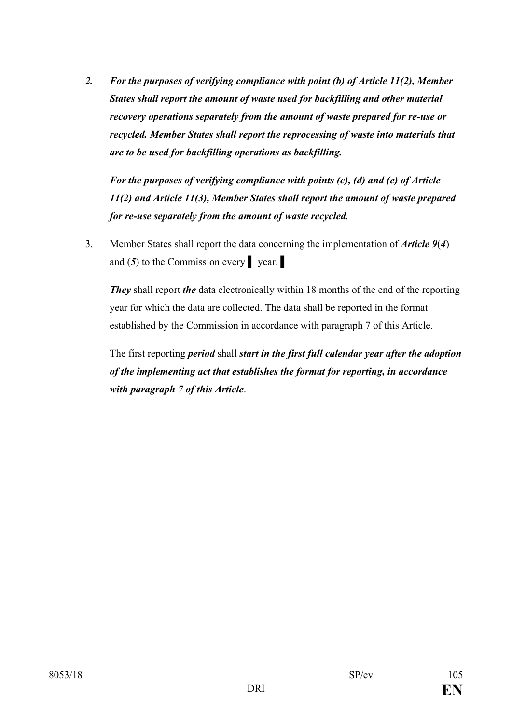*2. For the purposes of verifying compliance with point (b) of Article 11(2), Member States shall report the amount of waste used for backfilling and other material recovery operations separately from the amount of waste prepared for re-use or recycled. Member States shall report the reprocessing of waste into materials that are to be used for backfilling operations as backfilling.*

*For the purposes of verifying compliance with points (c), (d) and (e) of Article 11(2) and Article 11(3), Member States shall report the amount of waste prepared for re-use separately from the amount of waste recycled.*

3. Member States shall report the data concerning the implementation of *Article 9*(*4*) and  $(5)$  to the Commission every **p** year.

*They* shall report *the* data electronically within 18 months of the end of the reporting year for which the data are collected. The data shall be reported in the format established by the Commission in accordance with paragraph 7 of this Article.

The first reporting *period* shall *start in the first full calendar year after the adoption of the implementing act that establishes the format for reporting, in accordance with paragraph 7 of this Article*.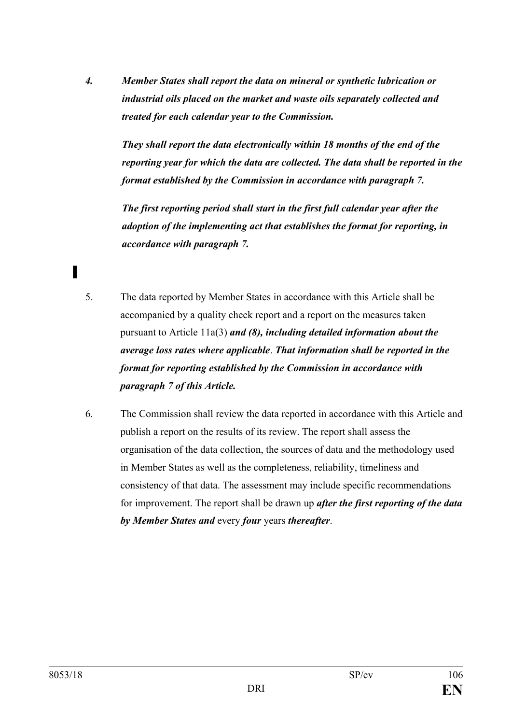*4. Member States shall report the data on mineral or synthetic lubrication or industrial oils placed on the market and waste oils separately collected and treated for each calendar year to the Commission.* 

*They shall report the data electronically within 18 months of the end of the reporting year for which the data are collected. The data shall be reported in the format established by the Commission in accordance with paragraph 7.* 

*The first reporting period shall start in the first full calendar year after the adoption of the implementing act that establishes the format for reporting, in accordance with paragraph 7.*

- 5. The data reported by Member States in accordance with this Article shall be accompanied by a quality check report and a report on the measures taken pursuant to Article 11a(3) *and (8), including detailed information about the average loss rates where applicable*. *That information shall be reported in the format for reporting established by the Commission in accordance with paragraph 7 of this Article.*
- 6. The Commission shall review the data reported in accordance with this Article and publish a report on the results of its review. The report shall assess the organisation of the data collection, the sources of data and the methodology used in Member States as well as the completeness, reliability, timeliness and consistency of that data. The assessment may include specific recommendations for improvement. The report shall be drawn up *after the first reporting of the data by Member States and* every *four* years *thereafter*.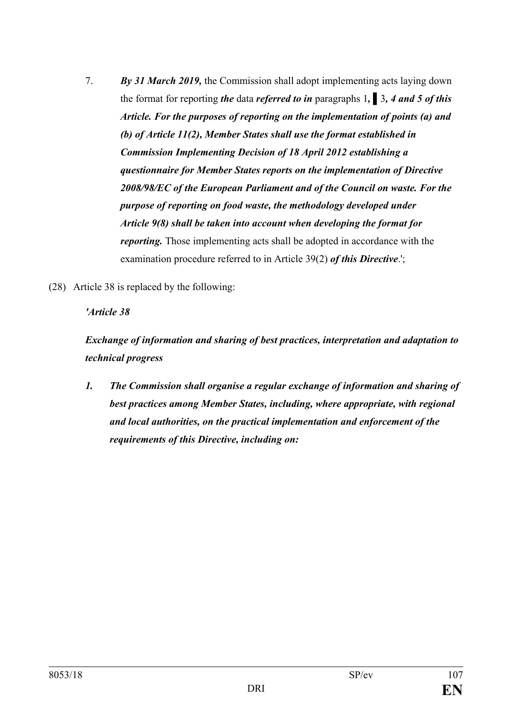- 7. *By 31 March 2019,* the Commission shall adopt implementing acts laying down the format for reporting *the* data *referred to in* paragraphs 1*,* **▌**3*, 4 and 5 of this Article. For the purposes of reporting on the implementation of points (a) and (b) of Article 11(2), Member States shall use the format established in Commission Implementing Decision of 18 April 2012 establishing a questionnaire for Member States reports on the implementation of Directive 2008/98/EC of the European Parliament and of the Council on waste. For the purpose of reporting on food waste, the methodology developed under Article 9(8) shall be taken into account when developing the format for reporting.* Those implementing acts shall be adopted in accordance with the examination procedure referred to in Article 39(2) *of this Directive*.';
- (28) Article 38 is replaced by the following:

### *'Article 38*

*Exchange of information and sharing of best practices, interpretation and adaptation to technical progress*

*1. The Commission shall organise a regular exchange of information and sharing of best practices among Member States, including, where appropriate, with regional and local authorities, on the practical implementation and enforcement of the requirements of this Directive, including on:*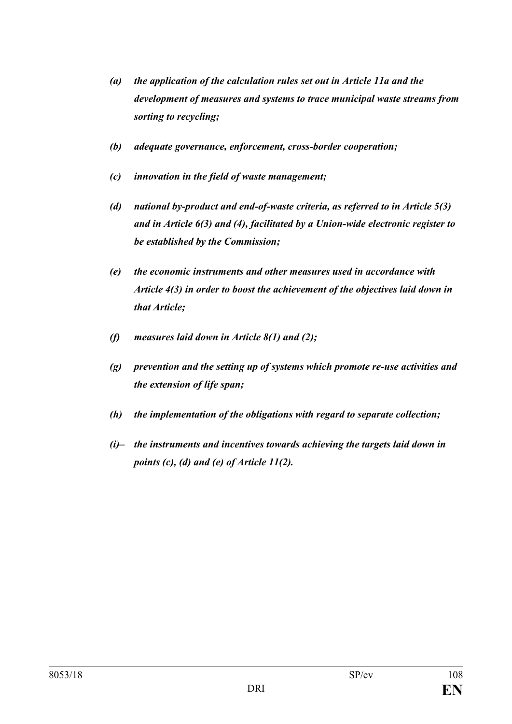- *(a) the application of the calculation rules set out in Article 11a and the development of measures and systems to trace municipal waste streams from sorting to recycling;*
- *(b) adequate governance, enforcement, cross-border cooperation;*
- *(c) innovation in the field of waste management;*
- *(d) national by-product and end-of-waste criteria, as referred to in Article 5(3) and in Article 6(3) and (4), facilitated by a Union-wide electronic register to be established by the Commission;*
- *(e) the economic instruments and other measures used in accordance with Article 4(3) in order to boost the achievement of the objectives laid down in that Article;*
- *(f) measures laid down in Article 8(1) and (2);*
- *(g) prevention and the setting up of systems which promote re-use activities and the extension of life span;*
- *(h) the implementation of the obligations with regard to separate collection;*
- *(i)– the instruments and incentives towards achieving the targets laid down in points (c), (d) and (e) of Article 11(2).*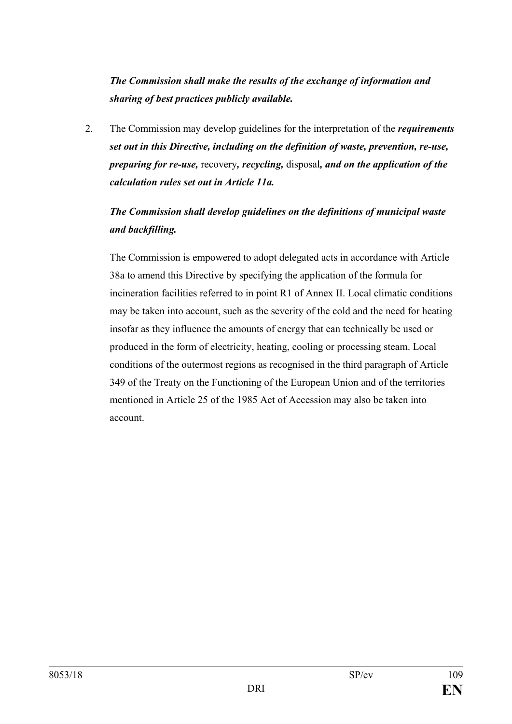*The Commission shall make the results of the exchange of information and sharing of best practices publicly available.*

2. The Commission may develop guidelines for the interpretation of the *requirements set out in this Directive, including on the definition of waste, prevention, re-use, preparing for re-use,* recovery*, recycling,* disposal*, and on the application of the calculation rules set out in Article 11a.*

# *The Commission shall develop guidelines on the definitions of municipal waste and backfilling.*

The Commission is empowered to adopt delegated acts in accordance with Article 38a to amend this Directive by specifying the application of the formula for incineration facilities referred to in point R1 of Annex II. Local climatic conditions may be taken into account, such as the severity of the cold and the need for heating insofar as they influence the amounts of energy that can technically be used or produced in the form of electricity, heating, cooling or processing steam. Local conditions of the outermost regions as recognised in the third paragraph of Article 349 of the Treaty on the Functioning of the European Union and of the territories mentioned in Article 25 of the 1985 Act of Accession may also be taken into account.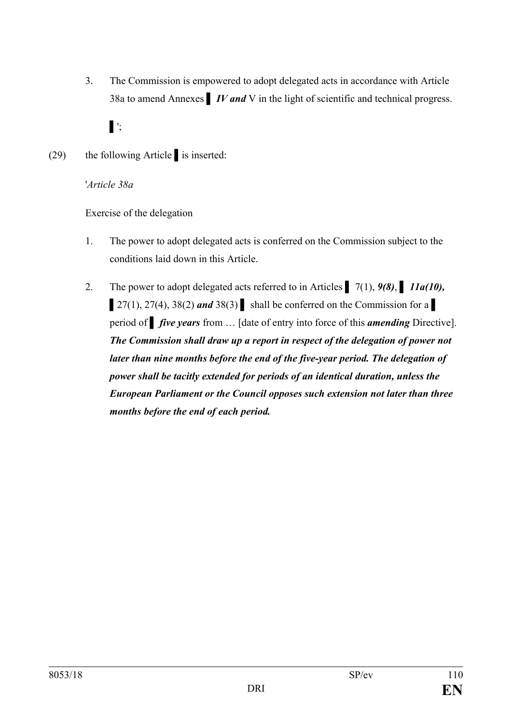3. The Commission is empowered to adopt delegated acts in accordance with Article 38a to amend Annexes **▌** *IV and* V in the light of scientific and technical progress.

**▌**';

(29) the following Article **▌**is inserted:

'*Article 38a*

Exercise of the delegation

- 1. The power to adopt delegated acts is conferred on the Commission subject to the conditions laid down in this Article.
- 2. The power to adopt delegated acts referred to in Articles **▌** 7(1), *9(8)*, **▌** *11a(10),*   $\left[ 27(1), 27(4), 38(2) \text{ and } 38(3) \right]$  shall be conferred on the Commission for a period of *▌ five years* from … [date of entry into force of this *amending* Directive]. *The Commission shall draw up a report in respect of the delegation of power not later than nine months before the end of the five-year period. The delegation of power shall be tacitly extended for periods of an identical duration, unless the European Parliament or the Council opposes such extension not later than three months before the end of each period.*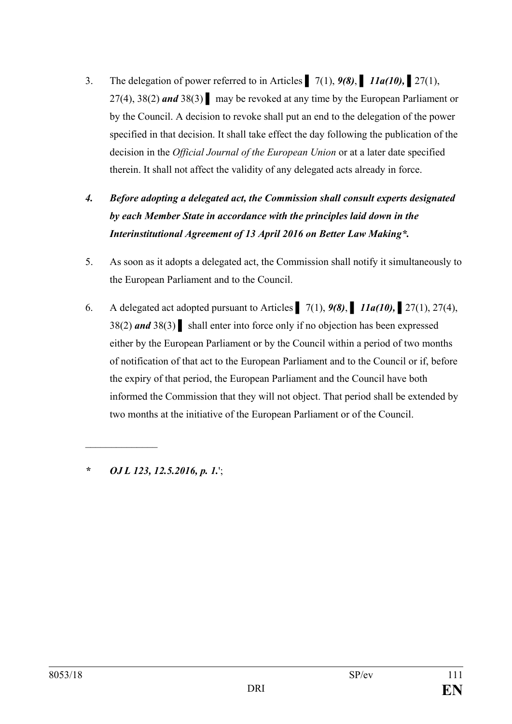- 3. The delegation of power referred to in Articles **▌** 7(1), *9(8)*, **▌** *11a(10), ▌*27(1), 27(4), 38(2) *and* 38(3) **▌** may be revoked at any time by the European Parliament or by the Council. A decision to revoke shall put an end to the delegation of the power specified in that decision. It shall take effect the day following the publication of the decision in the *Official Journal of the European Union* or at a later date specified therein. It shall not affect the validity of any delegated acts already in force.
- *4. Before adopting a delegated act, the Commission shall consult experts designated by each Member State in accordance with the principles laid down in the Interinstitutional Agreement of 13 April 2016 on Better Law Making\*.*
- 5. As soon as it adopts a delegated act, the Commission shall notify it simultaneously to the European Parliament and to the Council.
- 6. A delegated act adopted pursuant to Articles **▌** 7(1), *9(8)*, **▌** *11a(10), ▌*27(1), 27(4), 38(2) *and* 38(3) **▌** shall enter into force only if no objection has been expressed either by the European Parliament or by the Council within a period of two months of notification of that act to the European Parliament and to the Council or if, before the expiry of that period, the European Parliament and the Council have both informed the Commission that they will not object. That period shall be extended by two months at the initiative of the European Parliament or of the Council.

*\* OJ L 123, 12.5.2016, p. 1.*';

 $\mathcal{L}$  , we have the set of the set of the set of the set of the set of the set of the set of the set of the set of the set of the set of the set of the set of the set of the set of the set of the set of the set of the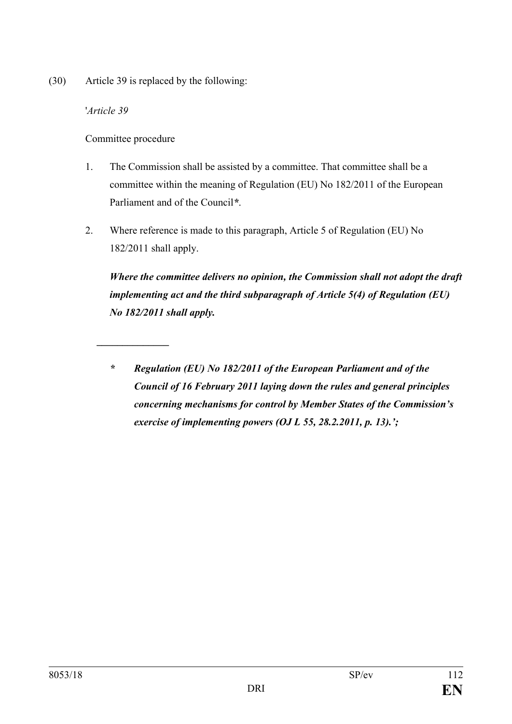(30) Article 39 is replaced by the following:

'*Article 39*

Committee procedure

*\_\_\_\_\_\_\_\_\_\_\_\_\_\_*

- 1. The Commission shall be assisted by a committee. That committee shall be a committee within the meaning of Regulation (EU) No 182/2011 of the European Parliament and of the Council*\**.
- 2. Where reference is made to this paragraph, Article 5 of Regulation (EU) No 182/2011 shall apply.

*Where the committee delivers no opinion, the Commission shall not adopt the draft implementing act and the third subparagraph of Article 5(4) of Regulation (EU) No 182/2011 shall apply.*

*\* Regulation (EU) No 182/2011 of the European Parliament and of the Council of 16 February 2011 laying down the rules and general principles concerning mechanisms for control by Member States of the Commission's exercise of implementing powers (OJ L 55, 28.2.2011, p. 13).';*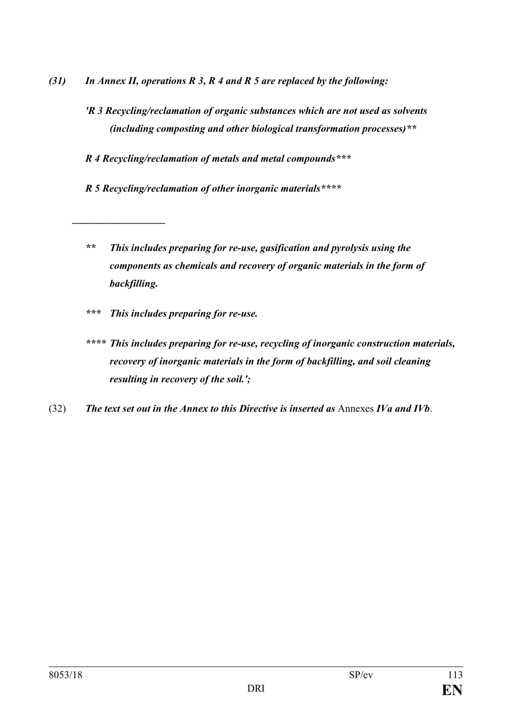- *(31) In Annex II, operations R 3, R 4 and R 5 are replaced by the following:* 
	- *'R 3 Recycling/reclamation of organic substances which are not used as solvents (including composting and other biological transformation processes)\*\**

*R 4 Recycling/reclamation of metals and metal compounds\*\*\**

*R 5 Recycling/reclamation of other inorganic materials\*\*\*\**

- *\*\* This includes preparing for re-use, gasification and pyrolysis using the components as chemicals and recovery of organic materials in the form of backfilling.*
- *\*\*\* This includes preparing for re-use.*

*\_\_\_\_\_\_\_\_\_\_\_\_\_\_\_\_\_\_*

- *\*\*\*\* This includes preparing for re-use, recycling of inorganic construction materials, recovery of inorganic materials in the form of backfilling, and soil cleaning resulting in recovery of the soil.';*
- (32) *The text set out in the Annex to this Directive is inserted as* Annexes *IVa and IVb*.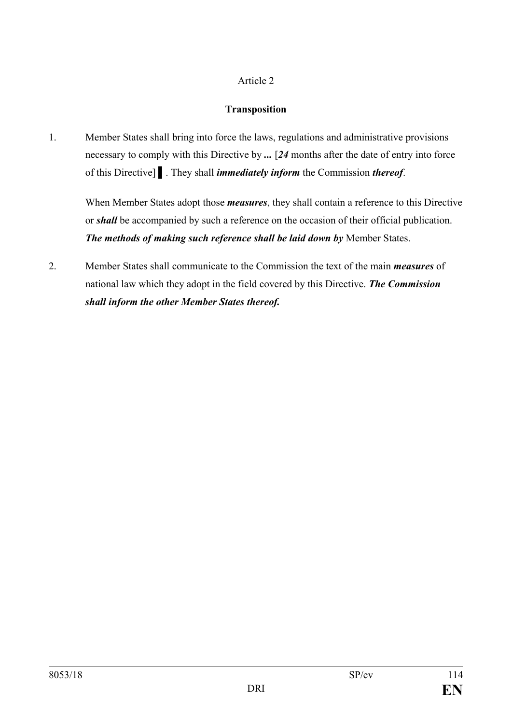### Article 2

## **Transposition**

1. Member States shall bring into force the laws, regulations and administrative provisions necessary to comply with this Directive by *...* [*24* months after the date of entry into force of this Directive] **▌**. They shall *immediately inform* the Commission *thereof*.

When Member States adopt those *measures*, they shall contain a reference to this Directive or *shall* be accompanied by such a reference on the occasion of their official publication. *The methods of making such reference shall be laid down by* Member States.

2. Member States shall communicate to the Commission the text of the main *measures* of national law which they adopt in the field covered by this Directive. *The Commission shall inform the other Member States thereof.*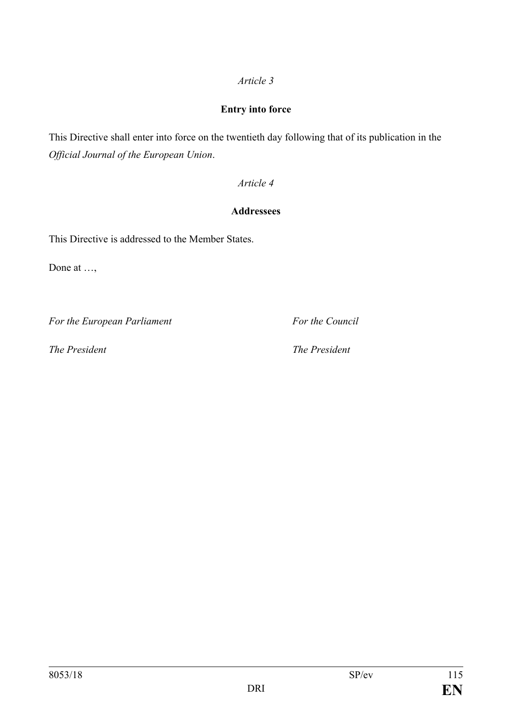## *Article 3*

## **Entry into force**

This Directive shall enter into force on the twentieth day following that of its publication in the *Official Journal of the European Union*.

## *Article 4*

## **Addressees**

This Directive is addressed to the Member States.

Done at ...,

*For the European Parliament For the Council*

*The President The President*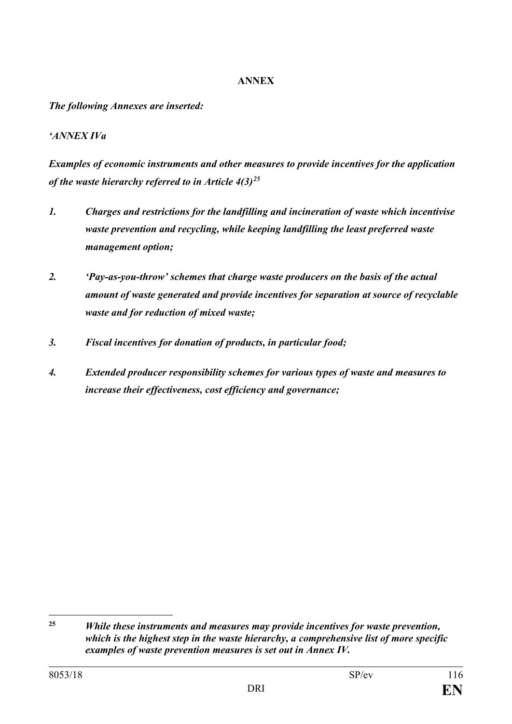### **ANNEX**

*The following Annexes are inserted:*

## *'ANNEX IVa*

*Examples of economic instruments and other measures to provide incentives for the application of the waste hierarchy referred to in Article 4(3)[25](#page-115-0)*

- *1. Charges and restrictions for the landfilling and incineration of waste which incentivise waste prevention and recycling, while keeping landfilling the least preferred waste management option;*
- *2. 'Pay-as-you-throw' schemes that charge waste producers on the basis of the actual amount of waste generated and provide incentives for separation at source of recyclable waste and for reduction of mixed waste;*
- *3. Fiscal incentives for donation of products, in particular food;*
- *4. Extended producer responsibility schemes for various types of waste and measures to increase their effectiveness, cost efficiency and governance;*

<span id="page-115-0"></span> $25$ **<sup>25</sup>** *While these instruments and measures may provide incentives for waste prevention, which is the highest step in the waste hierarchy, a comprehensive list of more specific examples of waste prevention measures is set out in Annex IV.*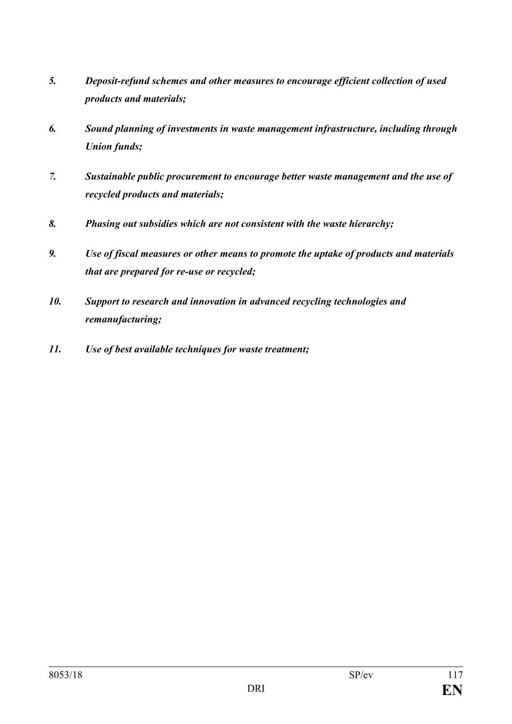- *5. Deposit-refund schemes and other measures to encourage efficient collection of used products and materials;*
- *6. Sound planning of investments in waste management infrastructure, including through Union funds;*
- *7. Sustainable public procurement to encourage better waste management and the use of recycled products and materials;*
- *8. Phasing out subsidies which are not consistent with the waste hierarchy;*
- *9. Use of fiscal measures or other means to promote the uptake of products and materials that are prepared for re-use or recycled;*
- *10. Support to research and innovation in advanced recycling technologies and remanufacturing;*
- *11. Use of best available techniques for waste treatment;*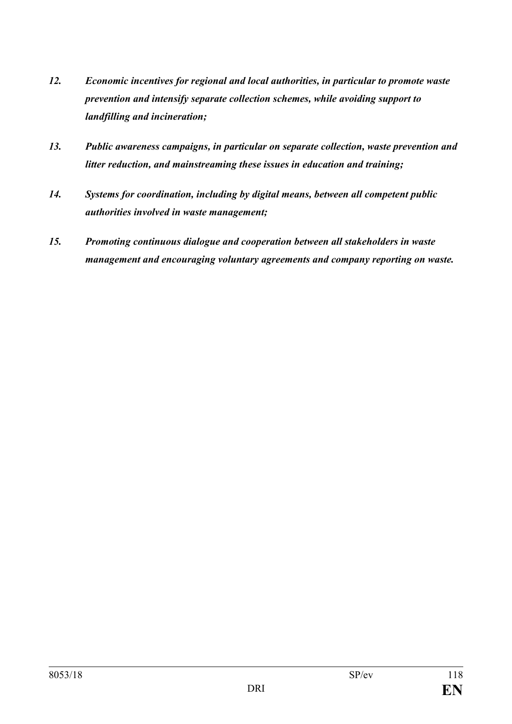- *12. Economic incentives for regional and local authorities, in particular to promote waste prevention and intensify separate collection schemes, while avoiding support to landfilling and incineration;*
- *13. Public awareness campaigns, in particular on separate collection, waste prevention and litter reduction, and mainstreaming these issues in education and training;*
- *14. Systems for coordination, including by digital means, between all competent public authorities involved in waste management;*
- *15. Promoting continuous dialogue and cooperation between all stakeholders in waste management and encouraging voluntary agreements and company reporting on waste.*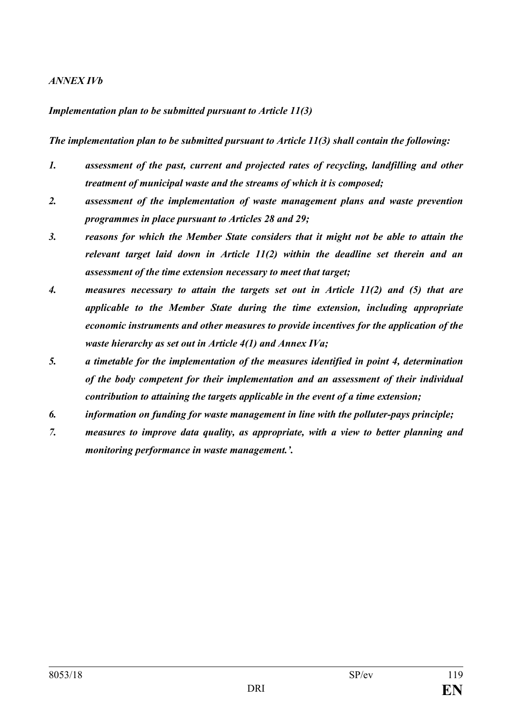#### *ANNEX IVb*

#### *Implementation plan to be submitted pursuant to Article 11(3)*

*The implementation plan to be submitted pursuant to Article 11(3) shall contain the following:*

- *1. assessment of the past, current and projected rates of recycling, landfilling and other treatment of municipal waste and the streams of which it is composed;*
- *2. assessment of the implementation of waste management plans and waste prevention programmes in place pursuant to Articles 28 and 29;*
- *3. reasons for which the Member State considers that it might not be able to attain the relevant target laid down in Article 11(2) within the deadline set therein and an assessment of the time extension necessary to meet that target;*
- *4. measures necessary to attain the targets set out in Article 11(2) and (5) that are applicable to the Member State during the time extension, including appropriate economic instruments and other measures to provide incentives for the application of the waste hierarchy as set out in Article 4(1) and Annex IVa;*
- *5. a timetable for the implementation of the measures identified in point 4, determination of the body competent for their implementation and an assessment of their individual contribution to attaining the targets applicable in the event of a time extension;*
- *6. information on funding for waste management in line with the polluter-pays principle;*
- *7. measures to improve data quality, as appropriate, with a view to better planning and monitoring performance in waste management.'.*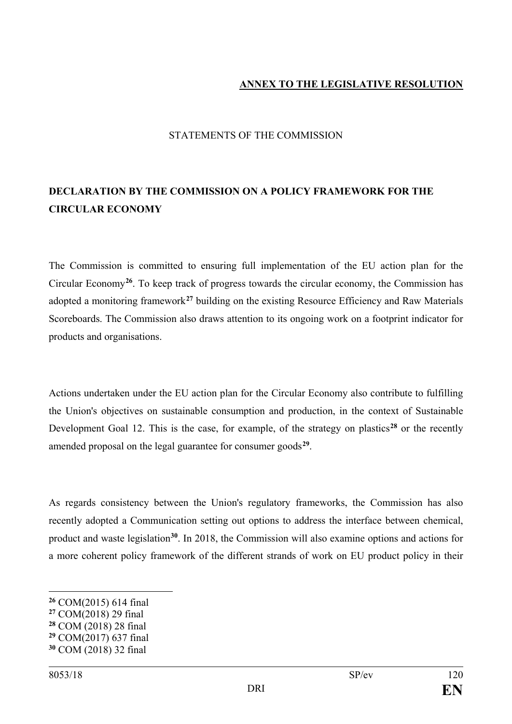### **ANNEX TO THE LEGISLATIVE RESOLUTION**

#### STATEMENTS OF THE COMMISSION

## **DECLARATION BY THE COMMISSION ON A POLICY FRAMEWORK FOR THE CIRCULAR ECONOMY**

The Commission is committed to ensuring full implementation of the EU action plan for the Circular Economy**[26](#page-119-0)**. To keep track of progress towards the circular economy, the Commission has adopted a monitoring framework**[27](#page-119-1)** building on the existing Resource Efficiency and Raw Materials Scoreboards. The Commission also draws attention to its ongoing work on a footprint indicator for products and organisations.

Actions undertaken under the EU action plan for the Circular Economy also contribute to fulfilling the Union's objectives on sustainable consumption and production, in the context of Sustainable Development Goal 12. This is the case, for example, of the strategy on plastics<sup>[28](#page-119-2)</sup> or the recently amended proposal on the legal guarantee for consumer goods**[29](#page-119-3)**.

As regards consistency between the Union's regulatory frameworks, the Commission has also recently adopted a Communication setting out options to address the interface between chemical, product and waste legislation**[30](#page-119-4)**. In 2018, the Commission will also examine options and actions for a more coherent policy framework of the different strands of work on EU product policy in their

- <span id="page-119-1"></span>**<sup>27</sup>** COM(2018) 29 final
- <span id="page-119-2"></span>**<sup>28</sup>** COM (2018) 28 final
- <span id="page-119-3"></span>**<sup>29</sup>** COM(2017) 637 final
- <span id="page-119-4"></span>**<sup>30</sup>** COM (2018) 32 final

 $\overline{a}$ 

<span id="page-119-0"></span>**<sup>26</sup>** COM(2015) 614 final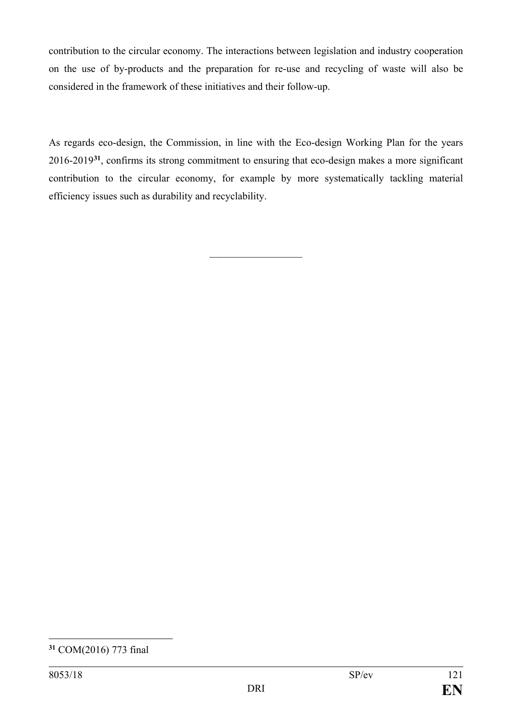contribution to the circular economy. The interactions between legislation and industry cooperation on the use of by-products and the preparation for re-use and recycling of waste will also be considered in the framework of these initiatives and their follow-up.

As regards eco-design, the Commission, in line with the Eco-design Working Plan for the years 2016-2019**[31](#page-120-0)**, confirms its strong commitment to ensuring that eco-design makes a more significant contribution to the circular economy, for example by more systematically tackling material efficiency issues such as durability and recyclability.

 $\overline{\phantom{a}}$  , where  $\overline{\phantom{a}}$ 

<span id="page-120-0"></span> $\overline{a}$ **<sup>31</sup>** COM(2016) 773 final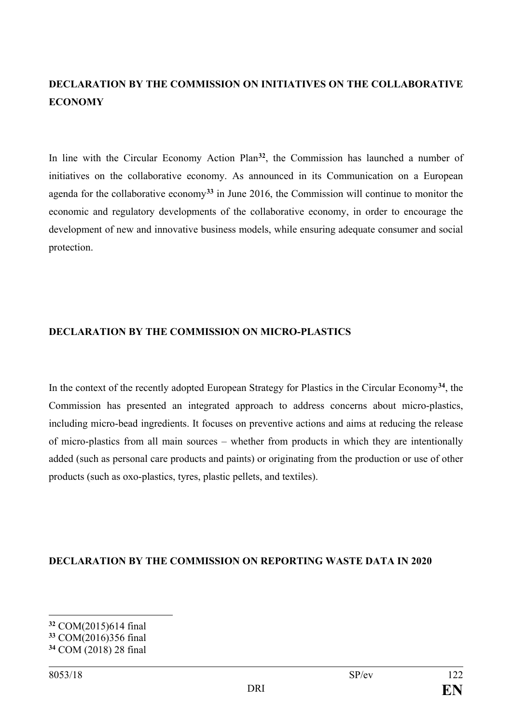## **DECLARATION BY THE COMMISSION ON INITIATIVES ON THE COLLABORATIVE ECONOMY**

In line with the Circular Economy Action Plan**[32](#page-121-0)**, the Commission has launched a number of initiatives on the collaborative economy. As announced in its Communication on a European agenda for the collaborative economy**[33](#page-121-1)** in June 2016, the Commission will continue to monitor the economic and regulatory developments of the collaborative economy, in order to encourage the development of new and innovative business models, while ensuring adequate consumer and social protection.

#### **DECLARATION BY THE COMMISSION ON MICRO-PLASTICS**

In the context of the recently adopted European Strategy for Plastics in the Circular Economy**[34](#page-121-2)**, the Commission has presented an integrated approach to address concerns about micro-plastics, including micro-bead ingredients. It focuses on preventive actions and aims at reducing the release of micro-plastics from all main sources – whether from products in which they are intentionally added (such as personal care products and paints) or originating from the production or use of other products (such as oxo-plastics, tyres, plastic pellets, and textiles).

#### **DECLARATION BY THE COMMISSION ON REPORTING WASTE DATA IN 2020**

 $\overline{a}$ 

<span id="page-121-0"></span>**<sup>32</sup>** COM(2015)614 final

<span id="page-121-1"></span>**<sup>33</sup>** COM(2016)356 final

<span id="page-121-2"></span>**<sup>34</sup>** COM (2018) 28 final